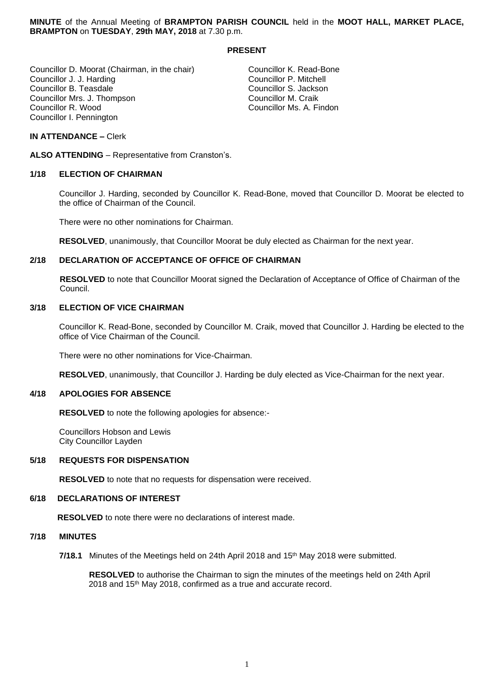**MINUTE** of the Annual Meeting of **BRAMPTON PARISH COUNCIL** held in the **MOOT HALL, MARKET PLACE, BRAMPTON** on **TUESDAY**, **29th MAY, 2018** at 7.30 p.m.

## **PRESENT**

Councillor D. Moorat (Chairman, in the chair) Councillor K. Read-Bone<br>Councillor J. J. Harding Councillor P. Mitchell Councillor J. J. Harding Councillor P. Mitchell Councillor B. Teasdale<br>
Councillor Mrs. J. Thompson<br>
Councillor Mrs. J. Thompson<br>
Councillor M. Craik Councillor Mrs. J. Thompson<br>Councillor R. Wood Councillor I. Pennington

Councillor Ms. A. Findon

#### **IN ATTENDANCE –** Clerk

**ALSO ATTENDING** – Representative from Cranston's.

#### **1/18 ELECTION OF CHAIRMAN**

Councillor J. Harding, seconded by Councillor K. Read-Bone, moved that Councillor D. Moorat be elected to the office of Chairman of the Council.

There were no other nominations for Chairman.

**RESOLVED**, unanimously, that Councillor Moorat be duly elected as Chairman for the next year.

## **2/18 DECLARATION OF ACCEPTANCE OF OFFICE OF CHAIRMAN**

**RESOLVED** to note that Councillor Moorat signed the Declaration of Acceptance of Office of Chairman of the Council.

## **3/18 ELECTION OF VICE CHAIRMAN**

Councillor K. Read-Bone, seconded by Councillor M. Craik, moved that Councillor J. Harding be elected to the office of Vice Chairman of the Council.

There were no other nominations for Vice-Chairman.

**RESOLVED**, unanimously, that Councillor J. Harding be duly elected as Vice-Chairman for the next year.

#### **4/18 APOLOGIES FOR ABSENCE**

**RESOLVED** to note the following apologies for absence:-

Councillors Hobson and Lewis City Councillor Layden

#### **5/18 REQUESTS FOR DISPENSATION**

**RESOLVED** to note that no requests for dispensation were received.

#### **6/18 DECLARATIONS OF INTEREST**

 **RESOLVED** to note there were no declarations of interest made.

#### **7/18 MINUTES**

**7/18.1** Minutes of the Meetings held on 24th April 2018 and 15th May 2018 were submitted.

 **RESOLVED** to authorise the Chairman to sign the minutes of the meetings held on 24th April 2018 and 15<sup>th</sup> May 2018, confirmed as a true and accurate record.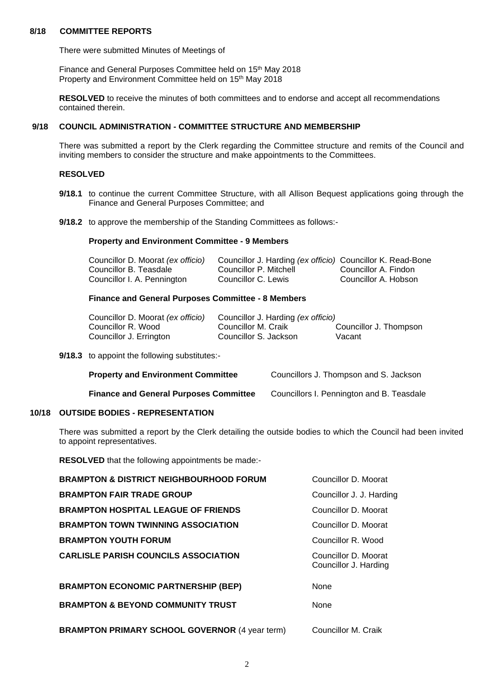## **8/18 COMMITTEE REPORTS**

There were submitted Minutes of Meetings of

Finance and General Purposes Committee held on 15<sup>th</sup> May 2018 Property and Environment Committee held on 15<sup>th</sup> May 2018

**RESOLVED** to receive the minutes of both committees and to endorse and accept all recommendations contained therein.

#### **9/18 COUNCIL ADMINISTRATION - COMMITTEE STRUCTURE AND MEMBERSHIP**

There was submitted a report by the Clerk regarding the Committee structure and remits of the Council and inviting members to consider the structure and make appointments to the Committees.

## **RESOLVED**

- **9/18.1** to continue the current Committee Structure, with all Allison Bequest applications going through the Finance and General Purposes Committee; and
- **9/18.2** to approve the membership of the Standing Committees as follows:-

#### **Property and Environment Committee - 9 Members**

| Councillor D. Moorat (ex officio) | Councillor J. Harding (ex officio) Councillor K. Read-Bone |                      |
|-----------------------------------|------------------------------------------------------------|----------------------|
| Councillor B. Teasdale            | Councillor P. Mitchell                                     | Councillor A. Findon |
| Councillor I. A. Pennington       | Councillor C. Lewis                                        | Councillor A. Hobson |

## **Finance and General Purposes Committee - 8 Members**

| Councillor D. Moorat (ex officio) | Councillor J. Harding <i>(ex officio)</i> |                        |
|-----------------------------------|-------------------------------------------|------------------------|
| Councillor R. Wood                | Councillor M. Craik                       | Councillor J. Thompson |
| Councillor J. Errington           | Councillor S. Jackson                     | Vacant                 |

**9/18.3** to appoint the following substitutes:-

| <b>Property and Environment Committee</b>     | Councillors J. Thompson and S. Jackson    |
|-----------------------------------------------|-------------------------------------------|
| <b>Finance and General Purposes Committee</b> | Councillors I. Pennington and B. Teasdale |

## **10/18 OUTSIDE BODIES - REPRESENTATION**

There was submitted a report by the Clerk detailing the outside bodies to which the Council had been invited to appoint representatives.

**RESOLVED** that the following appointments be made:-

| <b>BRAMPTON &amp; DISTRICT NEIGHBOURHOOD FORUM</b>    | Councillor D. Moorat                          |
|-------------------------------------------------------|-----------------------------------------------|
| <b>BRAMPTON FAIR TRADE GROUP</b>                      | Councillor J. J. Harding                      |
| <b>BRAMPTON HOSPITAL LEAGUE OF FRIENDS</b>            | Councillor D. Moorat                          |
| <b>BRAMPTON TOWN TWINNING ASSOCIATION</b>             | Councillor D. Moorat                          |
| <b>BRAMPTON YOUTH FORUM</b>                           | Councillor R. Wood                            |
| <b>CARLISLE PARISH COUNCILS ASSOCIATION</b>           | Councillor D. Moorat<br>Councillor J. Harding |
| <b>BRAMPTON ECONOMIC PARTNERSHIP (BEP)</b>            | None                                          |
| <b>BRAMPTON &amp; BEYOND COMMUNITY TRUST</b>          | <b>None</b>                                   |
| <b>BRAMPTON PRIMARY SCHOOL GOVERNOR (4 year term)</b> | Councillor M. Craik                           |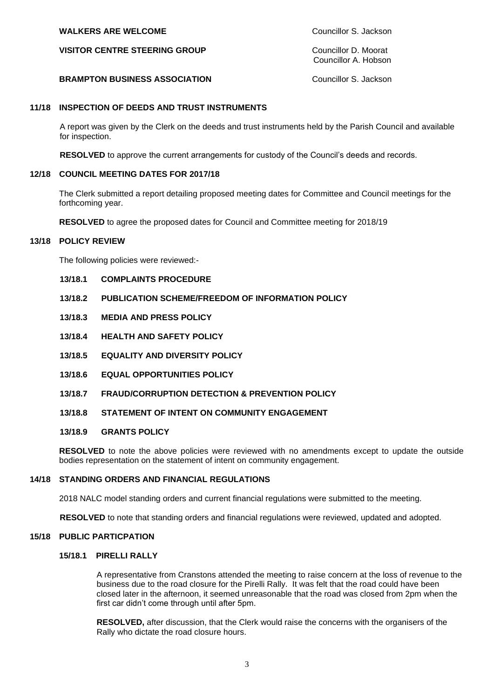## **WALKERS ARE WELCOME** Councillor S. Jackson

**VISITOR CENTRE STEERING GROUP** Councillor D. Moorat

Councillor A. Hobson

## **BRAMPTON BUSINESS ASSOCIATION** Councillor S. Jackson

## **11/18 INSPECTION OF DEEDS AND TRUST INSTRUMENTS**

A report was given by the Clerk on the deeds and trust instruments held by the Parish Council and available for inspection.

**RESOLVED** to approve the current arrangements for custody of the Council's deeds and records.

## **12/18 COUNCIL MEETING DATES FOR 2017/18**

The Clerk submitted a report detailing proposed meeting dates for Committee and Council meetings for the forthcoming year.

**RESOLVED** to agree the proposed dates for Council and Committee meeting for 2018/19

## **13/18 POLICY REVIEW**

The following policies were reviewed:-

- **13/18.1 COMPLAINTS PROCEDURE**
- **13/18.2 PUBLICATION SCHEME/FREEDOM OF INFORMATION POLICY**
- **13/18.3 MEDIA AND PRESS POLICY**
- **13/18.4 HEALTH AND SAFETY POLICY**
- **13/18.5 EQUALITY AND DIVERSITY POLICY**
- **13/18.6 EQUAL OPPORTUNITIES POLICY**
- **13/18.7 FRAUD/CORRUPTION DETECTION & PREVENTION POLICY**
- **13/18.8 STATEMENT OF INTENT ON COMMUNITY ENGAGEMENT**

#### **13/18.9 GRANTS POLICY**

**RESOLVED** to note the above policies were reviewed with no amendments except to update the outside bodies representation on the statement of intent on community engagement.

#### **14/18 STANDING ORDERS AND FINANCIAL REGULATIONS**

2018 NALC model standing orders and current financial regulations were submitted to the meeting.

**RESOLVED** to note that standing orders and financial regulations were reviewed, updated and adopted.

#### **15/18 PUBLIC PARTICPATION**

#### **15/18.1 PIRELLI RALLY**

A representative from Cranstons attended the meeting to raise concern at the loss of revenue to the business due to the road closure for the Pirelli Rally. It was felt that the road could have been closed later in the afternoon, it seemed unreasonable that the road was closed from 2pm when the first car didn't come through until after 5pm.

 **RESOLVED,** after discussion, that the Clerk would raise the concerns with the organisers of the Rally who dictate the road closure hours.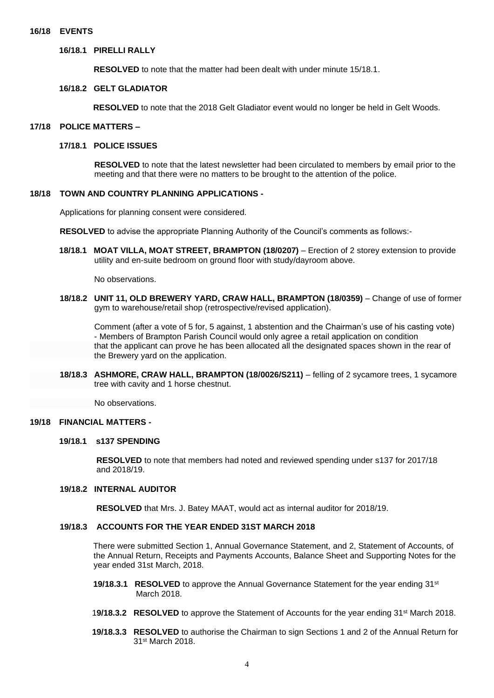#### **16/18 EVENTS**

## **16/18.1 PIRELLI RALLY**

 **RESOLVED** to note that the matter had been dealt with under minute 15/18.1.

#### **16/18.2 GELT GLADIATOR**

 **RESOLVED** to note that the 2018 Gelt Gladiator event would no longer be held in Gelt Woods.

#### **17/18 POLICE MATTERS –**

#### **17/18.1 POLICE ISSUES**

 **RESOLVED** to note that the latest newsletter had been circulated to members by email prior to the meeting and that there were no matters to be brought to the attention of the police.

#### **18/18 TOWN AND COUNTRY PLANNING APPLICATIONS -**

Applications for planning consent were considered.

**RESOLVED** to advise the appropriate Planning Authority of the Council's comments as follows:-

**18/18.1 MOAT VILLA, MOAT STREET, BRAMPTON (18/0207)** – Erection of 2 storey extension to provide utility and en-suite bedroom on ground floor with study/dayroom above.

No observations.

**18/18.2 UNIT 11, OLD BREWERY YARD, CRAW HALL, BRAMPTON (18/0359)** – Change of use of former gym to warehouse/retail shop (retrospective/revised application).

 Comment (after a vote of 5 for, 5 against, 1 abstention and the Chairman's use of his casting vote) - Members of Brampton Parish Council would only agree a retail application on condition that the applicant can prove he has been allocated all the designated spaces shown in the rear of the Brewery yard on the application.

**18/18.3 ASHMORE, CRAW HALL, BRAMPTON (18/0026/S211)** – felling of 2 sycamore trees, 1 sycamore tree with cavity and 1 horse chestnut.

No observations.

## **19/18 FINANCIAL MATTERS -**

#### **19/18.1 s137 SPENDING**

 **RESOLVED** to note that members had noted and reviewed spending under s137 for 2017/18 and 2018/19.

## **19/18.2 INTERNAL AUDITOR**

 **RESOLVED** that Mrs. J. Batey MAAT, would act as internal auditor for 2018/19.

#### **19/18.3 ACCOUNTS FOR THE YEAR ENDED 31ST MARCH 2018**

 There were submitted Section 1, Annual Governance Statement, and 2, Statement of Accounts, of the Annual Return, Receipts and Payments Accounts, Balance Sheet and Supporting Notes for the year ended 31st March, 2018.

- **19/18.3.1 RESOLVED** to approve the Annual Governance Statement for the year ending 31<sup>st</sup> March 2018.
- 1**9/18.3.2 RESOLVED** to approve the Statement of Accounts for the year ending 31st March 2018.
- **19/18.3.3 RESOLVED** to authorise the Chairman to sign Sections 1 and 2 of the Annual Return for 31st March 2018.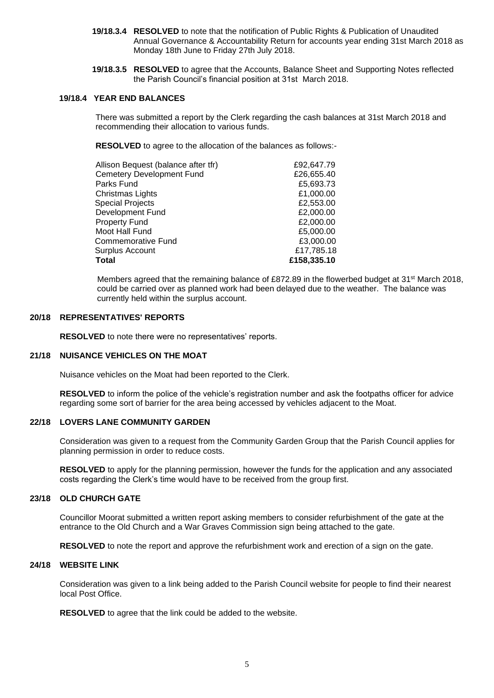- **19/18.3.4 RESOLVED** to note that the notification of Public Rights & Publication of Unaudited Annual Governance & Accountability Return for accounts year ending 31st March 2018 as Monday 18th June to Friday 27th July 2018.
- **19/18.3.5 RESOLVED** to agree that the Accounts, Balance Sheet and Supporting Notes reflected the Parish Council's financial position at 31st March 2018.

## **19/18.4 YEAR END BALANCES**

There was submitted a report by the Clerk regarding the cash balances at 31st March 2018 and recommending their allocation to various funds.

**RESOLVED** to agree to the allocation of the balances as follows:-

| Allison Bequest (balance after tfr) | £92,647.79  |
|-------------------------------------|-------------|
| <b>Cemetery Development Fund</b>    | £26,655.40  |
| Parks Fund                          | £5,693.73   |
| Christmas Lights                    | £1,000.00   |
| <b>Special Projects</b>             | £2,553.00   |
| Development Fund                    | £2,000.00   |
| <b>Property Fund</b>                | £2,000.00   |
| Moot Hall Fund                      | £5,000.00   |
| <b>Commemorative Fund</b>           | £3,000.00   |
| Surplus Account                     | £17,785.18  |
| Total                               | £158,335.10 |

Members agreed that the remaining balance of £872.89 in the flowerbed budget at 31st March 2018, could be carried over as planned work had been delayed due to the weather. The balance was currently held within the surplus account.

#### **20/18 REPRESENTATIVES' REPORTS**

**RESOLVED** to note there were no representatives' reports.

#### **21/18 NUISANCE VEHICLES ON THE MOAT**

Nuisance vehicles on the Moat had been reported to the Clerk.

 **RESOLVED** to inform the police of the vehicle's registration number and ask the footpaths officer for advice regarding some sort of barrier for the area being accessed by vehicles adjacent to the Moat.

## **22/18 LOVERS LANE COMMUNITY GARDEN**

Consideration was given to a request from the Community Garden Group that the Parish Council applies for planning permission in order to reduce costs.

 **RESOLVED** to apply for the planning permission, however the funds for the application and any associated costs regarding the Clerk's time would have to be received from the group first.

#### **23/18 OLD CHURCH GATE**

Councillor Moorat submitted a written report asking members to consider refurbishment of the gate at the entrance to the Old Church and a War Graves Commission sign being attached to the gate.

**RESOLVED** to note the report and approve the refurbishment work and erection of a sign on the gate.

#### **24/18 WEBSITE LINK**

Consideration was given to a link being added to the Parish Council website for people to find their nearest local Post Office.

**RESOLVED** to agree that the link could be added to the website.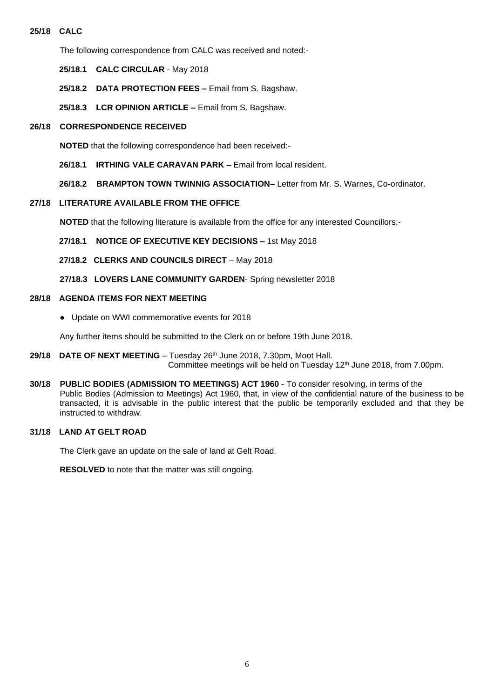## **25/18 CALC**

The following correspondence from CALC was received and noted:-

- **25/18.1 CALC CIRCULAR** May 2018
- **25/18.2 DATA PROTECTION FEES –** Email from S. Bagshaw.
- **25/18.3 LCR OPINION ARTICLE –** Email from S. Bagshaw.

## **26/18 CORRESPONDENCE RECEIVED**

**NOTED** that the following correspondence had been received:-

**26/18.1 IRTHING VALE CARAVAN PARK –** Email from local resident.

**26/18.2 BRAMPTON TOWN TWINNIG ASSOCIATION**– Letter from Mr. S. Warnes, Co-ordinator.

## **27/18 LITERATURE AVAILABLE FROM THE OFFICE**

**NOTED** that the following literature is available from the office for any interested Councillors:-

- **27/18.1 NOTICE OF EXECUTIVE KEY DECISIONS –** 1st May 2018
- **27/18.2 CLERKS AND COUNCILS DIRECT** May 2018
- **27/18.3 LOVERS LANE COMMUNITY GARDEN** Spring newsletter 2018

#### **28/18 AGENDA ITEMS FOR NEXT MEETING**

 **●** Update on WWI commemorative events for 2018

Any further items should be submitted to the Clerk on or before 19th June 2018.

- **29/18 DATE OF NEXT MEETING**  Tuesday 26 th June 2018, 7.30pm, Moot Hall. Committee meetings will be held on Tuesday 12 th June 2018, from 7.00pm.
- **30/18 PUBLIC BODIES (ADMISSION TO MEETINGS) ACT 1960** To consider resolving, in terms of the Public Bodies (Admission to Meetings) Act 1960, that, in view of the confidential nature of the business to be transacted, it is advisable in the public interest that the public be temporarily excluded and that they be instructed to withdraw.

## **31/18 LAND AT GELT ROAD**

The Clerk gave an update on the sale of land at Gelt Road.

**RESOLVED** to note that the matter was still ongoing.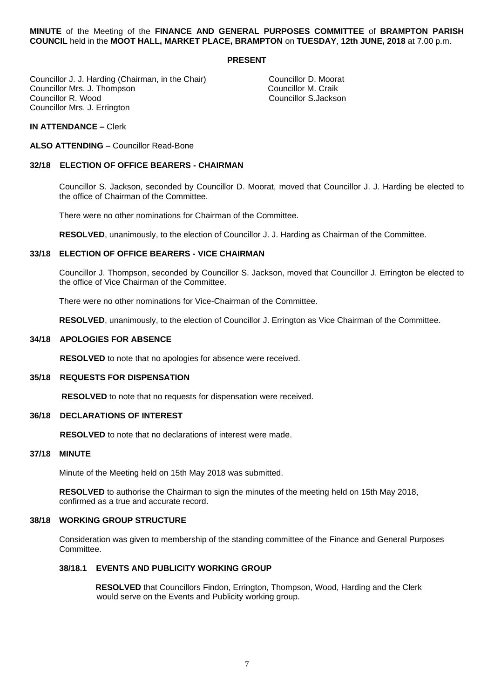**MINUTE** of the Meeting of the **FINANCE AND GENERAL PURPOSES COMMITTEE** of **BRAMPTON PARISH COUNCIL** held in the **MOOT HALL, MARKET PLACE, BRAMPTON** on **TUESDAY**, **12th JUNE, 2018** at 7.00 p.m.

#### **PRESENT**

Councillor J. J. Harding (Chairman, in the Chair) Councillor D. Moorat<br>Councillor Mrs. J. Thompson Councillor M. Craik Councillor Mrs. J. Thompson<br>Councillor R. Wood Councillor Mrs. J. Errington

Councillor S.Jackson

#### **IN ATTENDANCE –** Clerk

**ALSO ATTENDING** – Councillor Read-Bone

## **32/18 ELECTION OF OFFICE BEARERS - CHAIRMAN**

Councillor S. Jackson, seconded by Councillor D. Moorat, moved that Councillor J. J. Harding be elected to the office of Chairman of the Committee.

There were no other nominations for Chairman of the Committee.

**RESOLVED**, unanimously, to the election of Councillor J. J. Harding as Chairman of the Committee.

#### **33/18 ELECTION OF OFFICE BEARERS - VICE CHAIRMAN**

Councillor J. Thompson, seconded by Councillor S. Jackson, moved that Councillor J. Errington be elected to the office of Vice Chairman of the Committee.

There were no other nominations for Vice-Chairman of the Committee.

**RESOLVED**, unanimously, to the election of Councillor J. Errington as Vice Chairman of the Committee.

#### **34/18 APOLOGIES FOR ABSENCE**

**RESOLVED** to note that no apologies for absence were received.

## **35/18 REQUESTS FOR DISPENSATION**

**RESOLVED** to note that no requests for dispensation were received.

## **36/18 DECLARATIONS OF INTEREST**

 **RESOLVED** to note that no declarations of interest were made.

## **37/18 MINUTE**

Minute of the Meeting held on 15th May 2018 was submitted.

**RESOLVED** to authorise the Chairman to sign the minutes of the meeting held on 15th May 2018, confirmed as a true and accurate record.

#### **38/18 WORKING GROUP STRUCTURE**

Consideration was given to membership of the standing committee of the Finance and General Purposes Committee.

## **38/18.1 EVENTS AND PUBLICITY WORKING GROUP**

 **RESOLVED** that Councillors Findon, Errington, Thompson, Wood, Harding and the Clerk would serve on the Events and Publicity working group.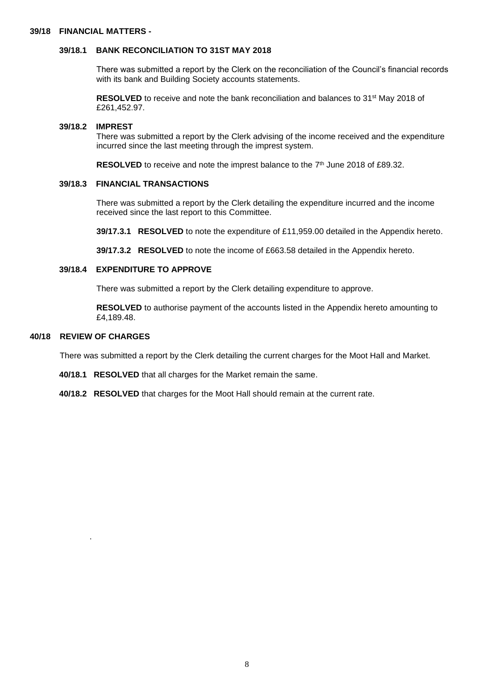## **39/18 FINANCIAL MATTERS -**

# **39/18.1 BANK RECONCILIATION TO 31ST MAY 2018**

 There was submitted a report by the Clerk on the reconciliation of the Council's financial records with its bank and Building Society accounts statements.

**RESOLVED** to receive and note the bank reconciliation and balances to 31<sup>st</sup> May 2018 of £261,452.97.

#### **39/18.2 IMPREST**

 There was submitted a report by the Clerk advising of the income received and the expenditure incurred since the last meeting through the imprest system.

**RESOLVED** to receive and note the imprest balance to the  $7<sup>th</sup>$  June 2018 of £89.32.

#### **39/18.3 FINANCIAL TRANSACTIONS**

 There was submitted a report by the Clerk detailing the expenditure incurred and the income received since the last report to this Committee.

 **39/17.3.1 RESOLVED** to note the expenditure of £11,959.00 detailed in the Appendix hereto.

 **39/17.3.2 RESOLVED** to note the income of £663.58 detailed in the Appendix hereto.

## **39/18.4 EXPENDITURE TO APPROVE**

There was submitted a report by the Clerk detailing expenditure to approve.

 **RESOLVED** to authorise payment of the accounts listed in the Appendix hereto amounting to £4,189.48.

#### **40/18 REVIEW OF CHARGES**

.

There was submitted a report by the Clerk detailing the current charges for the Moot Hall and Market.

- **40/18.1 RESOLVED** that all charges for the Market remain the same.
- **40/18.2 RESOLVED** that charges for the Moot Hall should remain at the current rate.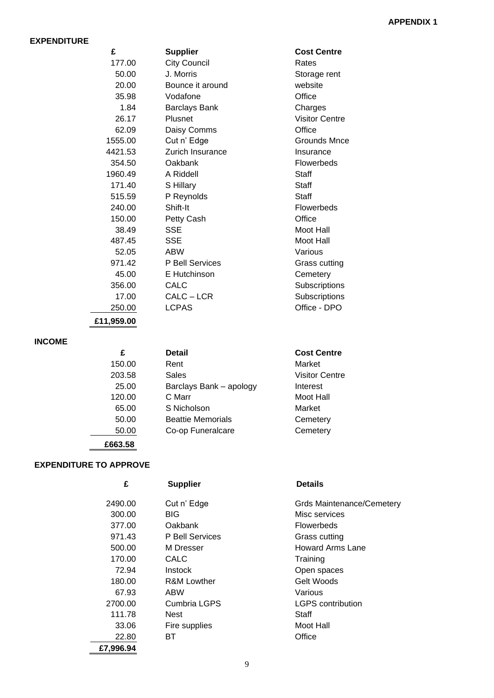## **EXPENDITURE**

| £       | <b>Supplier</b>        | <b>Cost Centre</b>    |
|---------|------------------------|-----------------------|
| 177.00  | <b>City Council</b>    | Rates                 |
| 50.00   | J. Morris              | Storage rent          |
| 20.00   | Bounce it around       | website               |
| 35.98   | Vodafone               | Office                |
| 1.84    | <b>Barclays Bank</b>   | Charges               |
| 26.17   | Plusnet                | <b>Visitor Centre</b> |
| 62.09   | Daisy Comms            | Office                |
| 1555.00 | Cut n' Edge            | Grounds Mnce          |
| 4421.53 | Zurich Insurance       | Insurance             |
| 354.50  | Oakbank                | Flowerbeds            |
| 1960.49 | A Riddell              | Staff                 |
| 171.40  | S Hillary              | Staff                 |
| 515.59  | P Reynolds             | Staff                 |
| 240.00  | Shift-It               | Flowerbeds            |
| 150.00  | Petty Cash             | Office                |
| 38.49   | SSE                    | Moot Hall             |
| 487.45  | <b>SSE</b>             | Moot Hall             |
| 52.05   | <b>ABW</b>             | Various               |
| 971.42  | <b>P Bell Services</b> | Grass cutting         |
| 45.00   | E Hutchinson           | Cemetery              |
| 356.00  | CALC                   | Subscriptions         |
| 17.00   | CALC – LCR             | Subscriptions         |
| 250.00  | <b>LCPAS</b>           | Office - DPO          |
|         |                        |                       |

**£11,959.00**

# **INCOME**

 **£663.58**

 **EXPENDITURE TO APPROVE**

| £      | <b>Detail</b>            | <b>Cost Centre</b>    |
|--------|--------------------------|-----------------------|
| 150.00 | Rent                     | Market                |
| 203.58 | Sales                    | <b>Visitor Centre</b> |
| 25.00  | Barclays Bank - apology  | Interest              |
| 120.00 | C Marr                   | Moot Hall             |
| 65.00  | S Nicholson              | Market                |
| 50.00  | <b>Beattie Memorials</b> | Cemetery              |
| 50.00  | Co-op Funeralcare        | Cemetery              |
|        |                          |                       |

# **£ Supplier Details**

**£ Supplier Cost Centre**

| 2490.00   | Cut n' Edge     | Grds Maintenance/Cemetery |
|-----------|-----------------|---------------------------|
| 300.00    | <b>BIG</b>      | Misc services             |
| 377.00    | Oakbank         | <b>Flowerbeds</b>         |
| 971.43    | P Bell Services | Grass cutting             |
| 500.00    | M Dresser       | Howard Arms Lane          |
| 170.00    | CALC            | Training                  |
| 72.94     | Instock         | Open spaces               |
| 180.00    | R&M Lowther     | Gelt Woods                |
| 67.93     | ABW             | Various                   |
| 2700.00   | Cumbria LGPS    | <b>LGPS</b> contribution  |
| 111.78    | Nest            | Staff                     |
| 33.06     | Fire supplies   | Moot Hall                 |
| 22.80     | ВT              | Office                    |
| £7,996.94 |                 |                           |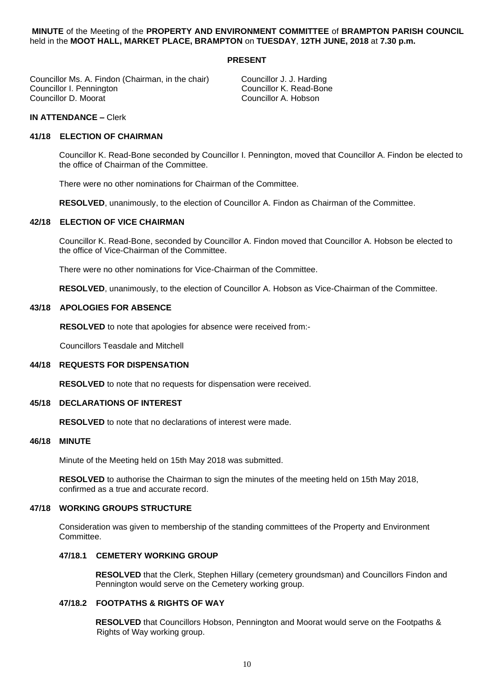## **MINUTE** of the Meeting of the **PROPERTY AND ENVIRONMENT COMMITTEE** of **BRAMPTON PARISH COUNCIL** held in the **MOOT HALL, MARKET PLACE, BRAMPTON** on **TUESDAY**, **12TH JUNE, 2018** at **7.30 p.m.**

## **PRESENT**

Councillor Ms. A. Findon (Chairman, in the chair) Councillor J. J. Harding Councillor D. Moorat

Councillor K. Read-Bone<br>Councillor A. Hobson

## **IN ATTENDANCE –** Clerk

#### **41/18 ELECTION OF CHAIRMAN**

Councillor K. Read-Bone seconded by Councillor I. Pennington, moved that Councillor A. Findon be elected to the office of Chairman of the Committee.

There were no other nominations for Chairman of the Committee.

**RESOLVED**, unanimously, to the election of Councillor A. Findon as Chairman of the Committee.

## **42/18 ELECTION OF VICE CHAIRMAN**

Councillor K. Read-Bone, seconded by Councillor A. Findon moved that Councillor A. Hobson be elected to the office of Vice-Chairman of the Committee.

There were no other nominations for Vice-Chairman of the Committee.

**RESOLVED**, unanimously, to the election of Councillor A. Hobson as Vice-Chairman of the Committee.

#### **43/18 APOLOGIES FOR ABSENCE**

**RESOLVED** to note that apologies for absence were received from:-

Councillors Teasdale and Mitchell

#### **44/18 REQUESTS FOR DISPENSATION**

**RESOLVED** to note that no requests for dispensation were received.

## **45/18 DECLARATIONS OF INTEREST**

**RESOLVED** to note that no declarations of interest were made.

#### **46/18 MINUTE**

Minute of the Meeting held on 15th May 2018 was submitted.

**RESOLVED** to authorise the Chairman to sign the minutes of the meeting held on 15th May 2018, confirmed as a true and accurate record.

## **47/18 WORKING GROUPS STRUCTURE**

Consideration was given to membership of the standing committees of the Property and Environment Committee.

#### **47/18.1 CEMETERY WORKING GROUP**

 **RESOLVED** that the Clerk, Stephen Hillary (cemetery groundsman) and Councillors Findon and Pennington would serve on the Cemetery working group.

## **47/18.2 FOOTPATHS & RIGHTS OF WAY**

 **RESOLVED** that Councillors Hobson, Pennington and Moorat would serve on the Footpaths & Rights of Way working group.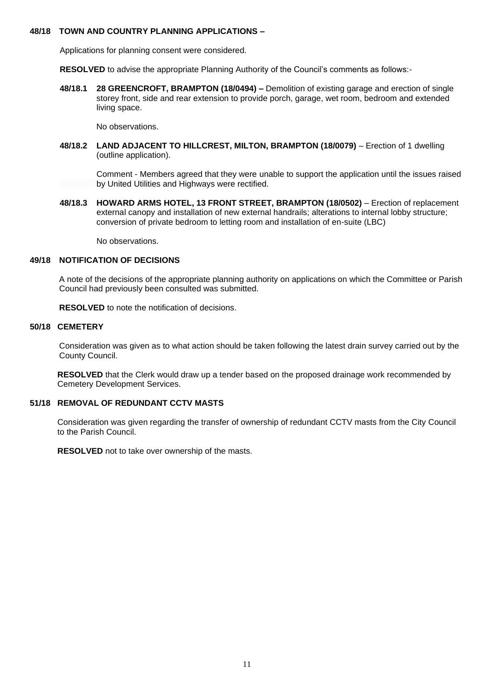## **48/18 TOWN AND COUNTRY PLANNING APPLICATIONS –**

Applications for planning consent were considered.

**RESOLVED** to advise the appropriate Planning Authority of the Council's comments as follows:-

**48/18.1 28 GREENCROFT, BRAMPTON (18/0494) –** Demolition of existing garage and erection of single storey front, side and rear extension to provide porch, garage, wet room, bedroom and extended living space.

No observations.

**48/18.2 LAND ADJACENT TO HILLCREST, MILTON, BRAMPTON (18/0079)** – Erection of 1 dwelling (outline application).

 Comment - Members agreed that they were unable to support the application until the issues raised by United Utilities and Highways were rectified.

**48/18.3 HOWARD ARMS HOTEL, 13 FRONT STREET, BRAMPTON (18/0502)** – Erection of replacement external canopy and installation of new external handrails; alterations to internal lobby structure; conversion of private bedroom to letting room and installation of en-suite (LBC)

No observations.

## **49/18 NOTIFICATION OF DECISIONS**

A note of the decisions of the appropriate planning authority on applications on which the Committee or Parish Council had previously been consulted was submitted.

**RESOLVED** to note the notification of decisions.

## **50/18 CEMETERY**

Consideration was given as to what action should be taken following the latest drain survey carried out by the County Council.

 **RESOLVED** that the Clerk would draw up a tender based on the proposed drainage work recommended by Cemetery Development Services.

## **51/18 REMOVAL OF REDUNDANT CCTV MASTS**

Consideration was given regarding the transfer of ownership of redundant CCTV masts from the City Council to the Parish Council.

**RESOLVED** not to take over ownership of the masts.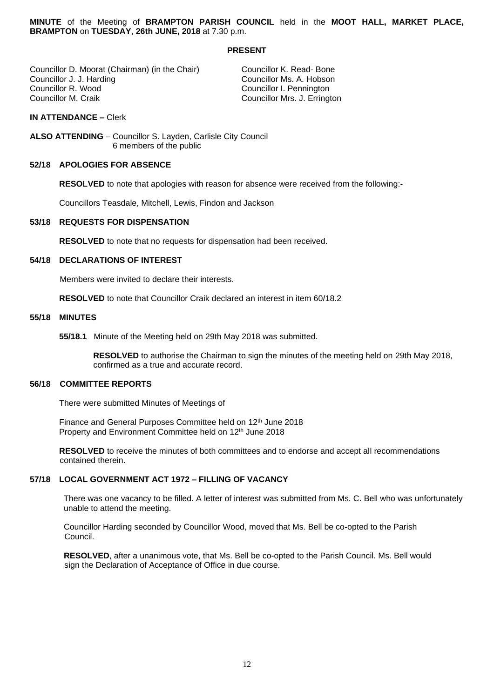**MINUTE** of the Meeting of **BRAMPTON PARISH COUNCIL** held in the **MOOT HALL, MARKET PLACE, BRAMPTON** on **TUESDAY**, **26th JUNE, 2018** at 7.30 p.m.

#### **PRESENT**

Councillor D. Moorat (Chairman) (in the Chair) Councillor K. Read- Bone<br>Councillor J. J. Harding Councillor Ms. A. Hobson Councillor J. J. Harding Councillor Ms. A. Hobson Councillor R. Wood **Councillor R. Wood** Councillor R. Wood Councillor I. Pennington<br>Councillor M. Craik Councillor Mrs. J. Errington

Councillor Mrs. J. Errington

## **IN ATTENDANCE –** Clerk

**ALSO ATTENDING** – Councillor S. Layden, Carlisle City Council 6 members of the public

#### **52/18 APOLOGIES FOR ABSENCE**

**RESOLVED** to note that apologies with reason for absence were received from the following:-

Councillors Teasdale, Mitchell, Lewis, Findon and Jackson

## **53/18 REQUESTS FOR DISPENSATION**

**RESOLVED** to note that no requests for dispensation had been received.

#### **54/18 DECLARATIONS OF INTEREST**

Members were invited to declare their interests.

**RESOLVED** to note that Councillor Craik declared an interest in item 60/18.2

#### **55/18 MINUTES**

**55/18.1** Minute of the Meeting held on 29th May 2018 was submitted.

 **RESOLVED** to authorise the Chairman to sign the minutes of the meeting held on 29th May 2018, confirmed as a true and accurate record.

#### **56/18 COMMITTEE REPORTS**

There were submitted Minutes of Meetings of

Finance and General Purposes Committee held on 12<sup>th</sup> June 2018 Property and Environment Committee held on 12<sup>th</sup> June 2018

**RESOLVED** to receive the minutes of both committees and to endorse and accept all recommendations contained therein.

#### **57/18 LOCAL GOVERNMENT ACT 1972 – FILLING OF VACANCY**

 There was one vacancy to be filled. A letter of interest was submitted from Ms. C. Bell who was unfortunately unable to attend the meeting.

 Councillor Harding seconded by Councillor Wood, moved that Ms. Bell be co-opted to the Parish Council.

 **RESOLVED**, after a unanimous vote, that Ms. Bell be co-opted to the Parish Council. Ms. Bell would sign the Declaration of Acceptance of Office in due course.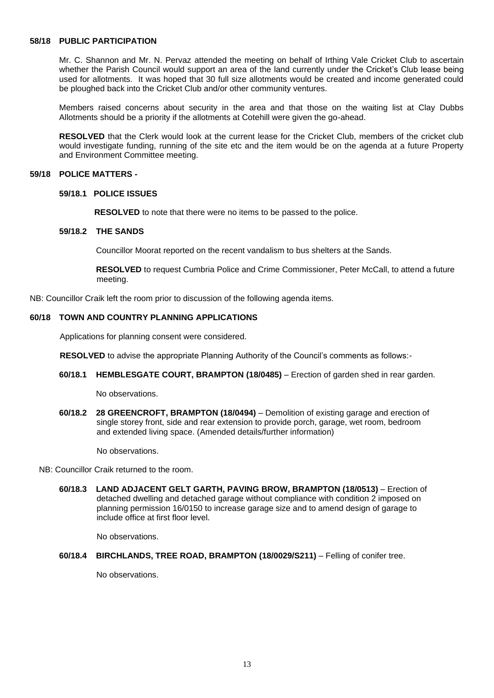## **58/18 PUBLIC PARTICIPATION**

Mr. C. Shannon and Mr. N. Pervaz attended the meeting on behalf of Irthing Vale Cricket Club to ascertain whether the Parish Council would support an area of the land currently under the Cricket's Club lease being used for allotments. It was hoped that 30 full size allotments would be created and income generated could be ploughed back into the Cricket Club and/or other community ventures.

Members raised concerns about security in the area and that those on the waiting list at Clay Dubbs Allotments should be a priority if the allotments at Cotehill were given the go-ahead.

**RESOLVED** that the Clerk would look at the current lease for the Cricket Club, members of the cricket club would investigate funding, running of the site etc and the item would be on the agenda at a future Property and Environment Committee meeting.

#### **59/18 POLICE MATTERS -**

#### **59/18.1 POLICE ISSUES**

 **RESOLVED** to note that there were no items to be passed to the police.

## **59/18.2 THE SANDS**

Councillor Moorat reported on the recent vandalism to bus shelters at the Sands.

 **RESOLVED** to request Cumbria Police and Crime Commissioner, Peter McCall, to attend a future meeting.

NB: Councillor Craik left the room prior to discussion of the following agenda items.

#### **60/18 TOWN AND COUNTRY PLANNING APPLICATIONS**

Applications for planning consent were considered.

**RESOLVED** to advise the appropriate Planning Authority of the Council's comments as follows:-

**60/18.1 HEMBLESGATE COURT, BRAMPTON (18/0485)** – Erection of garden shed in rear garden.

No observations.

**60/18.2 28 GREENCROFT, BRAMPTON (18/0494)** – Demolition of existing garage and erection of single storey front, side and rear extension to provide porch, garage, wet room, bedroom and extended living space. (Amended details/further information)

No observations.

NB: Councillor Craik returned to the room.

**60/18.3 LAND ADJACENT GELT GARTH, PAVING BROW, BRAMPTON (18/0513)** – Erection of detached dwelling and detached garage without compliance with condition 2 imposed on planning permission 16/0150 to increase garage size and to amend design of garage to include office at first floor level.

No observations.

**60/18.4 BIRCHLANDS, TREE ROAD, BRAMPTON (18/0029/S211)** – Felling of conifer tree.

No observations.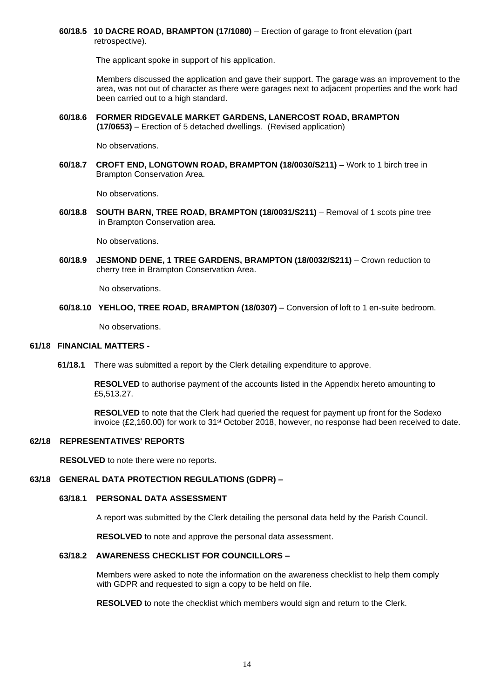**60/18.5 10 DACRE ROAD, BRAMPTON (17/1080)** – Erection of garage to front elevation (part retrospective).

The applicant spoke in support of his application.

 Members discussed the application and gave their support. The garage was an improvement to the area, was not out of character as there were garages next to adjacent properties and the work had been carried out to a high standard.

**60/18.6 FORMER RIDGEVALE MARKET GARDENS, LANERCOST ROAD, BRAMPTON (17/0653)** – Erection of 5 detached dwellings. (Revised application)

No observations.

**60/18.7 CROFT END, LONGTOWN ROAD, BRAMPTON (18/0030/S211)** – Work to 1 birch tree in Brampton Conservation Area.

No observations.

**60/18.8 SOUTH BARN, TREE ROAD, BRAMPTON (18/0031/S211)** – Removal of 1 scots pine tree  **i**n Brampton Conservation area.

No observations.

**60/18.9 JESMOND DENE, 1 TREE GARDENS, BRAMPTON (18/0032/S211)** – Crown reduction to cherry tree in Brampton Conservation Area.

No observations.

**60/18.10 YEHLOO, TREE ROAD, BRAMPTON (18/0307)** – Conversion of loft to 1 en-suite bedroom.

No observations.

#### **61/18 FINANCIAL MATTERS -**

 **61/18.1** There was submitted a report by the Clerk detailing expenditure to approve.

 **RESOLVED** to authorise payment of the accounts listed in the Appendix hereto amounting to £5,513.27.

 **RESOLVED** to note that the Clerk had queried the request for payment up front for the Sodexo invoice (£2,160.00) for work to 31st October 2018, however, no response had been received to date.

## **62/18 REPRESENTATIVES' REPORTS**

 **RESOLVED** to note there were no reports.

#### **63/18 GENERAL DATA PROTECTION REGULATIONS (GDPR) –**

#### **63/18.1 PERSONAL DATA ASSESSMENT**

A report was submitted by the Clerk detailing the personal data held by the Parish Council.

**RESOLVED** to note and approve the personal data assessment.

## **63/18.2 AWARENESS CHECKLIST FOR COUNCILLORS –**

Members were asked to note the information on the awareness checklist to help them comply with GDPR and requested to sign a copy to be held on file.

**RESOLVED** to note the checklist which members would sign and return to the Clerk.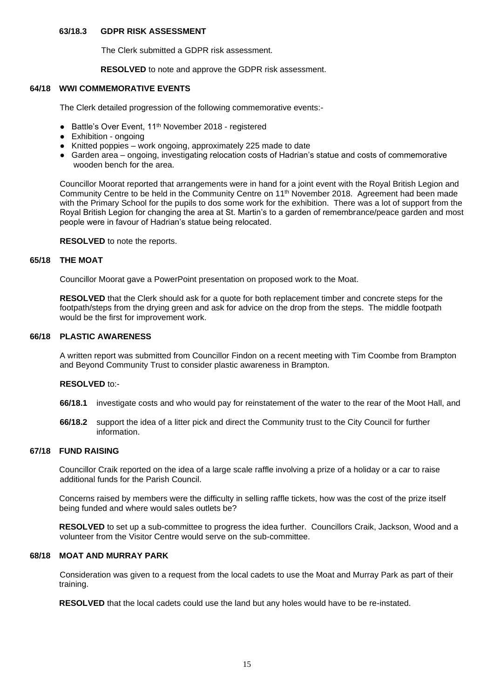## **63/18.3 GDPR RISK ASSESSMENT**

The Clerk submitted a GDPR risk assessment.

**RESOLVED** to note and approve the GDPR risk assessment.

#### **64/18 WWI COMMEMORATIVE EVENTS**

The Clerk detailed progression of the following commemorative events:-

- Battle's Over Event, 11<sup>th</sup> November 2018 registered
- Exhibition ongoing
- Knitted poppies work ongoing, approximately 225 made to date
- Garden area ongoing, investigating relocation costs of Hadrian's statue and costs of commemorative wooden bench for the area.

Councillor Moorat reported that arrangements were in hand for a joint event with the Royal British Legion and Community Centre to be held in the Community Centre on 11th November 2018. Agreement had been made with the Primary School for the pupils to dos some work for the exhibition. There was a lot of support from the Royal British Legion for changing the area at St. Martin's to a garden of remembrance/peace garden and most people were in favour of Hadrian's statue being relocated.

#### **RESOLVED** to note the reports.

#### **65/18 THE MOAT**

Councillor Moorat gave a PowerPoint presentation on proposed work to the Moat.

**RESOLVED** that the Clerk should ask for a quote for both replacement timber and concrete steps for the footpath/steps from the drying green and ask for advice on the drop from the steps. The middle footpath would be the first for improvement work.

## **66/18 PLASTIC AWARENESS**

A written report was submitted from Councillor Findon on a recent meeting with Tim Coombe from Brampton and Beyond Community Trust to consider plastic awareness in Brampton.

#### **RESOLVED** to:-

- **66/18.1** investigate costs and who would pay for reinstatement of the water to the rear of the Moot Hall, and
- **66/18.2** support the idea of a litter pick and direct the Community trust to the City Council for further information.

## **67/18 FUND RAISING**

Councillor Craik reported on the idea of a large scale raffle involving a prize of a holiday or a car to raise additional funds for the Parish Council.

Concerns raised by members were the difficulty in selling raffle tickets, how was the cost of the prize itself being funded and where would sales outlets be?

**RESOLVED** to set up a sub-committee to progress the idea further. Councillors Craik, Jackson, Wood and a volunteer from the Visitor Centre would serve on the sub-committee.

#### **68/18 MOAT AND MURRAY PARK**

Consideration was given to a request from the local cadets to use the Moat and Murray Park as part of their training.

**RESOLVED** that the local cadets could use the land but any holes would have to be re-instated.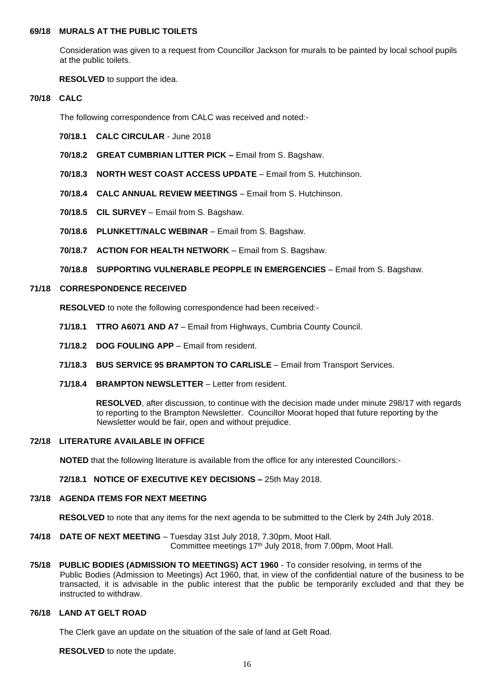## **69/18 MURALS AT THE PUBLIC TOILETS**

Consideration was given to a request from Councillor Jackson for murals to be painted by local school pupils at the public toilets.

**RESOLVED** to support the idea.

#### **70/18 CALC**

The following correspondence from CALC was received and noted:-

- **70/18.1 CALC CIRCULAR** June 2018
- **70/18.2 GREAT CUMBRIAN LITTER PICK –** Email from S. Bagshaw.
- **70/18.3 NORTH WEST COAST ACCESS UPDATE**  Email from S. Hutchinson.
- **70/18.4 CALC ANNUAL REVIEW MEETINGS** Email from S. Hutchinson.
- **70/18.5 CIL SURVEY** Email from S. Bagshaw.
- **70/18.6 PLUNKETT/NALC WEBINAR** Email from S. Bagshaw.
- **70/18.7 ACTION FOR HEALTH NETWORK** Email from S. Bagshaw.

**70/18.8 SUPPORTING VULNERABLE PEOPPLE IN EMERGENCIES** – Email from S. Bagshaw.

## **71/18 CORRESPONDENCE RECEIVED**

**RESOLVED** to note the following correspondence had been received:-

- **71/18.1 TTRO A6071 AND A7** Email from Highways, Cumbria County Council.
- **71/18.2 DOG FOULING APP** Email from resident.
- **71/18.3 BUS SERVICE 95 BRAMPTON TO CARLISLE** Email from Transport Services.
- **71/18.4 BRAMPTON NEWSLETTER** Letter from resident.

 **RESOLVED**, after discussion, to continue with the decision made under minute 298/17 with regards to reporting to the Brampton Newsletter. Councillor Moorat hoped that future reporting by the Newsletter would be fair, open and without prejudice.

#### **72/18 LITERATURE AVAILABLE IN OFFICE**

**NOTED** that the following literature is available from the office for any interested Councillors:-

**72/18.1 NOTICE OF EXECUTIVE KEY DECISIONS –** 25th May 2018.

## **73/18 AGENDA ITEMS FOR NEXT MEETING**

**RESOLVED** to note that any items for the next agenda to be submitted to the Clerk by 24th July 2018.

- **74/18 DATE OF NEXT MEETING**  Tuesday 31st July 2018, 7.30pm, Moot Hall. Committee meetings 17 th July 2018, from 7.00pm, Moot Hall.
- **75/18 PUBLIC BODIES (ADMISSION TO MEETINGS) ACT 1960** To consider resolving, in terms of the Public Bodies (Admission to Meetings) Act 1960, that, in view of the confidential nature of the business to be transacted, it is advisable in the public interest that the public be temporarily excluded and that they be instructed to withdraw.

## **76/18 LAND AT GELT ROAD**

The Clerk gave an update on the situation of the sale of land at Gelt Road.

**RESOLVED** to note the update.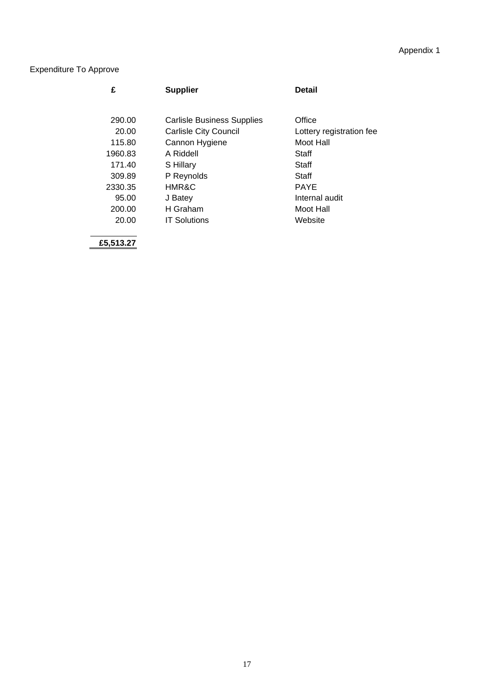# Appendix 1

# Expenditure To Approve

| £       | <b>Supplier</b>              | <b>Detail</b>            |
|---------|------------------------------|--------------------------|
|         |                              |                          |
| 290.00  | Carlisle Business Supplies   | Office                   |
| 20.00   | <b>Carlisle City Council</b> | Lottery registration fee |
| 115.80  | Cannon Hygiene               | Moot Hall                |
| 1960.83 | A Riddell                    | Staff                    |
| 171.40  | S Hillary                    | Staff                    |
| 309.89  | P Reynolds                   | Staff                    |
| 2330.35 | <b>HMR&amp;C</b>             | <b>PAYE</b>              |
| 95.00   | J Batey                      | Internal audit           |
| 200.00  | H Graham                     | Moot Hall                |
| 20.00   | <b>IT Solutions</b>          | Website                  |
|         |                              |                          |

**£5,513.27**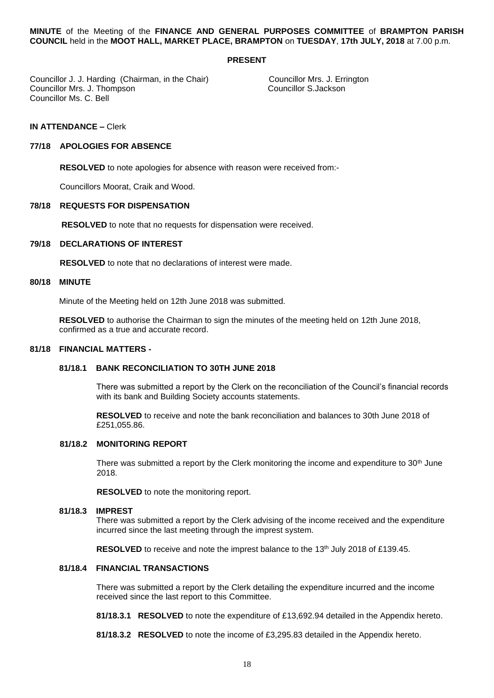**MINUTE** of the Meeting of the **FINANCE AND GENERAL PURPOSES COMMITTEE** of **BRAMPTON PARISH COUNCIL** held in the **MOOT HALL, MARKET PLACE, BRAMPTON** on **TUESDAY**, **17th JULY, 2018** at 7.00 p.m.

#### **PRESENT**

Councillor J. J. Harding (Chairman, in the Chair) Councillor Mrs. J. Errington<br>Councillor Mrs. J. Thompson Councillor S. Jackson Councillor Mrs. J. Thompson Councillor Ms. C. Bell

**IN ATTENDANCE –** Clerk

#### **77/18 APOLOGIES FOR ABSENCE**

**RESOLVED** to note apologies for absence with reason were received from:-

Councillors Moorat, Craik and Wood.

#### **78/18 REQUESTS FOR DISPENSATION**

**RESOLVED** to note that no requests for dispensation were received.

#### **79/18 DECLARATIONS OF INTEREST**

 **RESOLVED** to note that no declarations of interest were made.

#### **80/18 MINUTE**

Minute of the Meeting held on 12th June 2018 was submitted.

**RESOLVED** to authorise the Chairman to sign the minutes of the meeting held on 12th June 2018, confirmed as a true and accurate record.

#### **81/18 FINANCIAL MATTERS -**

## **81/18.1 BANK RECONCILIATION TO 30TH JUNE 2018**

 There was submitted a report by the Clerk on the reconciliation of the Council's financial records with its bank and Building Society accounts statements.

 **RESOLVED** to receive and note the bank reconciliation and balances to 30th June 2018 of £251,055.86.

#### **81/18.2 MONITORING REPORT**

There was submitted a report by the Clerk monitoring the income and expenditure to 30<sup>th</sup> June 2018.

**RESOLVED** to note the monitoring report.

#### **81/18.3 IMPREST**

 There was submitted a report by the Clerk advising of the income received and the expenditure incurred since the last meeting through the imprest system.

**RESOLVED** to receive and note the imprest balance to the 13<sup>th</sup> July 2018 of £139.45.

## **81/18.4 FINANCIAL TRANSACTIONS**

 There was submitted a report by the Clerk detailing the expenditure incurred and the income received since the last report to this Committee.

 **81/18.3.1 RESOLVED** to note the expenditure of £13,692.94 detailed in the Appendix hereto.

 **81/18.3.2 RESOLVED** to note the income of £3,295.83 detailed in the Appendix hereto.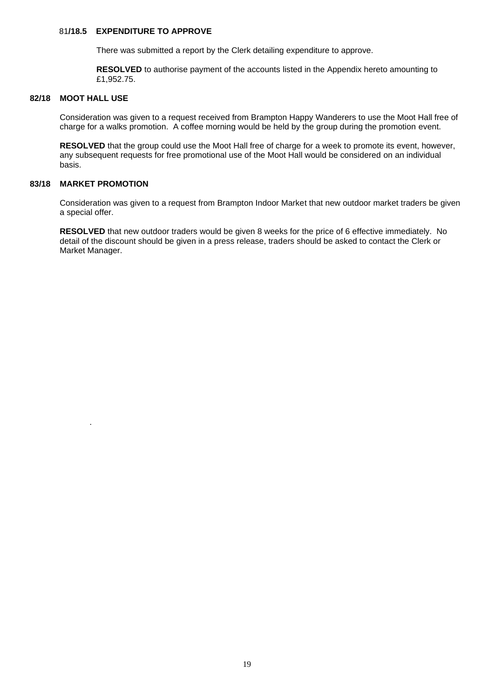## 81**/18.5 EXPENDITURE TO APPROVE**

There was submitted a report by the Clerk detailing expenditure to approve.

 **RESOLVED** to authorise payment of the accounts listed in the Appendix hereto amounting to £1,952.75.

## **82/18 MOOT HALL USE**

Consideration was given to a request received from Brampton Happy Wanderers to use the Moot Hall free of charge for a walks promotion. A coffee morning would be held by the group during the promotion event.

**RESOLVED** that the group could use the Moot Hall free of charge for a week to promote its event, however, any subsequent requests for free promotional use of the Moot Hall would be considered on an individual basis.

## **83/18 MARKET PROMOTION**

.

Consideration was given to a request from Brampton Indoor Market that new outdoor market traders be given a special offer.

**RESOLVED** that new outdoor traders would be given 8 weeks for the price of 6 effective immediately. No detail of the discount should be given in a press release, traders should be asked to contact the Clerk or Market Manager.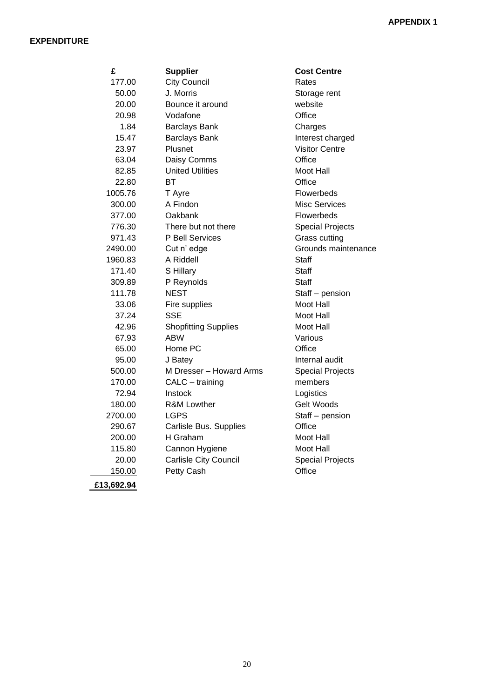## **EXPENDITURE**

| £          | <b>Supplier</b>              | <b>Cost Centre</b>      |
|------------|------------------------------|-------------------------|
| 177.00     | <b>City Council</b>          | Rates                   |
| 50.00      | J. Morris                    | Storage rent            |
| 20.00      | Bounce it around             | website                 |
| 20.98      | Vodafone                     | Office                  |
| 1.84       | <b>Barclays Bank</b>         | Charges                 |
| 15.47      | <b>Barclays Bank</b>         | Interest charged        |
| 23.97      | Plusnet                      | <b>Visitor Centre</b>   |
| 63.04      | Daisy Comms                  | Office                  |
| 82.85      | <b>United Utilities</b>      | Moot Hall               |
| 22.80      | BТ                           | Office                  |
| 1005.76    | T Ayre                       | Flowerbeds              |
| 300.00     | A Findon                     | <b>Misc Services</b>    |
| 377.00     | Oakbank                      | Flowerbeds              |
| 776.30     | There but not there          | <b>Special Projects</b> |
| 971.43     | P Bell Services              | <b>Grass cutting</b>    |
| 2490.00    | Cut n' edge                  | Grounds maintenance     |
| 1960.83    | A Riddell                    | <b>Staff</b>            |
| 171.40     | S Hillary                    | Staff                   |
| 309.89     | P Reynolds                   | Staff                   |
| 111.78     | <b>NEST</b>                  | Staff - pension         |
| 33.06      | Fire supplies                | Moot Hall               |
| 37.24      | <b>SSE</b>                   | Moot Hall               |
| 42.96      | <b>Shopfitting Supplies</b>  | Moot Hall               |
| 67.93      | <b>ABW</b>                   | Various                 |
| 65.00      | Home PC                      | Office                  |
| 95.00      | J Batey                      | Internal audit          |
| 500.00     | M Dresser - Howard Arms      | <b>Special Projects</b> |
| 170.00     | CALC - training              | members                 |
| 72.94      | <b>Instock</b>               | Logistics               |
| 180.00     | <b>R&amp;M Lowther</b>       | Gelt Woods              |
| 2700.00    | <b>LGPS</b>                  | Staff - pension         |
| 290.67     | Carlisle Bus. Supplies       | Office                  |
| 200.00     | H Graham                     | Moot Hall               |
| 115.80     | Cannon Hygiene               | Moot Hall               |
| 20.00      | <b>Carlisle City Council</b> | <b>Special Projects</b> |
| 150.00     | Petty Cash                   | Office                  |
| £13,692.94 |                              |                         |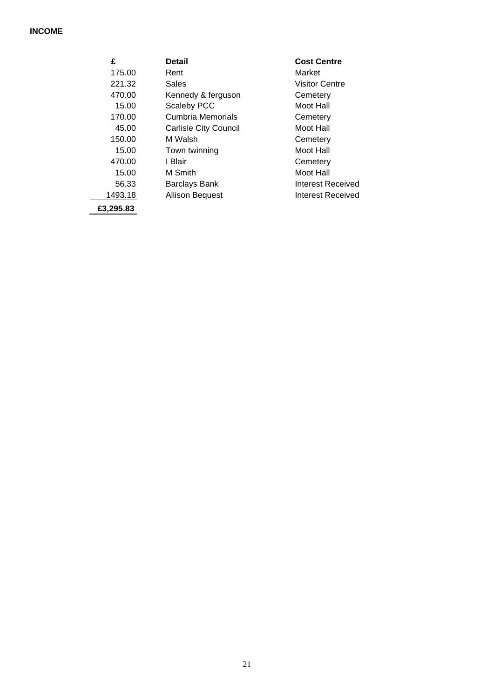# **INCOME**

| £         | <b>Detail</b>                | <b>Cost Centre</b>    |
|-----------|------------------------------|-----------------------|
| 175.00    | Rent                         | Market                |
| 221.32    | Sales                        | <b>Visitor Centre</b> |
| 470.00    | Kennedy & ferguson           | Cemetery              |
| 15.00     | Scaleby PCC                  | Moot Hall             |
| 170.00    | Cumbria Memorials            | Cemetery              |
| 45.00     | <b>Carlisle City Council</b> | Moot Hall             |
| 150.00    | M Walsh                      | Cemetery              |
| 15.00     | Town twinning                | Moot Hall             |
| 470.00    | I Blair                      | Cemetery              |
| 15.00     | M Smith                      | Moot Hall             |
| 56.33     | Barclays Bank                | Interest Received     |
| 1493.18   | Allison Bequest              | Interest Received     |
| £3,295.83 |                              |                       |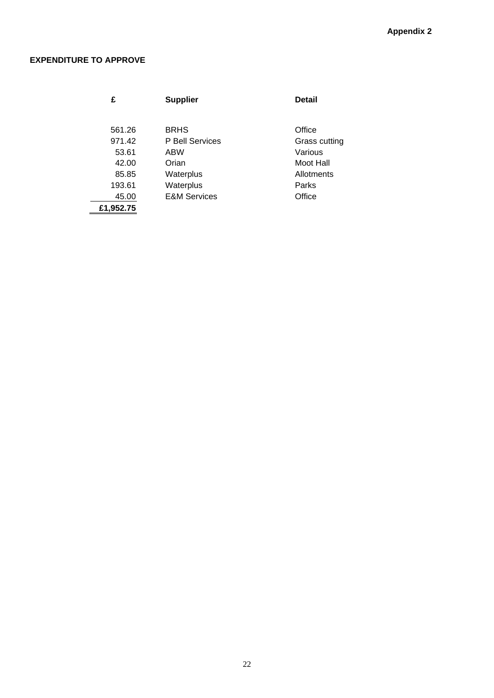# **EXPENDITURE TO APPROVE**

| £         | <b>Supplier</b>         | <b>Detail</b> |
|-----------|-------------------------|---------------|
|           |                         |               |
|           |                         |               |
| 561.26    | <b>BRHS</b>             | Office        |
| 971.42    | P Bell Services         | Grass cutting |
| 53.61     | ABW                     | Various       |
| 42.00     | Orian                   | Moot Hall     |
| 85.85     | Waterplus               | Allotments    |
| 193.61    | Waterplus               | Parks         |
| 45.00     | <b>E&amp;M Services</b> | Office        |
| £1.952.75 |                         |               |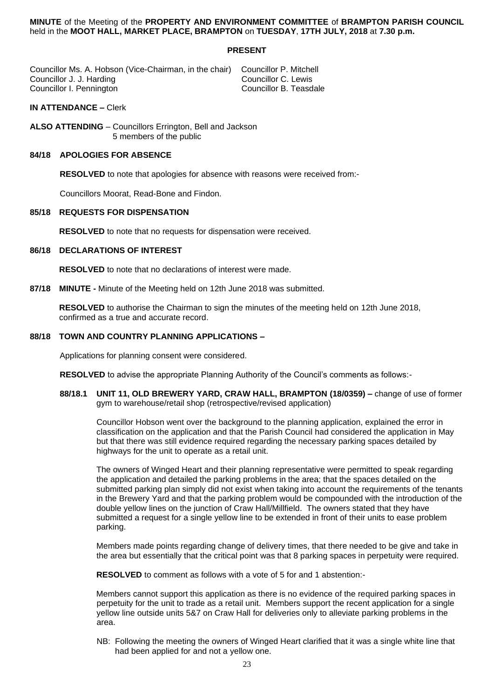#### **MINUTE** of the Meeting of the **PROPERTY AND ENVIRONMENT COMMITTEE** of **BRAMPTON PARISH COUNCIL** held in the **MOOT HALL, MARKET PLACE, BRAMPTON** on **TUESDAY**, **17TH JULY, 2018** at **7.30 p.m.**

## **PRESENT**

Councillor Ms. A. Hobson (Vice-Chairman, in the chair) Councillor P. Mitchell Councillor J. J. Harding **Councillor C. Lewis**<br>Councillor I. Pennington **Councillor Councillor C. Lewis** Councillor I. Pennington

## **IN ATTENDANCE –** Clerk

**ALSO ATTENDING** – Councillors Errington, Bell and Jackson 5 members of the public

#### **84/18 APOLOGIES FOR ABSENCE**

**RESOLVED** to note that apologies for absence with reasons were received from:-

Councillors Moorat, Read-Bone and Findon.

## **85/18 REQUESTS FOR DISPENSATION**

**RESOLVED** to note that no requests for dispensation were received.

## **86/18 DECLARATIONS OF INTEREST**

**RESOLVED** to note that no declarations of interest were made.

**87/18 MINUTE -** Minute of the Meeting held on 12th June 2018 was submitted.

**RESOLVED** to authorise the Chairman to sign the minutes of the meeting held on 12th June 2018, confirmed as a true and accurate record.

## **88/18 TOWN AND COUNTRY PLANNING APPLICATIONS –**

Applications for planning consent were considered.

**RESOLVED** to advise the appropriate Planning Authority of the Council's comments as follows:-

**88/18.1 UNIT 11, OLD BREWERY YARD, CRAW HALL, BRAMPTON (18/0359) –** change of use of former gym to warehouse/retail shop (retrospective/revised application)

 Councillor Hobson went over the background to the planning application, explained the error in classification on the application and that the Parish Council had considered the application in May but that there was still evidence required regarding the necessary parking spaces detailed by highways for the unit to operate as a retail unit.

 The owners of Winged Heart and their planning representative were permitted to speak regarding the application and detailed the parking problems in the area; that the spaces detailed on the submitted parking plan simply did not exist when taking into account the requirements of the tenants in the Brewery Yard and that the parking problem would be compounded with the introduction of the double yellow lines on the junction of Craw Hall/Millfield. The owners stated that they have submitted a request for a single yellow line to be extended in front of their units to ease problem parking.

 Members made points regarding change of delivery times, that there needed to be give and take in the area but essentially that the critical point was that 8 parking spaces in perpetuity were required.

**RESOLVED** to comment as follows with a vote of 5 for and 1 abstention:-

 Members cannot support this application as there is no evidence of the required parking spaces in perpetuity for the unit to trade as a retail unit. Members support the recent application for a single yellow line outside units 5&7 on Craw Hall for deliveries only to alleviate parking problems in the area.

 NB: Following the meeting the owners of Winged Heart clarified that it was a single white line that had been applied for and not a yellow one.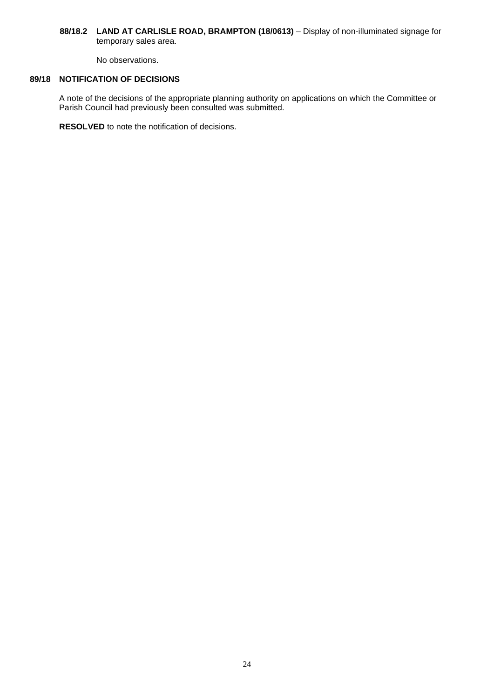## 88/18.2 LAND AT CARLISLE ROAD, BRAMPTON (18/0613) - Display of non-illuminated signage for temporary sales area.

No observations.

## **89/18 NOTIFICATION OF DECISIONS**

A note of the decisions of the appropriate planning authority on applications on which the Committee or Parish Council had previously been consulted was submitted.

**RESOLVED** to note the notification of decisions.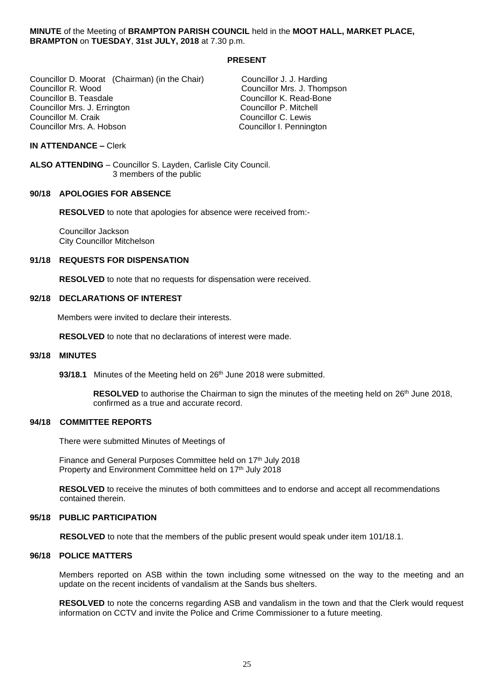**MINUTE** of the Meeting of **BRAMPTON PARISH COUNCIL** held in the **MOOT HALL, MARKET PLACE, BRAMPTON** on **TUESDAY**, **31st JULY, 2018** at 7.30 p.m.

#### **PRESENT**

Councillor D. Moorat (Chairman) (in the Chair) Councillor J. J. Harding Councillor R. Wood Councillor Mrs. J. Thompson Councillor Mrs. J. Errington<br>Councillor M. Craik Councillor Mrs. A. Hobson Councillor I. Pennington

Councillor K. Read-Bone<br>Councillor P. Mitchell Councillor C. Lewis

#### **IN ATTENDANCE –** Clerk

**ALSO ATTENDING** – Councillor S. Layden, Carlisle City Council. 3 members of the public

## **90/18 APOLOGIES FOR ABSENCE**

**RESOLVED** to note that apologies for absence were received from:-

Councillor Jackson City Councillor Mitchelson

#### **91/18 REQUESTS FOR DISPENSATION**

**RESOLVED** to note that no requests for dispensation were received.

#### **92/18 DECLARATIONS OF INTEREST**

Members were invited to declare their interests.

**RESOLVED** to note that no declarations of interest were made.

#### **93/18 MINUTES**

93/18.1 Minutes of the Meeting held on 26<sup>th</sup> June 2018 were submitted.

RESOLVED to authorise the Chairman to sign the minutes of the meeting held on 26<sup>th</sup> June 2018, confirmed as a true and accurate record.

## **94/18 COMMITTEE REPORTS**

There were submitted Minutes of Meetings of

Finance and General Purposes Committee held on 17<sup>th</sup> July 2018 Property and Environment Committee held on 17<sup>th</sup> July 2018

**RESOLVED** to receive the minutes of both committees and to endorse and accept all recommendations contained therein.

#### **95/18 PUBLIC PARTICIPATION**

**RESOLVED** to note that the members of the public present would speak under item 101/18.1.

#### **96/18 POLICE MATTERS**

Members reported on ASB within the town including some witnessed on the way to the meeting and an update on the recent incidents of vandalism at the Sands bus shelters.

**RESOLVED** to note the concerns regarding ASB and vandalism in the town and that the Clerk would request information on CCTV and invite the Police and Crime Commissioner to a future meeting.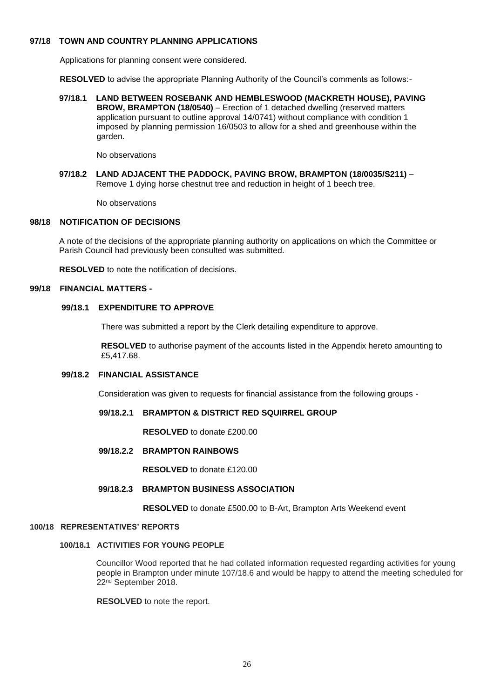## **97/18 TOWN AND COUNTRY PLANNING APPLICATIONS**

Applications for planning consent were considered.

**RESOLVED** to advise the appropriate Planning Authority of the Council's comments as follows:-

**97/18.1 LAND BETWEEN ROSEBANK AND HEMBLESWOOD (MACKRETH HOUSE), PAVING BROW, BRAMPTON (18/0540)** – Erection of 1 detached dwelling (reserved matters application pursuant to outline approval 14/0741) without compliance with condition 1 imposed by planning permission 16/0503 to allow for a shed and greenhouse within the garden.

No observations

**97/18.2 LAND ADJACENT THE PADDOCK, PAVING BROW, BRAMPTON (18/0035/S211)** – Remove 1 dying horse chestnut tree and reduction in height of 1 beech tree.

No observations

## **98/18 NOTIFICATION OF DECISIONS**

A note of the decisions of the appropriate planning authority on applications on which the Committee or Parish Council had previously been consulted was submitted.

**RESOLVED** to note the notification of decisions.

## **99/18 FINANCIAL MATTERS -**

## **99/18.1 EXPENDITURE TO APPROVE**

There was submitted a report by the Clerk detailing expenditure to approve.

 **RESOLVED** to authorise payment of the accounts listed in the Appendix hereto amounting to £5,417.68.

#### **99/18.2 FINANCIAL ASSISTANCE**

Consideration was given to requests for financial assistance from the following groups -

## **99/18.2.1 BRAMPTON & DISTRICT RED SQUIRREL GROUP**

 **RESOLVED** to donate £200.00

 **99/18.2.2 BRAMPTON RAINBOWS** 

 **RESOLVED** to donate £120.00

#### **99/18.2.3 BRAMPTON BUSINESS ASSOCIATION**

**RESOLVED** to donate £500.00 to B-Art, Brampton Arts Weekend event

#### **100/18 REPRESENTATIVES' REPORTS**

#### **100/18.1 ACTIVITIES FOR YOUNG PEOPLE**

 Councillor Wood reported that he had collated information requested regarding activities for young people in Brampton under minute 107/18.6 and would be happy to attend the meeting scheduled for 22nd September 2018.

**RESOLVED** to note the report.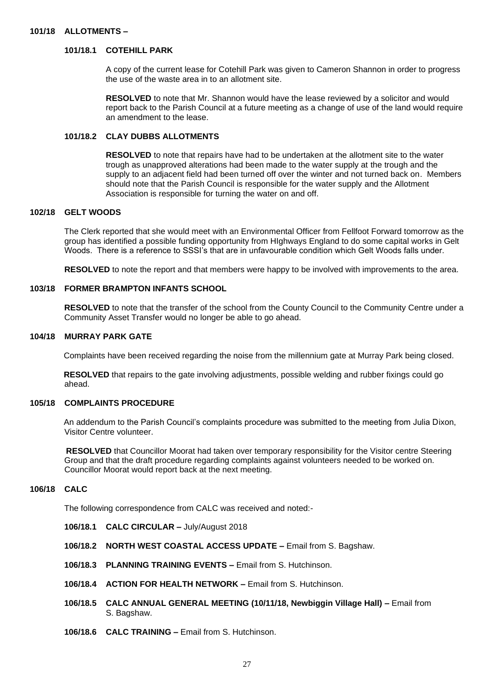## **101/18 ALLOTMENTS –**

## **101/18.1 COTEHILL PARK**

A copy of the current lease for Cotehill Park was given to Cameron Shannon in order to progress the use of the waste area in to an allotment site.

**RESOLVED** to note that Mr. Shannon would have the lease reviewed by a solicitor and would report back to the Parish Council at a future meeting as a change of use of the land would require an amendment to the lease.

## **101/18.2 CLAY DUBBS ALLOTMENTS**

 **RESOLVED** to note that repairs have had to be undertaken at the allotment site to the water trough as unapproved alterations had been made to the water supply at the trough and the supply to an adjacent field had been turned off over the winter and not turned back on. Members should note that the Parish Council is responsible for the water supply and the Allotment Association is responsible for turning the water on and off.

## **102/18 GELT WOODS**

The Clerk reported that she would meet with an Environmental Officer from Fellfoot Forward tomorrow as the group has identified a possible funding opportunity from HIghways England to do some capital works in Gelt Woods. There is a reference to SSSI's that are in unfavourable condition which Gelt Woods falls under.

**RESOLVED** to note the report and that members were happy to be involved with improvements to the area.

#### **103/18 FORMER BRAMPTON INFANTS SCHOOL**

 **RESOLVED** to note that the transfer of the school from the County Council to the Community Centre under a Community Asset Transfer would no longer be able to go ahead.

#### **104/18 MURRAY PARK GATE**

Complaints have been received regarding the noise from the millennium gate at Murray Park being closed.

 **RESOLVED** that repairs to the gate involving adjustments, possible welding and rubber fixings could go ahead.

## **105/18 COMPLAINTS PROCEDURE**

An addendum to the Parish Council's complaints procedure was submitted to the meeting from Julia Dixon, Visitor Centre volunteer.

 **RESOLVED** that Councillor Moorat had taken over temporary responsibility for the Visitor centre Steering Group and that the draft procedure regarding complaints against volunteers needed to be worked on. Councillor Moorat would report back at the next meeting.

## **106/18 CALC**

The following correspondence from CALC was received and noted:-

- **106/18.1 CALC CIRCULAR –** July/August 2018
- **106/18.2 NORTH WEST COASTAL ACCESS UPDATE –** Email from S. Bagshaw.
- **106/18.3 PLANNING TRAINING EVENTS –** Email from S. Hutchinson.
- **106/18.4 ACTION FOR HEALTH NETWORK –** Email from S. Hutchinson.
- **106/18.5 CALC ANNUAL GENERAL MEETING (10/11/18, Newbiggin Village Hall) –** Email from S. Bagshaw.
- **106/18.6 CALC TRAINING –** Email from S. Hutchinson.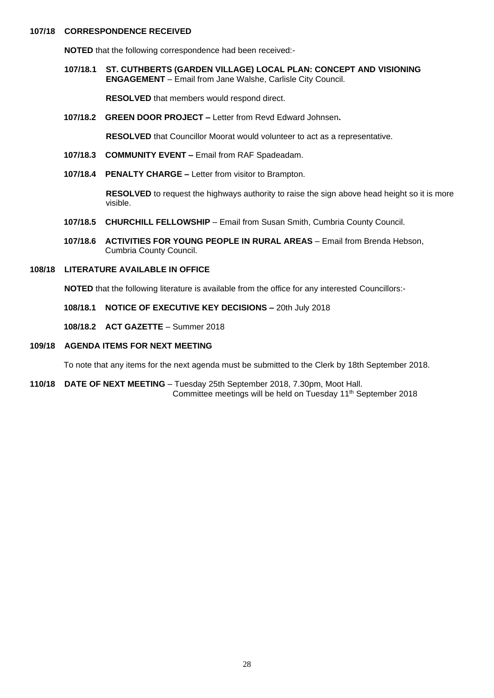## **107/18 CORRESPONDENCE RECEIVED**

 **NOTED** that the following correspondence had been received:-

**107/18.1 ST. CUTHBERTS (GARDEN VILLAGE) LOCAL PLAN: CONCEPT AND VISIONING ENGAGEMENT** – Email from Jane Walshe, Carlisle City Council.

**RESOLVED** that members would respond direct.

**107/18.2 GREEN DOOR PROJECT –** Letter from Revd Edward Johnsen**.**

 **RESOLVED** that Councillor Moorat would volunteer to act as a representative.

- **107/18.3 COMMUNITY EVENT –** Email from RAF Spadeadam.
- **107/18.4 PENALTY CHARGE –** Letter from visitor to Brampton.

 **RESOLVED** to request the highways authority to raise the sign above head height so it is more visible.

- **107/18.5 CHURCHILL FELLOWSHIP** Email from Susan Smith, Cumbria County Council.
- **107/18.6 ACTIVITIES FOR YOUNG PEOPLE IN RURAL AREAS** Email from Brenda Hebson, Cumbria County Council.

#### **108/18 LITERATURE AVAILABLE IN OFFICE**

**NOTED** that the following literature is available from the office for any interested Councillors:-

- **108/18.1 NOTICE OF EXECUTIVE KEY DECISIONS –** 20th July 2018
- **108/18.2 ACT GAZETTE** Summer 2018
- **109/18 AGENDA ITEMS FOR NEXT MEETING**

To note that any items for the next agenda must be submitted to the Clerk by 18th September 2018.

**110/18 DATE OF NEXT MEETING** – Tuesday 25th September 2018, 7.30pm, Moot Hall. Committee meetings will be held on Tuesday 11 th September 2018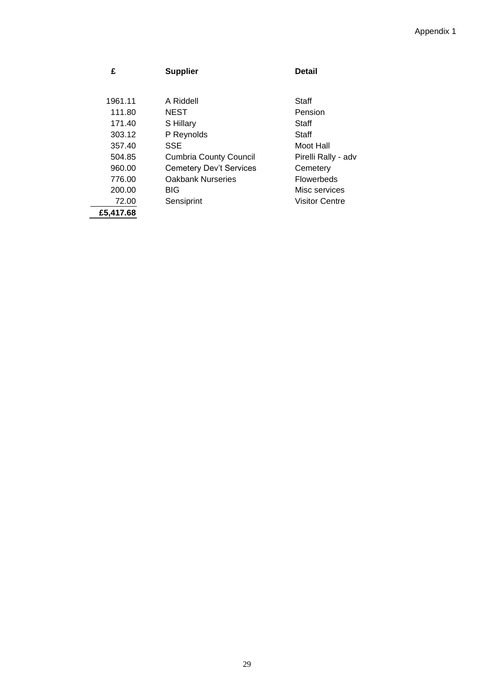## Appendix 1

| £         | <b>Supplier</b>                | <b>Detail</b>       |
|-----------|--------------------------------|---------------------|
|           |                                |                     |
|           |                                |                     |
| 1961.11   | A Riddell                      | Staff               |
| 111.80    | <b>NEST</b>                    | Pension             |
| 171.40    | S Hillary                      | Staff               |
| 303.12    | P Reynolds                     | Staff               |
| 357.40    | SSE                            | Moot Hall           |
| 504.85    | <b>Cumbria County Council</b>  | Pirelli Rally - adv |
| 960.00    | <b>Cemetery Dev't Services</b> | Cemetery            |
| 776.00    | <b>Oakbank Nurseries</b>       | <b>Flowerbeds</b>   |
| 200.00    | <b>BIG</b>                     | Misc services       |
| 72.00     | Sensiprint                     | Visitor Centre      |
| £5.417.68 |                                |                     |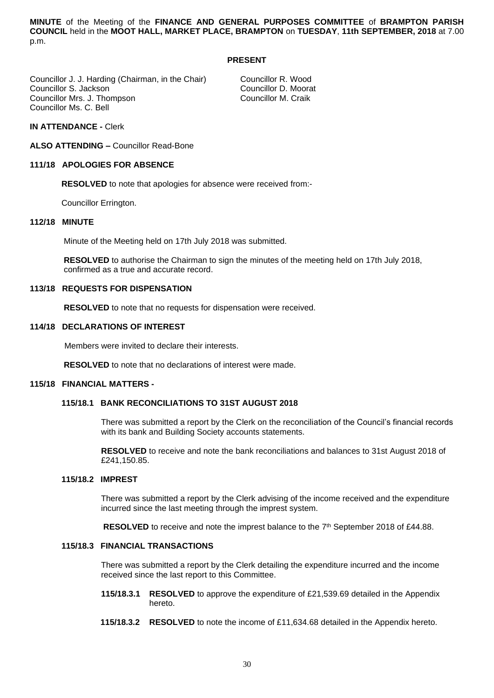**MINUTE** of the Meeting of the **FINANCE AND GENERAL PURPOSES COMMITTEE** of **BRAMPTON PARISH COUNCIL** held in the **MOOT HALL, MARKET PLACE, BRAMPTON** on **TUESDAY**, **11th SEPTEMBER, 2018** at 7.00 p.m.

#### **PRESENT**

Councillor J. J. Harding (Chairman, in the Chair) Councillor R. Wood<br>Councillor S. Jackson Councillor D. Moorat Councillor S. Jackson **Councillor S. Jackson** Councillor D. Mooraton Councillor D. Mooraton Councillor M. Craik Councillor Mrs. J. Thompson Councillor Ms. C. Bell

## **IN ATTENDANCE -** Clerk

**ALSO ATTENDING –** Councillor Read-Bone

#### **111/18 APOLOGIES FOR ABSENCE**

**RESOLVED** to note that apologies for absence were received from:-

Councillor Errington.

## **112/18 MINUTE**

Minute of the Meeting held on 17th July 2018 was submitted.

**RESOLVED** to authorise the Chairman to sign the minutes of the meeting held on 17th July 2018, confirmed as a true and accurate record.

#### **113/18 REQUESTS FOR DISPENSATION**

**RESOLVED** to note that no requests for dispensation were received.

#### **114/18 DECLARATIONS OF INTEREST**

Members were invited to declare their interests.

**RESOLVED** to note that no declarations of interest were made.

#### **115/18 FINANCIAL MATTERS -**

## **115/18.1 BANK RECONCILIATIONS TO 31ST AUGUST 2018**

 There was submitted a report by the Clerk on the reconciliation of the Council's financial records with its bank and Building Society accounts statements.

 **RESOLVED** to receive and note the bank reconciliations and balances to 31st August 2018 of £241,150.85.

## **115/18.2 IMPREST**

 There was submitted a report by the Clerk advising of the income received and the expenditure incurred since the last meeting through the imprest system.

**RESOLVED** to receive and note the imprest balance to the  $7<sup>th</sup>$  September 2018 of £44.88.

#### **115/18.3 FINANCIAL TRANSACTIONS**

 There was submitted a report by the Clerk detailing the expenditure incurred and the income received since the last report to this Committee.

- **115/18.3.1 RESOLVED** to approve the expenditure of £21,539.69 detailed in the Appendix hereto.
- **115/18.3.2 RESOLVED** to note the income of £11,634.68 detailed in the Appendix hereto.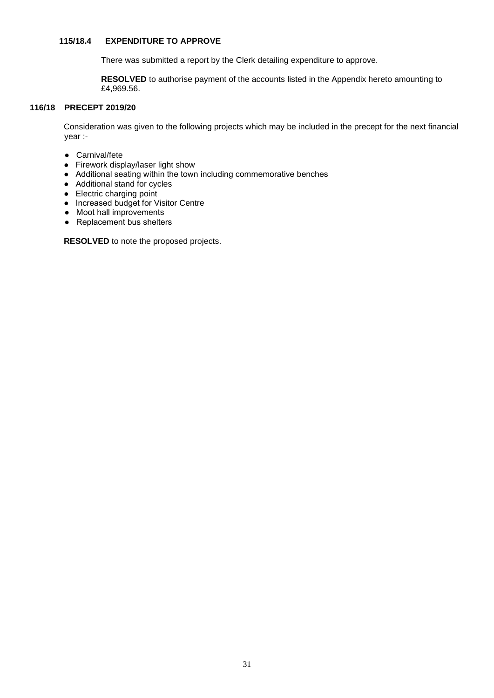#### 115/18.4 **EXPENDITURE TO APPROVE**

There was submitted a report by the Clerk detailing expenditure to approve.

 **RESOLVED** to authorise payment of the accounts listed in the Appendix hereto amounting to £4,969.56.

## **116/18 PRECEPT 2019/20**

Consideration was given to the following projects which may be included in the precept for the next financial year :-

- Carnival/fete
- Firework display/laser light show
- Additional seating within the town including commemorative benches
- Additional stand for cycles
- Electric charging point
- Increased budget for Visitor Centre
- Moot hall improvements
- Replacement bus shelters

**RESOLVED** to note the proposed projects.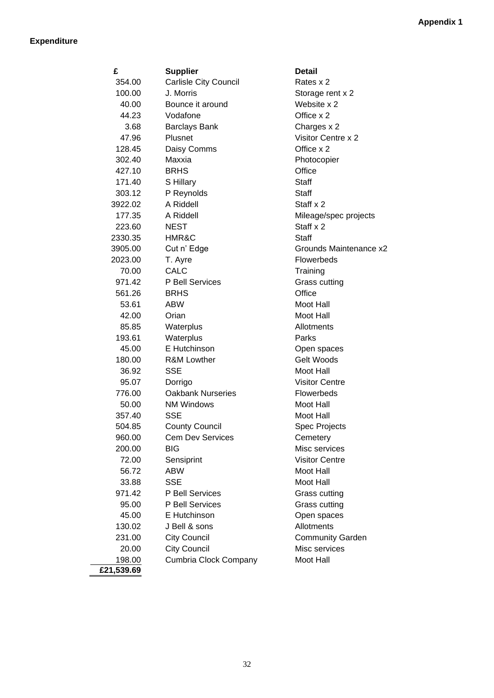## **Expenditure**

| £          | <b>Supplier</b>              | <b>Detail</b>           |
|------------|------------------------------|-------------------------|
| 354.00     | <b>Carlisle City Council</b> | Rates x 2               |
| 100.00     | J. Morris                    | Storage rent x 2        |
| 40.00      | Bounce it around             | Website x 2             |
| 44.23      | Vodafone                     | Office x 2              |
| 3.68       | <b>Barclays Bank</b>         | Charges x 2             |
| 47.96      | Plusnet                      | Visitor Centre x 2      |
| 128.45     | Daisy Comms                  | Office x 2              |
| 302.40     | Maxxia                       | Photocopier             |
| 427.10     | <b>BRHS</b>                  | Office                  |
| 171.40     | S Hillary                    | <b>Staff</b>            |
| 303.12     | P Reynolds                   | <b>Staff</b>            |
| 3922.02    | A Riddell                    | Staff x 2               |
| 177.35     | A Riddell                    | Mileage/spec projects   |
| 223.60     | <b>NEST</b>                  | Staff x 2               |
| 2330.35    | HMR&C                        | <b>Staff</b>            |
| 3905.00    | Cut n' Edge                  | Grounds Maintenance x2  |
| 2023.00    | T. Ayre                      | Flowerbeds              |
| 70.00      | CALC                         | Training                |
| 971.42     | P Bell Services              | Grass cutting           |
| 561.26     | <b>BRHS</b>                  | Office                  |
| 53.61      | <b>ABW</b>                   | Moot Hall               |
| 42.00      | Orian                        | Moot Hall               |
| 85.85      | Waterplus                    | Allotments              |
| 193.61     | Waterplus                    | Parks                   |
| 45.00      | E Hutchinson                 | Open spaces             |
| 180.00     | <b>R&amp;M Lowther</b>       | Gelt Woods              |
| 36.92      | <b>SSE</b>                   | Moot Hall               |
| 95.07      | Dorrigo                      | <b>Visitor Centre</b>   |
| 776.00     | <b>Oakbank Nurseries</b>     | Flowerbeds              |
| 50.00      | <b>NM Windows</b>            | Moot Hall               |
| 357.40     | <b>SSE</b>                   | Moot Hall               |
| 504.85     | <b>County Council</b>        | <b>Spec Projects</b>    |
| 960.00     | <b>Cem Dev Services</b>      | Cemetery                |
| 200.00     | BIG                          | Misc services           |
| 72.00      | Sensiprint                   | <b>Visitor Centre</b>   |
| 56.72      | <b>ABW</b>                   | Moot Hall               |
| 33.88      | <b>SSE</b>                   | Moot Hall               |
| 971.42     | P Bell Services              | Grass cutting           |
| 95.00      | P Bell Services              | Grass cutting           |
| 45.00      | E Hutchinson                 | Open spaces             |
| 130.02     | J Bell & sons                | Allotments              |
| 231.00     | <b>City Council</b>          | <b>Community Garden</b> |
| 20.00      | <b>City Council</b>          | Misc services           |
| 198.00     | Cumbria Clock Company        | Moot Hall               |
| £21,539.69 |                              |                         |

Projects services Centre cutting cutting spaces 1**0** Carden ervices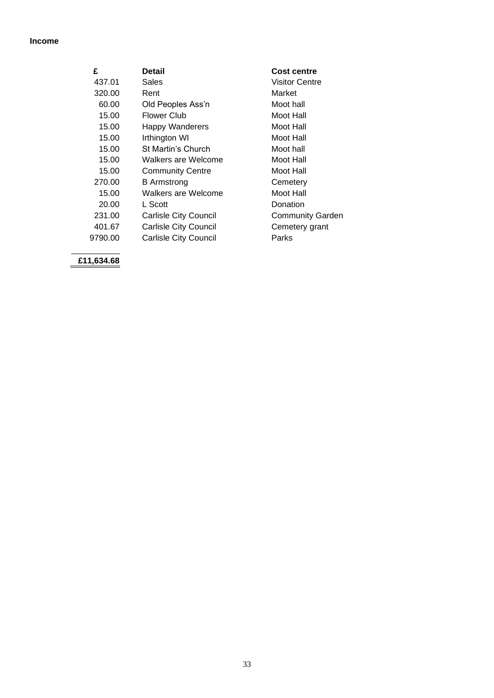## **Income**

| £       | Detail                       | <b>Cost centre</b>      |
|---------|------------------------------|-------------------------|
| 437.01  | Sales                        | Visitor Centre          |
| 320.00  | Rent                         | Market                  |
| 60.00   | Old Peoples Ass'n            | Moot hall               |
| 15.00   | Flower Club                  | Moot Hall               |
| 15.00   | <b>Happy Wanderers</b>       | Moot Hall               |
| 15.00   | Irthington WI                | Moot Hall               |
| 15.00   | St Martin's Church           | Moot hall               |
| 15.00   | Walkers are Welcome          | Moot Hall               |
| 15.00   | <b>Community Centre</b>      | Moot Hall               |
| 270.00  | <b>B</b> Armstrong           | Cemetery                |
| 15.00   | Walkers are Welcome          | Moot Hall               |
| 20.00   | L Scott                      | Donation                |
| 231.00  | <b>Carlisle City Council</b> | <b>Community Garden</b> |
| 401.67  | <b>Carlisle City Council</b> | Cemetery grant          |
| 9790.00 | <b>Carlisle City Council</b> | Parks                   |
|         |                              |                         |

**£11,634.68**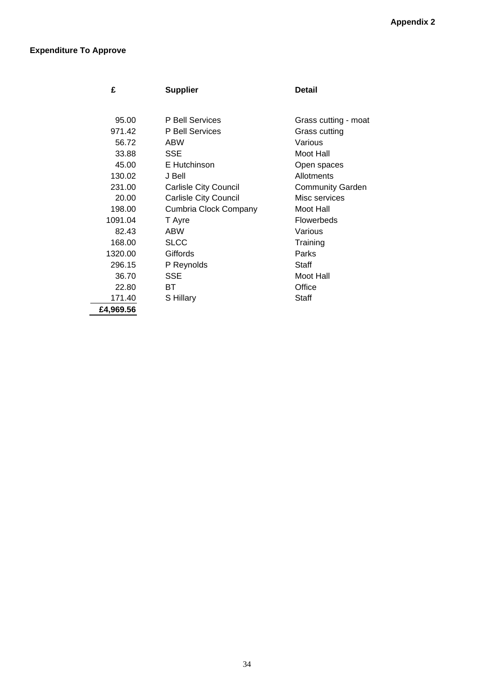# **Expenditure To Approve**

 $\overline{\phantom{0}}$ 

| £         | <b>Supplier</b>              | Detail                  |
|-----------|------------------------------|-------------------------|
|           |                              |                         |
| 95.00     | P Bell Services              | Grass cutting - moat    |
| 971.42    | P Bell Services              | Grass cutting           |
| 56.72     | ABW                          | Various                 |
| 33.88     | SSE                          | Moot Hall               |
| 45.00     | E Hutchinson                 | Open spaces             |
| 130.02    | J Bell                       | Allotments              |
| 231.00    | <b>Carlisle City Council</b> | <b>Community Garden</b> |
| 20.00     | <b>Carlisle City Council</b> | Misc services           |
| 198.00    | Cumbria Clock Company        | Moot Hall               |
| 1091.04   | T Ayre                       | <b>Flowerbeds</b>       |
| 82.43     | ABW                          | Various                 |
| 168.00    | <b>SLCC</b>                  | Training                |
| 1320.00   | Giffords                     | Parks                   |
| 296.15    | P Reynolds                   | Staff                   |
| 36.70     | SSE                          | Moot Hall               |
| 22.80     | ВT                           | Office                  |
| 171.40    | S Hillary                    | Staff                   |
| £4,969.56 |                              |                         |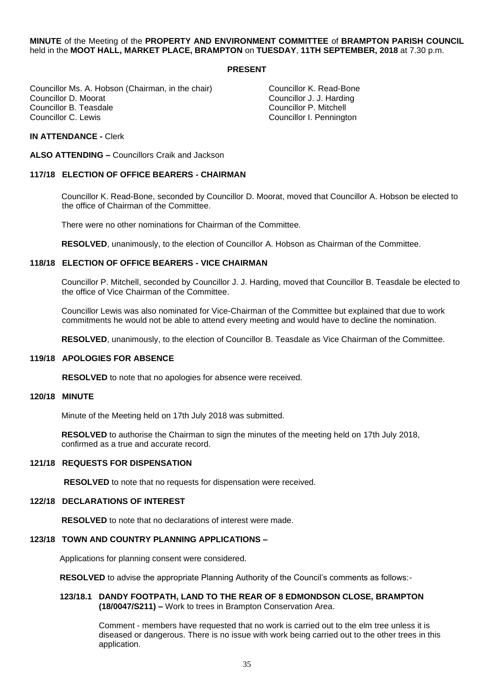## **MINUTE** of the Meeting of the **PROPERTY AND ENVIRONMENT COMMITTEE** of **BRAMPTON PARISH COUNCIL** held in the **MOOT HALL, MARKET PLACE, BRAMPTON** on **TUESDAY**, **11TH SEPTEMBER, 2018** at 7.30 p.m.

#### **PRESENT**

Councillor Ms. A. Hobson (Chairman, in the chair) Councillor K. Read-Bone<br>Councillor D. Moorat Councillor J. J. Harding Councillor D. Moorat Councillor J. J. Harding Councillor B. Teasdale Councillor P. Mitchell

Councillor I. Pennington

## **IN ATTENDANCE -** Clerk

**ALSO ATTENDING –** Councillors Craik and Jackson

## **117/18 ELECTION OF OFFICE BEARERS - CHAIRMAN**

Councillor K. Read-Bone, seconded by Councillor D. Moorat, moved that Councillor A. Hobson be elected to the office of Chairman of the Committee.

There were no other nominations for Chairman of the Committee.

**RESOLVED**, unanimously, to the election of Councillor A. Hobson as Chairman of the Committee.

#### **118/18 ELECTION OF OFFICE BEARERS - VICE CHAIRMAN**

Councillor P. Mitchell, seconded by Councillor J. J. Harding, moved that Councillor B. Teasdale be elected to the office of Vice Chairman of the Committee.

Councillor Lewis was also nominated for Vice-Chairman of the Committee but explained that due to work commitments he would not be able to attend every meeting and would have to decline the nomination.

**RESOLVED**, unanimously, to the election of Councillor B. Teasdale as Vice Chairman of the Committee.

#### **119/18 APOLOGIES FOR ABSENCE**

**RESOLVED** to note that no apologies for absence were received.

## **120/18 MINUTE**

Minute of the Meeting held on 17th July 2018 was submitted.

**RESOLVED** to authorise the Chairman to sign the minutes of the meeting held on 17th July 2018, confirmed as a true and accurate record.

#### **121/18 REQUESTS FOR DISPENSATION**

**RESOLVED** to note that no requests for dispensation were received.

#### **122/18 DECLARATIONS OF INTEREST**

**RESOLVED** to note that no declarations of interest were made.

#### **123/18 TOWN AND COUNTRY PLANNING APPLICATIONS –**

Applications for planning consent were considered.

**RESOLVED** to advise the appropriate Planning Authority of the Council's comments as follows:-

#### **123/18.1 DANDY FOOTPATH, LAND TO THE REAR OF 8 EDMONDSON CLOSE, BRAMPTON (18/0047/S211) –** Work to trees in Brampton Conservation Area.

 Comment - members have requested that no work is carried out to the elm tree unless it is diseased or dangerous. There is no issue with work being carried out to the other trees in this application.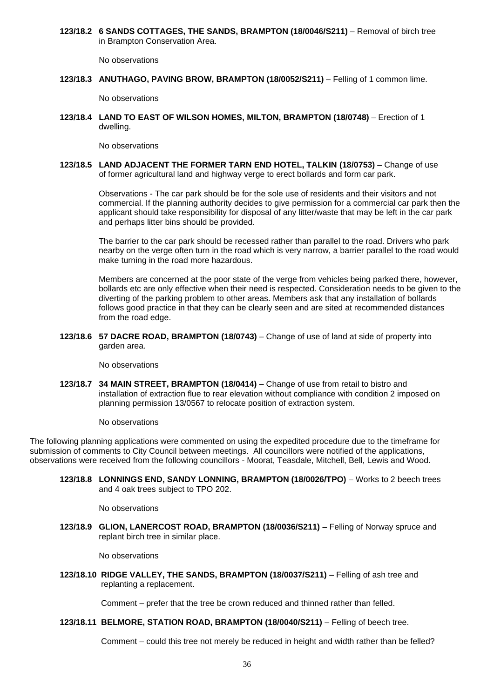**123/18.2 6 SANDS COTTAGES, THE SANDS, BRAMPTON (18/0046/S211)** – Removal of birch tree in Brampton Conservation Area.

No observations

**123/18.3 ANUTHAGO, PAVING BROW, BRAMPTON (18/0052/S211)** – Felling of 1 common lime.

No observations

**123/18.4 LAND TO EAST OF WILSON HOMES, MILTON, BRAMPTON (18/0748)** – Erection of 1 dwelling.

No observations

**123/18.5 LAND ADJACENT THE FORMER TARN END HOTEL, TALKIN (18/0753)** – Change of use of former agricultural land and highway verge to erect bollards and form car park.

> Observations - The car park should be for the sole use of residents and their visitors and not commercial. If the planning authority decides to give permission for a commercial car park then the applicant should take responsibility for disposal of any litter/waste that may be left in the car park and perhaps litter bins should be provided.

> The barrier to the car park should be recessed rather than parallel to the road. Drivers who park nearby on the verge often turn in the road which is very narrow, a barrier parallel to the road would make turning in the road more hazardous.

> Members are concerned at the poor state of the verge from vehicles being parked there, however, bollards etc are only effective when their need is respected. Consideration needs to be given to the diverting of the parking problem to other areas. Members ask that any installation of bollards follows good practice in that they can be clearly seen and are sited at recommended distances from the road edge.

**123/18.6 57 DACRE ROAD, BRAMPTON (18/0743)** – Change of use of land at side of property into garden area.

No observations

**123/18.7 34 MAIN STREET, BRAMPTON (18/0414)** – Change of use from retail to bistro and installation of extraction flue to rear elevation without compliance with condition 2 imposed on planning permission 13/0567 to relocate position of extraction system.

No observations

The following planning applications were commented on using the expedited procedure due to the timeframe for submission of comments to City Council between meetings. All councillors were notified of the applications, observations were received from the following councillors - Moorat, Teasdale, Mitchell, Bell, Lewis and Wood.

**123/18.8 LONNINGS END, SANDY LONNING, BRAMPTON (18/0026/TPO)** – Works to 2 beech trees and 4 oak trees subject to TPO 202.

No observations

**123/18.9 GLION, LANERCOST ROAD, BRAMPTON (18/0036/S211)** – Felling of Norway spruce and replant birch tree in similar place.

No observations

**123/18.10 RIDGE VALLEY, THE SANDS, BRAMPTON (18/0037/S211)** – Felling of ash tree and replanting a replacement.

Comment – prefer that the tree be crown reduced and thinned rather than felled.

## **123/18.11 BELMORE, STATION ROAD, BRAMPTON (18/0040/S211)** – Felling of beech tree.

Comment – could this tree not merely be reduced in height and width rather than be felled?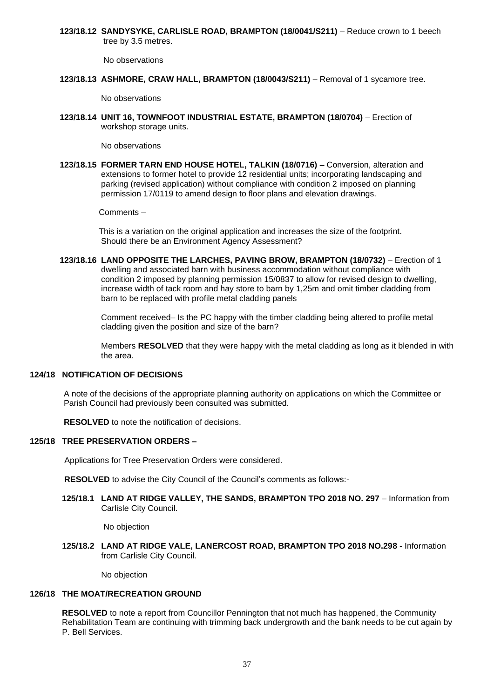**123/18.12 SANDYSYKE, CARLISLE ROAD, BRAMPTON (18/0041/S211)** – Reduce crown to 1 beech tree by 3.5 metres.

No observations

**123/18.13 ASHMORE, CRAW HALL, BRAMPTON (18/0043/S211)** – Removal of 1 sycamore tree.

No observations

**123/18.14 UNIT 16, TOWNFOOT INDUSTRIAL ESTATE, BRAMPTON (18/0704)** – Erection of workshop storage units.

No observations

**123/18.15 FORMER TARN END HOUSE HOTEL, TALKIN (18/0716) –** Conversion, alteration and extensions to former hotel to provide 12 residential units; incorporating landscaping and parking (revised application) without compliance with condition 2 imposed on planning permission 17/0119 to amend design to floor plans and elevation drawings.

Comments –

 This is a variation on the original application and increases the size of the footprint. Should there be an Environment Agency Assessment?

**123/18.16 LAND OPPOSITE THE LARCHES, PAVING BROW, BRAMPTON (18/0732)** – Erection of 1 dwelling and associated barn with business accommodation without compliance with condition 2 imposed by planning permission 15/0837 to allow for revised design to dwelling, increase width of tack room and hay store to barn by 1,25m and omit timber cladding from barn to be replaced with profile metal cladding panels

> Comment received– Is the PC happy with the timber cladding being altered to profile metal cladding given the position and size of the barn?

 Members **RESOLVED** that they were happy with the metal cladding as long as it blended in with the area.

## **124/18 NOTIFICATION OF DECISIONS**

 A note of the decisions of the appropriate planning authority on applications on which the Committee or Parish Council had previously been consulted was submitted.

 **RESOLVED** to note the notification of decisions.

## **125/18 TREE PRESERVATION ORDERS –**

Applications for Tree Preservation Orders were considered.

**RESOLVED** to advise the City Council of the Council's comments as follows:-

**125/18.1 LAND AT RIDGE VALLEY, THE SANDS, BRAMPTON TPO 2018 NO. 297** – Information from Carlisle City Council.

No objection

 **125/18.2 LAND AT RIDGE VALE, LANERCOST ROAD, BRAMPTON TPO 2018 NO.298** - Information from Carlisle City Council.

No objection

# **126/18 THE MOAT/RECREATION GROUND**

**RESOLVED** to note a report from Councillor Pennington that not much has happened, the Community Rehabilitation Team are continuing with trimming back undergrowth and the bank needs to be cut again by P. Bell Services.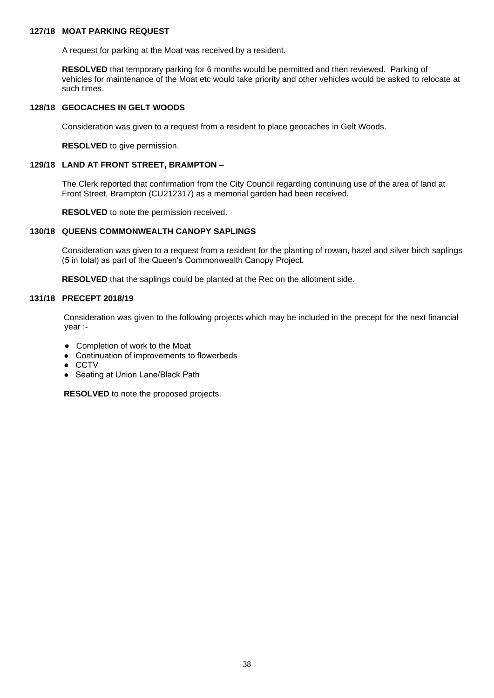## **127/18 MOAT PARKING REQUEST**

A request for parking at the Moat was received by a resident.

**RESOLVED** that temporary parking for 6 months would be permitted and then reviewed. Parking of vehicles for maintenance of the Moat etc would take priority and other vehicles would be asked to relocate at such times.

## **128/18 GEOCACHES IN GELT WOODS**

Consideration was given to a request from a resident to place geocaches in Gelt Woods.

**RESOLVED** to give permission.

### **129/18 LAND AT FRONT STREET, BRAMPTON** –

 The Clerk reported that confirmation from the City Council regarding continuing use of the area of land at Front Street, Brampton (CU212317) as a memorial garden had been received.

**RESOLVED** to note the permission received.

## **130/18 QUEENS COMMONWEALTH CANOPY SAPLINGS**

 Consideration was given to a request from a resident for the planting of rowan, hazel and silver birch saplings (5 in total) as part of the Queen's Commonwealth Canopy Project.

**RESOLVED** that the saplings could be planted at the Rec on the allotment side.

## **131/18 PRECEPT 2018/19**

Consideration was given to the following projects which may be included in the precept for the next financial year :-

- Completion of work to the Moat
- Continuation of improvements to flowerbeds
- CCTV
- Seating at Union Lane/Black Path

**RESOLVED** to note the proposed projects.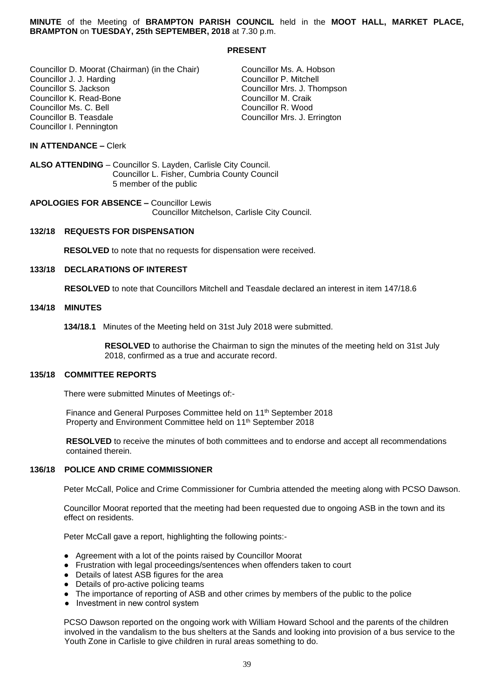**MINUTE** of the Meeting of **BRAMPTON PARISH COUNCIL** held in the **MOOT HALL, MARKET PLACE, BRAMPTON** on **TUESDAY, 25th SEPTEMBER, 2018** at 7.30 p.m.

### **PRESENT**

Councillor D. Moorat (Chairman) (in the Chair) Councillor Ms. A. Hobson<br>Councillor J. J. Harding Councillor P. Mitchell Councillor J. J. Harding<br>Councillor S. Jackson Councillor K. Read-Bone Councillor M. Craik<br>Councillor Ms. C. Bell Councillor R. Wood Councillor Ms. C. Bell<br>Councillor B. Teasdale Councillor I. Pennington

Councillor Mrs. J. Thompson<br>Councillor M. Craik Councillor Mrs. J. Errington

## **IN ATTENDANCE –** Clerk

**ALSO ATTENDING** – Councillor S. Layden, Carlisle City Council. Councillor L. Fisher, Cumbria County Council 5 member of the public

**APOLOGIES FOR ABSENCE –** Councillor Lewis Councillor Mitchelson, Carlisle City Council.

## **132/18 REQUESTS FOR DISPENSATION**

 **RESOLVED** to note that no requests for dispensation were received.

### **133/18 DECLARATIONS OF INTEREST**

 **RESOLVED** to note that Councillors Mitchell and Teasdale declared an interest in item 147/18.6

#### **134/18 MINUTES**

**134/18.1** Minutes of the Meeting held on 31st July 2018 were submitted.

 **RESOLVED** to authorise the Chairman to sign the minutes of the meeting held on 31st July 2018, confirmed as a true and accurate record.

#### **135/18 COMMITTEE REPORTS**

There were submitted Minutes of Meetings of:-

Finance and General Purposes Committee held on 11<sup>th</sup> September 2018 Property and Environment Committee held on 11<sup>th</sup> September 2018

 **RESOLVED** to receive the minutes of both committees and to endorse and accept all recommendations contained therein.

#### **136/18 POLICE AND CRIME COMMISSIONER**

Peter McCall, Police and Crime Commissioner for Cumbria attended the meeting along with PCSO Dawson.

 Councillor Moorat reported that the meeting had been requested due to ongoing ASB in the town and its effect on residents.

Peter McCall gave a report, highlighting the following points:-

- Agreement with a lot of the points raised by Councillor Moorat
- Frustration with legal proceedings/sentences when offenders taken to court
- Details of latest ASB figures for the area
- Details of pro-active policing teams
- The importance of reporting of ASB and other crimes by members of the public to the police
- Investment in new control system

 PCSO Dawson reported on the ongoing work with William Howard School and the parents of the children involved in the vandalism to the bus shelters at the Sands and looking into provision of a bus service to the Youth Zone in Carlisle to give children in rural areas something to do.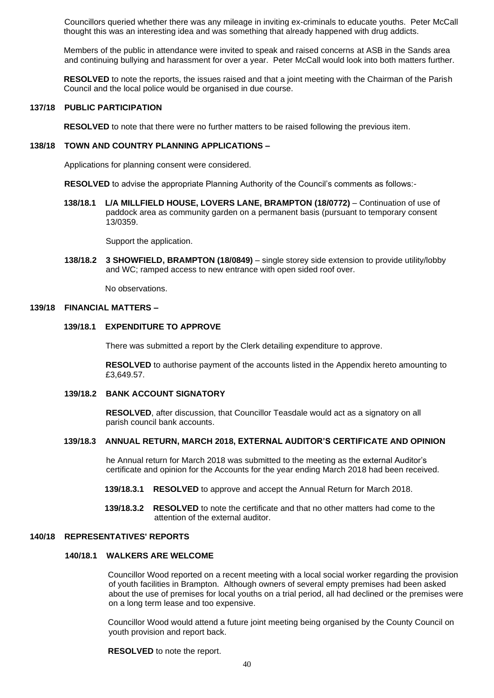Councillors queried whether there was any mileage in inviting ex-criminals to educate youths. Peter McCall thought this was an interesting idea and was something that already happened with drug addicts.

 Members of the public in attendance were invited to speak and raised concerns at ASB in the Sands area and continuing bullying and harassment for over a year. Peter McCall would look into both matters further.

 **RESOLVED** to note the reports, the issues raised and that a joint meeting with the Chairman of the Parish Council and the local police would be organised in due course.

## **137/18 PUBLIC PARTICIPATION**

 **RESOLVED** to note that there were no further matters to be raised following the previous item.

### **138/18 TOWN AND COUNTRY PLANNING APPLICATIONS –**

Applications for planning consent were considered.

**RESOLVED** to advise the appropriate Planning Authority of the Council's comments as follows:-

 **138/18.1 L/A MILLFIELD HOUSE, LOVERS LANE, BRAMPTON (18/0772)** – Continuation of use of paddock area as community garden on a permanent basis (pursuant to temporary consent 13/0359.

Support the application.

 **138/18.2 3 SHOWFIELD, BRAMPTON (18/0849)** – single storey side extension to provide utility/lobby and WC; ramped access to new entrance with open sided roof over.

No observations.

## **139/18 FINANCIAL MATTERS –**

### **139/18.1 EXPENDITURE TO APPROVE**

There was submitted a report by the Clerk detailing expenditure to approve.

 **RESOLVED** to authorise payment of the accounts listed in the Appendix hereto amounting to £3,649.57.

#### **139/18.2 BANK ACCOUNT SIGNATORY**

 **RESOLVED**, after discussion, that Councillor Teasdale would act as a signatory on all parish council bank accounts.

#### **139/18.3 ANNUAL RETURN, MARCH 2018, EXTERNAL AUDITOR'S CERTIFICATE AND OPINION**

he Annual return for March 2018 was submitted to the meeting as the external Auditor's certificate and opinion for the Accounts for the year ending March 2018 had been received.

**139/18.3.1 RESOLVED** to approve and accept the Annual Return for March 2018.

 **139/18.3.2 RESOLVED** to note the certificate and that no other matters had come to the attention of the external auditor.

## **140/18 REPRESENTATIVES' REPORTS**

### **140/18.1 WALKERS ARE WELCOME**

Councillor Wood reported on a recent meeting with a local social worker regarding the provision of youth facilities in Brampton. Although owners of several empty premises had been asked about the use of premises for local youths on a trial period, all had declined or the premises were on a long term lease and too expensive.

 Councillor Wood would attend a future joint meeting being organised by the County Council on youth provision and report back.

 **RESOLVED** to note the report.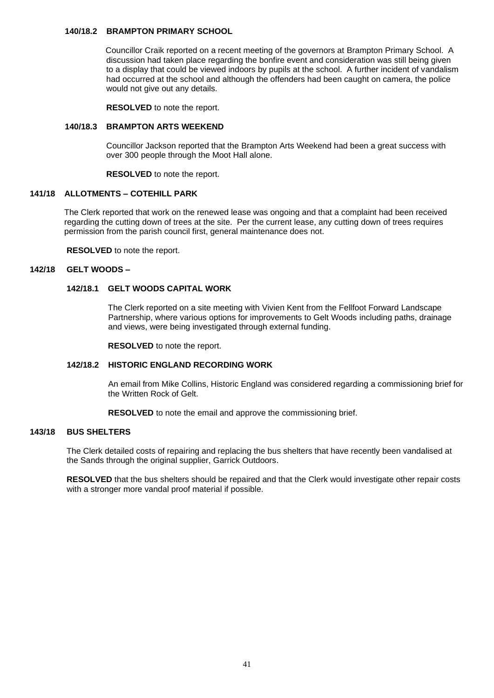## **140/18.2 BRAMPTON PRIMARY SCHOOL**

Councillor Craik reported on a recent meeting of the governors at Brampton Primary School. A discussion had taken place regarding the bonfire event and consideration was still being given to a display that could be viewed indoors by pupils at the school. A further incident of vandalism had occurred at the school and although the offenders had been caught on camera, the police would not give out any details.

**RESOLVED** to note the report.

## **140/18.3 BRAMPTON ARTS WEEKEND**

Councillor Jackson reported that the Brampton Arts Weekend had been a great success with over 300 people through the Moot Hall alone.

**RESOLVED** to note the report.

## **141/18 ALLOTMENTS – COTEHILL PARK**

 The Clerk reported that work on the renewed lease was ongoing and that a complaint had been received regarding the cutting down of trees at the site. Per the current lease, any cutting down of trees requires permission from the parish council first, general maintenance does not.

 **RESOLVED** to note the report.

## **142/18 GELT WOODS –**

## **142/18.1 GELT WOODS CAPITAL WORK**

 The Clerk reported on a site meeting with Vivien Kent from the Fellfoot Forward Landscape Partnership, where various options for improvements to Gelt Woods including paths, drainage and views, were being investigated through external funding.

**RESOLVED** to note the report.

## **142/18.2 HISTORIC ENGLAND RECORDING WORK**

An email from Mike Collins, Historic England was considered regarding a commissioning brief for the Written Rock of Gelt.

**RESOLVED** to note the email and approve the commissioning brief.

## **143/18 BUS SHELTERS**

The Clerk detailed costs of repairing and replacing the bus shelters that have recently been vandalised at the Sands through the original supplier, Garrick Outdoors.

**RESOLVED** that the bus shelters should be repaired and that the Clerk would investigate other repair costs with a stronger more vandal proof material if possible.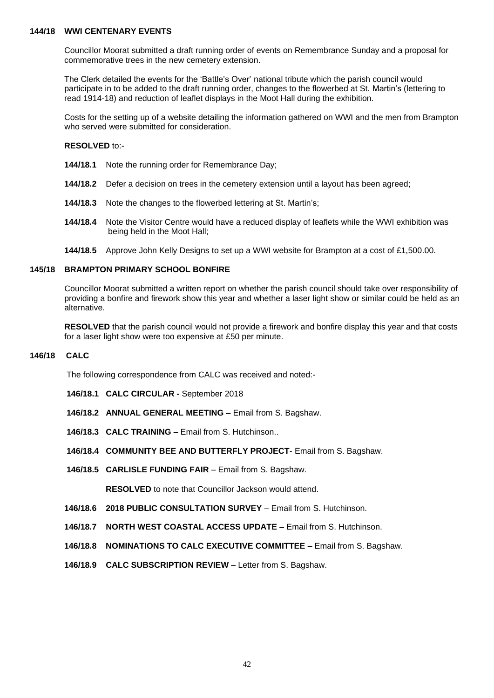## **144/18 WWI CENTENARY EVENTS**

Councillor Moorat submitted a draft running order of events on Remembrance Sunday and a proposal for commemorative trees in the new cemetery extension.

 The Clerk detailed the events for the 'Battle's Over' national tribute which the parish council would participate in to be added to the draft running order, changes to the flowerbed at St. Martin's (lettering to read 1914-18) and reduction of leaflet displays in the Moot Hall during the exhibition.

 Costs for the setting up of a website detailing the information gathered on WWI and the men from Brampton who served were submitted for consideration.

 **RESOLVED** to:-

- **144/18.1** Note the running order for Remembrance Day;
- **144/18.2** Defer a decision on trees in the cemetery extension until a layout has been agreed;
- **144/18.3** Note the changes to the flowerbed lettering at St. Martin's;
- **144/18.4** Note the Visitor Centre would have a reduced display of leaflets while the WWI exhibition was being held in the Moot Hall;
- **144/18.5** Approve John Kelly Designs to set up a WWI website for Brampton at a cost of £1,500.00.

## **145/18 BRAMPTON PRIMARY SCHOOL BONFIRE**

Councillor Moorat submitted a written report on whether the parish council should take over responsibility of providing a bonfire and firework show this year and whether a laser light show or similar could be held as an alternative.

 **RESOLVED** that the parish council would not provide a firework and bonfire display this year and that costs for a laser light show were too expensive at £50 per minute.

## **146/18 CALC**

The following correspondence from CALC was received and noted:-

- **146/18.1 CALC CIRCULAR -** September 2018
- **146/18.2 ANNUAL GENERAL MEETING –** Email from S. Bagshaw.
- **146/18.3 CALC TRAINING** Email from S. Hutchinson..
- **146/18.4 COMMUNITY BEE AND BUTTERFLY PROJECT** Email from S. Bagshaw.
- **146/18.5 CARLISLE FUNDING FAIR** Email from S. Bagshaw.

**RESOLVED** to note that Councillor Jackson would attend.

- **146/18.6 2018 PUBLIC CONSULTATION SURVEY** Email from S. Hutchinson.
- **146/18.7 NORTH WEST COASTAL ACCESS UPDATE** Email from S. Hutchinson.
- **146/18.8 NOMINATIONS TO CALC EXECUTIVE COMMITTEE** Email from S. Bagshaw.
- **146/18.9 CALC SUBSCRIPTION REVIEW** Letter from S. Bagshaw.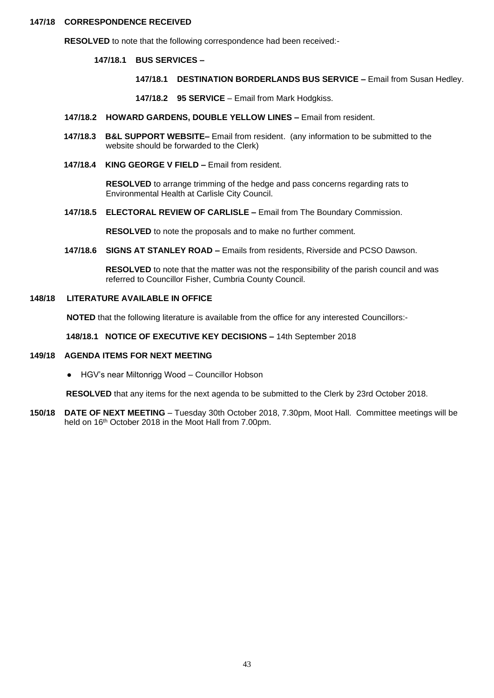#### **147/18 CORRESPONDENCE RECEIVED**

**RESOLVED** to note that the following correspondence had been received:-

**147/18.1 BUS SERVICES –**

- **147/18.1 DESTINATION BORDERLANDS BUS SERVICE –** Email from Susan Hedley.
- **147/18.2 95 SERVICE** Email from Mark Hodgkiss.
- **147/18.2 HOWARD GARDENS, DOUBLE YELLOW LINES –** Email from resident.
- **147/18.3 B&L SUPPORT WEBSITE–** Email from resident. (any information to be submitted to the website should be forwarded to the Clerk)
- **147/18.4 KING GEORGE V FIELD –** Email from resident.

 **RESOLVED** to arrange trimming of the hedge and pass concerns regarding rats to Environmental Health at Carlisle City Council.

 **147/18.5 ELECTORAL REVIEW OF CARLISLE –** Email from The Boundary Commission.

 **RESOLVED** to note the proposals and to make no further comment.

 **147/18.6 SIGNS AT STANLEY ROAD –** Emails from residents, Riverside and PCSO Dawson.

 **RESOLVED** to note that the matter was not the responsibility of the parish council and was referred to Councillor Fisher, Cumbria County Council.

## **148/18 LITERATURE AVAILABLE IN OFFICE**

**NOTED** that the following literature is available from the office for any interested Councillors:-

**148/18.1 NOTICE OF EXECUTIVE KEY DECISIONS –** 14th September 2018

#### **149/18 AGENDA ITEMS FOR NEXT MEETING**

 **●** HGV's near Miltonrigg Wood – Councillor Hobson

**RESOLVED** that any items for the next agenda to be submitted to the Clerk by 23rd October 2018.

**150/18 DATE OF NEXT MEETING** – Tuesday 30th October 2018, 7.30pm, Moot Hall. Committee meetings will be held on 16<sup>th</sup> October 2018 in the Moot Hall from 7.00pm.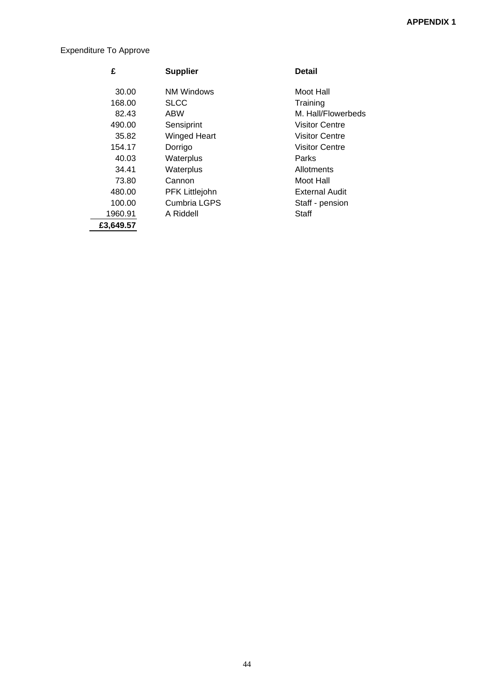# Expenditure To Approve

| £         | <b>Supplier</b>     | <b>Detail</b>         |
|-----------|---------------------|-----------------------|
| 30.00     | NM Windows          | Moot Hall             |
| 168.00    | <b>SLCC</b>         | Training              |
| 82.43     | <b>ABW</b>          | M. Hall/Flowerbeds    |
| 490.00    | Sensiprint          | <b>Visitor Centre</b> |
| 35.82     | <b>Winged Heart</b> | <b>Visitor Centre</b> |
| 154.17    | Dorrigo             | <b>Visitor Centre</b> |
| 40.03     | Waterplus           | Parks                 |
| 34.41     | Waterplus           | Allotments            |
| 73.80     | Cannon              | Moot Hall             |
| 480.00    | PFK Littlejohn      | <b>External Audit</b> |
| 100.00    | Cumbria LGPS        | Staff - pension       |
| 1960.91   | A Riddell           | Staff                 |
| £3,649.57 |                     |                       |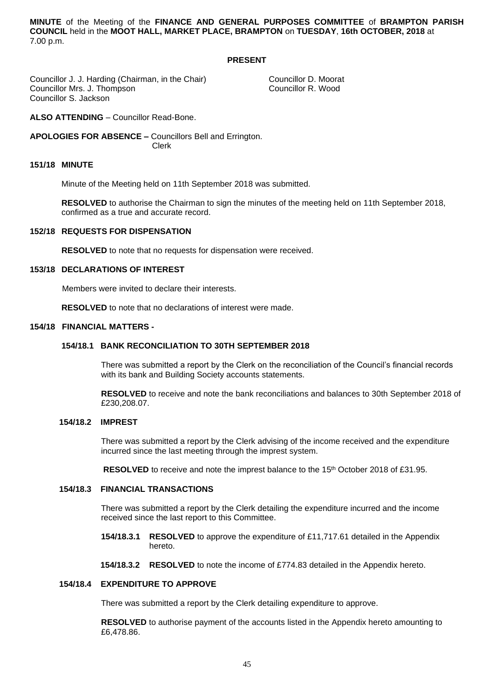**MINUTE** of the Meeting of the **FINANCE AND GENERAL PURPOSES COMMITTEE** of **BRAMPTON PARISH COUNCIL** held in the **MOOT HALL, MARKET PLACE, BRAMPTON** on **TUESDAY**, **16th OCTOBER, 2018** at 7.00 p.m.

## **PRESENT**

Councillor J. J. Harding (Chairman, in the Chair) Councillor D. Moorat<br>Councillor Mrs. J. Thompson Councillor R. Wood Councillor Mrs. J. Thompson Councillor S. Jackson

**ALSO ATTENDING** – Councillor Read-Bone.

**APOLOGIES FOR ABSENCE –** Councillors Bell and Errington. Clerk

### **151/18 MINUTE**

Minute of the Meeting held on 11th September 2018 was submitted.

**RESOLVED** to authorise the Chairman to sign the minutes of the meeting held on 11th September 2018, confirmed as a true and accurate record.

## **152/18 REQUESTS FOR DISPENSATION**

**RESOLVED** to note that no requests for dispensation were received.

#### **153/18 DECLARATIONS OF INTEREST**

Members were invited to declare their interests.

**RESOLVED** to note that no declarations of interest were made.

## **154/18 FINANCIAL MATTERS -**

## **154/18.1 BANK RECONCILIATION TO 30TH SEPTEMBER 2018**

 There was submitted a report by the Clerk on the reconciliation of the Council's financial records with its bank and Building Society accounts statements.

 **RESOLVED** to receive and note the bank reconciliations and balances to 30th September 2018 of £230,208.07.

### **154/18.2 IMPREST**

 There was submitted a report by the Clerk advising of the income received and the expenditure incurred since the last meeting through the imprest system.

**RESOLVED** to receive and note the imprest balance to the 15<sup>th</sup> October 2018 of £31.95.

#### **154/18.3 FINANCIAL TRANSACTIONS**

 There was submitted a report by the Clerk detailing the expenditure incurred and the income received since the last report to this Committee.

- **154/18.3.1 RESOLVED** to approve the expenditure of £11,717.61 detailed in the Appendix hereto.
- **154/18.3.2 RESOLVED** to note the income of £774.83 detailed in the Appendix hereto.

## **154/18.4 EXPENDITURE TO APPROVE**

There was submitted a report by the Clerk detailing expenditure to approve.

 **RESOLVED** to authorise payment of the accounts listed in the Appendix hereto amounting to £6,478.86.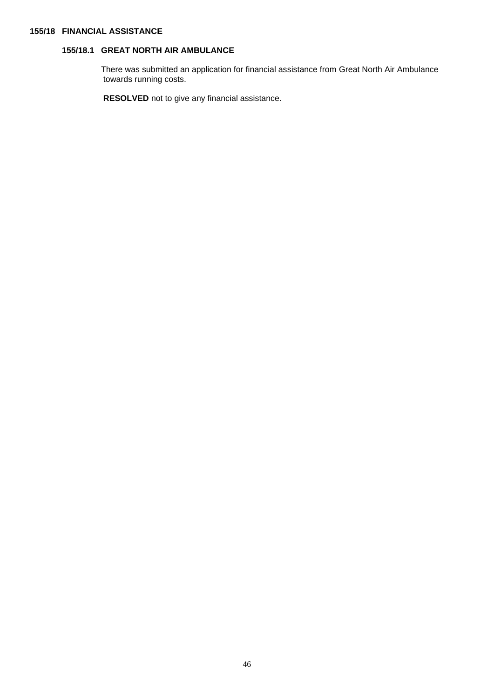### **155/18 FINANCIAL ASSISTANCE**

# **155/18.1 GREAT NORTH AIR AMBULANCE**

 There was submitted an application for financial assistance from Great North Air Ambulance towards running costs.

 **RESOLVED** not to give any financial assistance.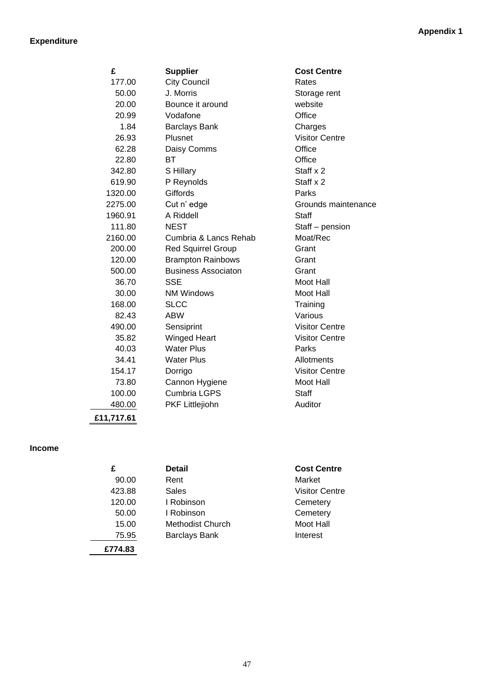# **Expenditure**

| £          | <b>Supplier</b>            | <b>Cost Centre</b>    |
|------------|----------------------------|-----------------------|
| 177.00     | <b>City Council</b>        | Rates                 |
| 50.00      | J. Morris                  | Storage rent          |
| 20.00      | Bounce it around           | website               |
| 20.99      | Vodafone                   | Office                |
| 1.84       | <b>Barclays Bank</b>       | Charges               |
| 26.93      | Plusnet                    | <b>Visitor Centre</b> |
| 62.28      | Daisy Comms                | Office                |
| 22.80      | <b>BT</b>                  | Office                |
| 342.80     | S Hillary                  | Staff x 2             |
| 619.90     | P Reynolds                 | Staff x 2             |
| 1320.00    | Giffords                   | Parks                 |
| 2275.00    | Cut n' edge                | Grounds maintenance   |
| 1960.91    | A Riddell                  | Staff                 |
| 111.80     | <b>NEST</b>                | Staff - pension       |
| 2160.00    | Cumbria & Lancs Rehab      | Moat/Rec              |
| 200.00     | <b>Red Squirrel Group</b>  | Grant                 |
| 120.00     | <b>Brampton Rainbows</b>   | Grant                 |
| 500.00     | <b>Business Associaton</b> | Grant                 |
| 36.70      | <b>SSE</b>                 | Moot Hall             |
| 30.00      | <b>NM Windows</b>          | Moot Hall             |
| 168.00     | <b>SLCC</b>                | Training              |
| 82.43      | <b>ABW</b>                 | Various               |
| 490.00     | Sensiprint                 | <b>Visitor Centre</b> |
| 35.82      | <b>Winged Heart</b>        | <b>Visitor Centre</b> |
| 40.03      | <b>Water Plus</b>          | Parks                 |
| 34.41      | <b>Water Plus</b>          | Allotments            |
| 154.17     | Dorrigo                    | <b>Visitor Centre</b> |
| 73.80      | Cannon Hygiene             | Moot Hall             |
| 100.00     | <b>Cumbria LGPS</b>        | <b>Staff</b>          |
| 480.00     | PKF Littlejiohn            | Auditor               |
| £11,717.61 |                            |                       |

## **Income**

| £       | <b>Detail</b>           | <b>Cost Centre</b>    |
|---------|-------------------------|-----------------------|
| 90.00   | Rent                    | Market                |
| 423.88  | Sales                   | <b>Visitor Centre</b> |
| 120.00  | I Robinson              | Cemetery              |
| 50.00   | I Robinson              | Cemetery              |
| 15.00   | <b>Methodist Church</b> | Moot Hall             |
| 75.95   | <b>Barclays Bank</b>    | Interest              |
| £774.83 |                         |                       |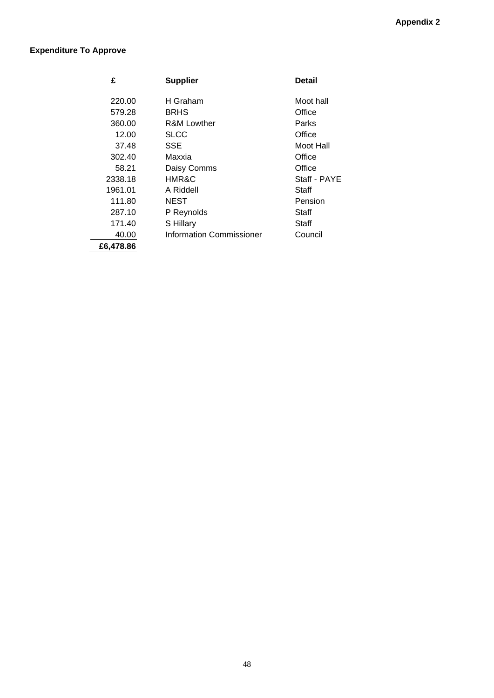# **Expenditure To Approve**

| £         | <b>Supplier</b>                 | Detail       |
|-----------|---------------------------------|--------------|
| 220.00    | H Graham                        | Moot hall    |
| 579.28    | <b>BRHS</b>                     | Office       |
| 360.00    | <b>R&amp;M Lowther</b>          | Parks        |
| 12.00     | SLCC                            | Office       |
| 37.48     | SSE                             | Moot Hall    |
| 302.40    | Maxxia                          | Office       |
| 58.21     | Daisy Comms                     | Office       |
| 2338.18   | <b>HMR&amp;C</b>                | Staff - PAYE |
| 1961.01   | A Riddell                       | Staff        |
| 111.80    | <b>NEST</b>                     | Pension      |
| 287.10    | P Reynolds                      | Staff        |
| 171.40    | S Hillary                       | Staff        |
| 40.00     | <b>Information Commissioner</b> | Council      |
| £6,478.86 |                                 |              |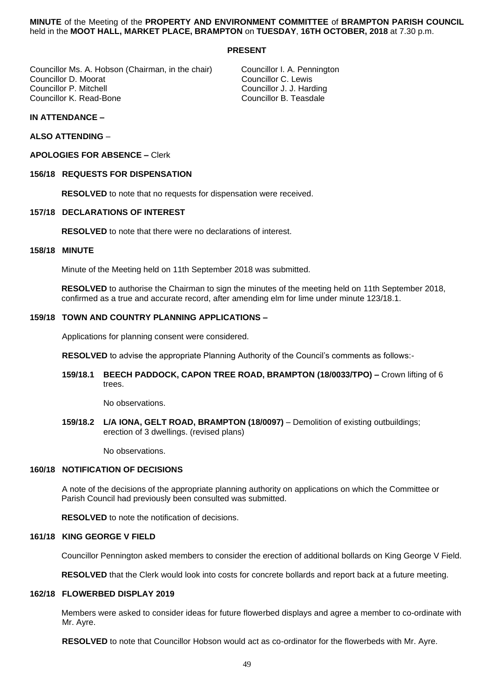### **MINUTE** of the Meeting of the **PROPERTY AND ENVIRONMENT COMMITTEE** of **BRAMPTON PARISH COUNCIL** held in the **MOOT HALL, MARKET PLACE, BRAMPTON** on **TUESDAY**, **16TH OCTOBER, 2018** at 7.30 p.m.

## **PRESENT**

Councillor Ms. A. Hobson (Chairman, in the chair) Councillor I. A. Pennington<br>Councillor D. Moorat Councillor C. Lewis Councillor D. Moorat<br>Councillor P. Mitchell Councillor P. Mitchell Councillor J. J. Harding

Councillor B. Teasdale

## **IN ATTENDANCE –**

**ALSO ATTENDING** –

## **APOLOGIES FOR ABSENCE –** Clerk

## **156/18 REQUESTS FOR DISPENSATION**

**RESOLVED** to note that no requests for dispensation were received.

## **157/18 DECLARATIONS OF INTEREST**

**RESOLVED** to note that there were no declarations of interest.

## **158/18 MINUTE**

Minute of the Meeting held on 11th September 2018 was submitted.

**RESOLVED** to authorise the Chairman to sign the minutes of the meeting held on 11th September 2018, confirmed as a true and accurate record, after amending elm for lime under minute 123/18.1.

## **159/18 TOWN AND COUNTRY PLANNING APPLICATIONS –**

Applications for planning consent were considered.

**RESOLVED** to advise the appropriate Planning Authority of the Council's comments as follows:-

**159/18.1 BEECH PADDOCK, CAPON TREE ROAD, BRAMPTON (18/0033/TPO) –** Crown lifting of 6 trees.

No observations.

**159/18.2 L/A IONA, GELT ROAD, BRAMPTON (18/0097)** – Demolition of existing outbuildings; erection of 3 dwellings. (revised plans)

No observations.

## **160/18 NOTIFICATION OF DECISIONS**

A note of the decisions of the appropriate planning authority on applications on which the Committee or Parish Council had previously been consulted was submitted.

**RESOLVED** to note the notification of decisions.

## **161/18 KING GEORGE V FIELD**

Councillor Pennington asked members to consider the erection of additional bollards on King George V Field.

**RESOLVED** that the Clerk would look into costs for concrete bollards and report back at a future meeting.

## **162/18 FLOWERBED DISPLAY 2019**

Members were asked to consider ideas for future flowerbed displays and agree a member to co-ordinate with Mr. Ayre.

**RESOLVED** to note that Councillor Hobson would act as co-ordinator for the flowerbeds with Mr. Ayre.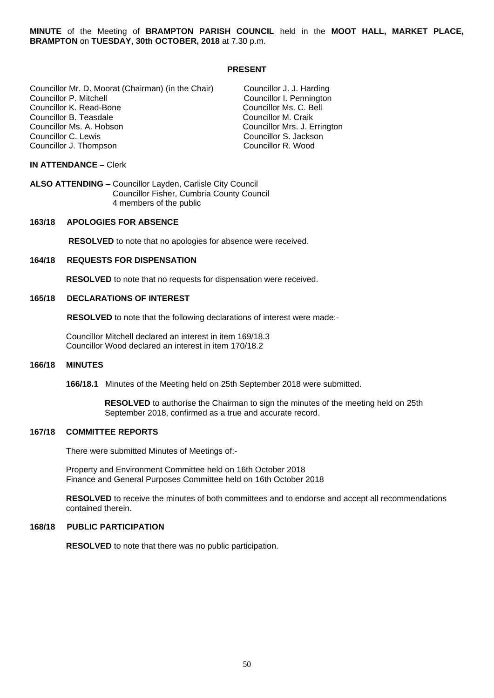**MINUTE** of the Meeting of **BRAMPTON PARISH COUNCIL** held in the **MOOT HALL, MARKET PLACE, BRAMPTON** on **TUESDAY**, **30th OCTOBER, 2018** at 7.30 p.m.

#### **PRESENT**

Councillor Mr. D. Moorat (Chairman) (in the Chair) Councillor J. J. Harding Councillor K. Read-Bone Councillor Ms. C. B<br>Councillor B. Teasdale Councillor M. Craik Councillor B. Teasdale Councillor Ms. A. Hobson Councillor Mrs. J. Errington Councillor J. Thompson

Councillor I. Pennington<br>Councillor Ms. C. Bell Councillor S. Jackson<br>Councillor R. Wood

#### **IN ATTENDANCE –** Clerk

**ALSO ATTENDING** – Councillor Layden, Carlisle City Council Councillor Fisher, Cumbria County Council 4 members of the public

## **163/18 APOLOGIES FOR ABSENCE**

 **RESOLVED** to note that no apologies for absence were received.

#### **164/18 REQUESTS FOR DISPENSATION**

 **RESOLVED** to note that no requests for dispensation were received.

#### **165/18 DECLARATIONS OF INTEREST**

 **RESOLVED** to note that the following declarations of interest were made:-

 Councillor Mitchell declared an interest in item 169/18.3 Councillor Wood declared an interest in item 170/18.2

#### **166/18 MINUTES**

**166/18.1** Minutes of the Meeting held on 25th September 2018 were submitted.

 **RESOLVED** to authorise the Chairman to sign the minutes of the meeting held on 25th September 2018, confirmed as a true and accurate record.

## **167/18 COMMITTEE REPORTS**

There were submitted Minutes of Meetings of:-

 Property and Environment Committee held on 16th October 2018 Finance and General Purposes Committee held on 16th October 2018

 **RESOLVED** to receive the minutes of both committees and to endorse and accept all recommendations contained therein.

## **168/18 PUBLIC PARTICIPATION**

**RESOLVED** to note that there was no public participation.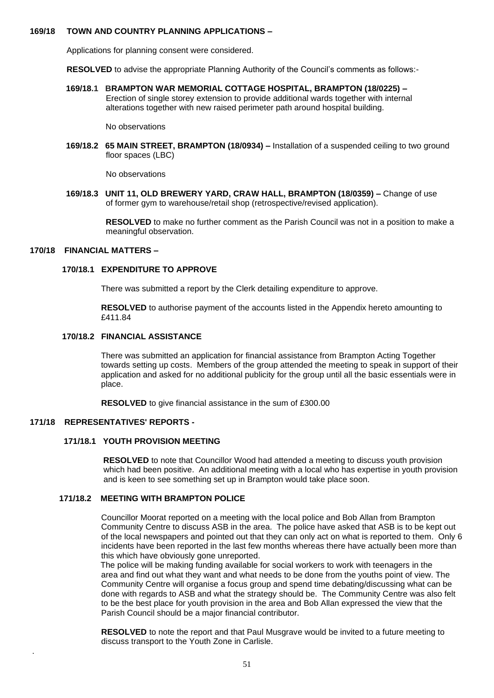## **169/18 TOWN AND COUNTRY PLANNING APPLICATIONS –**

Applications for planning consent were considered.

**RESOLVED** to advise the appropriate Planning Authority of the Council's comments as follows:-

**169/18.1 BRAMPTON WAR MEMORIAL COTTAGE HOSPITAL, BRAMPTON (18/0225) –** Erection of single storey extension to provide additional wards together with internal alterations together with new raised perimeter path around hospital building.

No observations

 **169/18.2 65 MAIN STREET, BRAMPTON (18/0934) –** Installation of a suspended ceiling to two ground floor spaces (LBC)

No observations

 **169/18.3 UNIT 11, OLD BREWERY YARD, CRAW HALL, BRAMPTON (18/0359) –** Change of use of former gym to warehouse/retail shop (retrospective/revised application).

> **RESOLVED** to make no further comment as the Parish Council was not in a position to make a meaningful observation.

## **170/18 FINANCIAL MATTERS –**

### **170/18.1 EXPENDITURE TO APPROVE**

There was submitted a report by the Clerk detailing expenditure to approve.

 **RESOLVED** to authorise payment of the accounts listed in the Appendix hereto amounting to £411.84

## **170/18.2 FINANCIAL ASSISTANCE**

 There was submitted an application for financial assistance from Brampton Acting Together towards setting up costs. Members of the group attended the meeting to speak in support of their application and asked for no additional publicity for the group until all the basic essentials were in place.

 **RESOLVED** to give financial assistance in the sum of £300.00

## **171/18 REPRESENTATIVES' REPORTS -**

.

### **171/18.1 YOUTH PROVISION MEETING**

 **RESOLVED** to note that Councillor Wood had attended a meeting to discuss youth provision which had been positive. An additional meeting with a local who has expertise in youth provision and is keen to see something set up in Brampton would take place soon.

## **171/18.2 MEETING WITH BRAMPTON POLICE**

Councillor Moorat reported on a meeting with the local police and Bob Allan from Brampton Community Centre to discuss ASB in the area. The police have asked that ASB is to be kept out of the local newspapers and pointed out that they can only act on what is reported to them. Only 6 incidents have been reported in the last few months whereas there have actually been more than this which have obviously gone unreported.

 The police will be making funding available for social workers to work with teenagers in the area and find out what they want and what needs to be done from the youths point of view. The Community Centre will organise a focus group and spend time debating/discussing what can be done with regards to ASB and what the strategy should be. The Community Centre was also felt to be the best place for youth provision in the area and Bob Allan expressed the view that the Parish Council should be a major financial contributor.

 **RESOLVED** to note the report and that Paul Musgrave would be invited to a future meeting to discuss transport to the Youth Zone in Carlisle.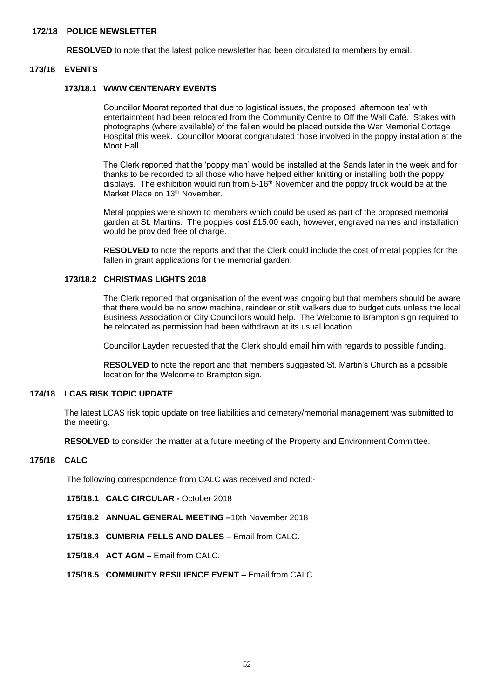## **172/18 POLICE NEWSLETTER**

**RESOLVED** to note that the latest police newsletter had been circulated to members by email.

#### **173/18 EVENTS**

## **173/18.1 WWW CENTENARY EVENTS**

 Councillor Moorat reported that due to logistical issues, the proposed 'afternoon tea' with entertainment had been relocated from the Community Centre to Off the Wall Café. Stakes with photographs (where available) of the fallen would be placed outside the War Memorial Cottage Hospital this week. Councillor Moorat congratulated those involved in the poppy installation at the Moot Hall.

 The Clerk reported that the 'poppy man' would be installed at the Sands later in the week and for thanks to be recorded to all those who have helped either knitting or installing both the poppy displays. The exhibition would run from  $5-16<sup>th</sup>$  November and the poppy truck would be at the Market Place on 13<sup>th</sup> November.

 Metal poppies were shown to members which could be used as part of the proposed memorial garden at St. Martins. The poppies cost £15.00 each, however, engraved names and installation would be provided free of charge.

 **RESOLVED** to note the reports and that the Clerk could include the cost of metal poppies for the fallen in grant applications for the memorial garden.

#### **173/18.2 CHRISTMAS LIGHTS 2018**

The Clerk reported that organisation of the event was ongoing but that members should be aware that there would be no snow machine, reindeer or stilt walkers due to budget cuts unless the local Business Association or City Councillors would help. The Welcome to Brampton sign required to be relocated as permission had been withdrawn at its usual location.

Councillor Layden requested that the Clerk should email him with regards to possible funding.

 **RESOLVED** to note the report and that members suggested St. Martin's Church as a possible location for the Welcome to Brampton sign.

## **174/18 LCAS RISK TOPIC UPDATE**

 The latest LCAS risk topic update on tree liabilities and cemetery/memorial management was submitted to the meeting.

**RESOLVED** to consider the matter at a future meeting of the Property and Environment Committee.

## **175/18 CALC**

The following correspondence from CALC was received and noted:-

- **175/18.1 CALC CIRCULAR -** October 2018
- **175/18.2 ANNUAL GENERAL MEETING –**10th November 2018
- **175/18.3 CUMBRIA FELLS AND DALES –** Email from CALC.
- **175/18.4 ACT AGM –** Email from CALC.
- **175/18.5 COMMUNITY RESILIENCE EVENT –** Email from CALC.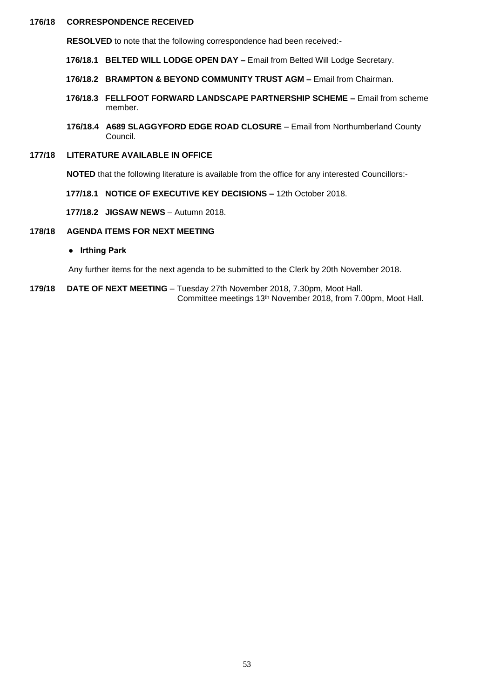## **176/18 CORRESPONDENCE RECEIVED**

 **RESOLVED** to note that the following correspondence had been received:-

- **176/18.1 BELTED WILL LODGE OPEN DAY –** Email from Belted Will Lodge Secretary.
- **176/18.2 BRAMPTON & BEYOND COMMUNITY TRUST AGM –** Email from Chairman.
- **176/18.3 FELLFOOT FORWARD LANDSCAPE PARTNERSHIP SCHEME –** Email from scheme member.
- **176/18.4 A689 SLAGGYFORD EDGE ROAD CLOSURE** Email from Northumberland County Council.

## **177/18 LITERATURE AVAILABLE IN OFFICE**

 **NOTED** that the following literature is available from the office for any interested Councillors:-

 **177/18.1 NOTICE OF EXECUTIVE KEY DECISIONS –** 12th October 2018.

**177/18.2 JIGSAW NEWS** – Autumn 2018.

# **178/18 AGENDA ITEMS FOR NEXT MEETING**

 **● Irthing Park**

Any further items for the next agenda to be submitted to the Clerk by 20th November 2018.

**179/18 DATE OF NEXT MEETING** – Tuesday 27th November 2018, 7.30pm, Moot Hall. Committee meetings 13th November 2018, from 7.00pm, Moot Hall.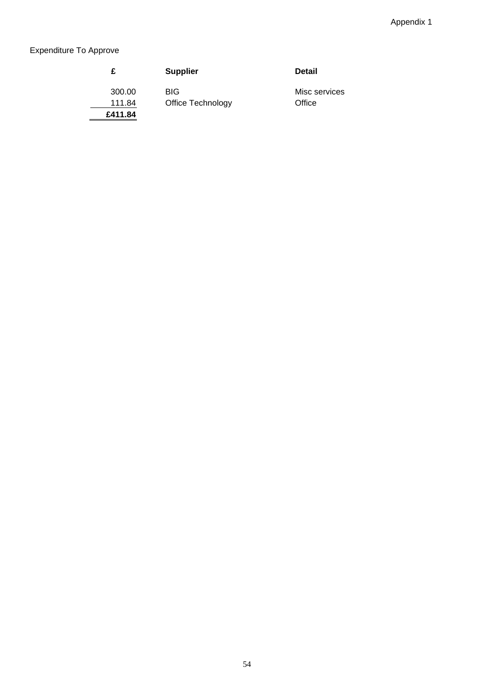# Expenditure To Approve

|         | <b>Supplier</b>   | <b>Detail</b> |
|---------|-------------------|---------------|
| 300.00  | <b>BIG</b>        | Misc services |
| 111.84  | Office Technology | Office        |
| £411.84 |                   |               |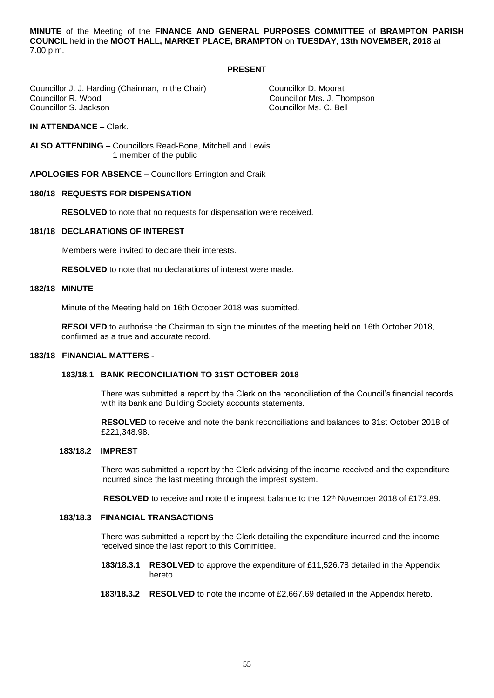**MINUTE** of the Meeting of the **FINANCE AND GENERAL PURPOSES COMMITTEE** of **BRAMPTON PARISH COUNCIL** held in the **MOOT HALL, MARKET PLACE, BRAMPTON** on **TUESDAY**, **13th NOVEMBER, 2018** at 7.00 p.m.

### **PRESENT**

Councillor J. J. Harding (Chairman, in the Chair) Councillor D. Moorat<br>Councillor R. Wood Councillor Mrs. J. Th Councillor S. Jackson

Councillor Mrs. J. Thompson<br>Councillor Ms. C. Bell

**IN ATTENDANCE –** Clerk.

**ALSO ATTENDING** – Councillors Read-Bone, Mitchell and Lewis 1 member of the public

**APOLOGIES FOR ABSENCE –** Councillors Errington and Craik

#### **180/18 REQUESTS FOR DISPENSATION**

**RESOLVED** to note that no requests for dispensation were received.

## **181/18 DECLARATIONS OF INTEREST**

Members were invited to declare their interests.

**RESOLVED** to note that no declarations of interest were made.

#### **182/18 MINUTE**

Minute of the Meeting held on 16th October 2018 was submitted.

**RESOLVED** to authorise the Chairman to sign the minutes of the meeting held on 16th October 2018, confirmed as a true and accurate record.

#### **183/18 FINANCIAL MATTERS -**

#### **183/18.1 BANK RECONCILIATION TO 31ST OCTOBER 2018**

 There was submitted a report by the Clerk on the reconciliation of the Council's financial records with its bank and Building Society accounts statements.

 **RESOLVED** to receive and note the bank reconciliations and balances to 31st October 2018 of £221,348.98.

### **183/18.2 IMPREST**

 There was submitted a report by the Clerk advising of the income received and the expenditure incurred since the last meeting through the imprest system.

**RESOLVED** to receive and note the imprest balance to the 12<sup>th</sup> November 2018 of £173.89.

#### **183/18.3 FINANCIAL TRANSACTIONS**

 There was submitted a report by the Clerk detailing the expenditure incurred and the income received since the last report to this Committee.

- **183/18.3.1 RESOLVED** to approve the expenditure of £11,526.78 detailed in the Appendix hereto.
- **183/18.3.2 RESOLVED** to note the income of £2,667.69 detailed in the Appendix hereto.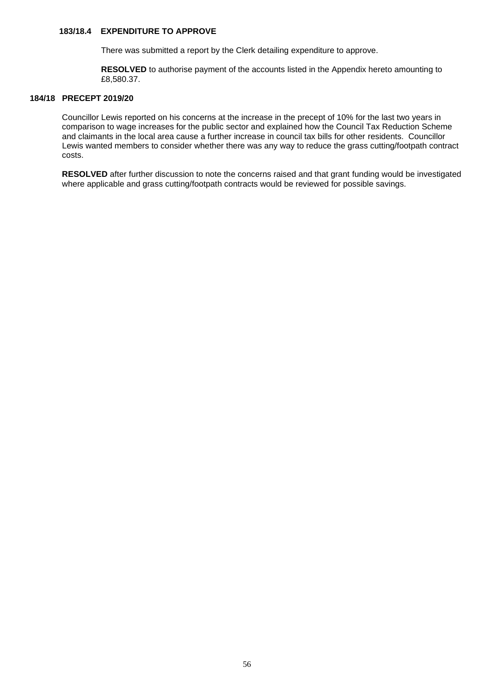## **183/18.4 EXPENDITURE TO APPROVE**

There was submitted a report by the Clerk detailing expenditure to approve.

 **RESOLVED** to authorise payment of the accounts listed in the Appendix hereto amounting to £8,580.37.

## **184/18 PRECEPT 2019/20**

Councillor Lewis reported on his concerns at the increase in the precept of 10% for the last two years in comparison to wage increases for the public sector and explained how the Council Tax Reduction Scheme and claimants in the local area cause a further increase in council tax bills for other residents. Councillor Lewis wanted members to consider whether there was any way to reduce the grass cutting/footpath contract costs.

 **RESOLVED** after further discussion to note the concerns raised and that grant funding would be investigated where applicable and grass cutting/footpath contracts would be reviewed for possible savings.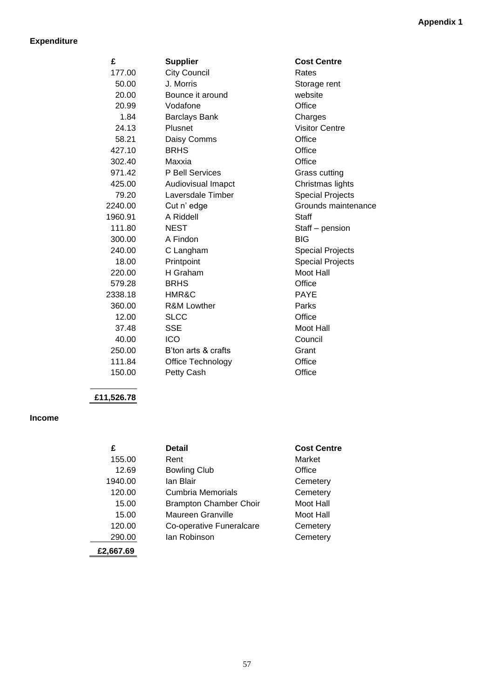## **Expenditure**

| £       | <b>Supplier</b>        | <b>Cost Centre</b>      |
|---------|------------------------|-------------------------|
| 177.00  | <b>City Council</b>    | Rates                   |
| 50.00   | J. Morris              | Storage rent            |
| 20.00   | Bounce it around       | website                 |
| 20.99   | Vodafone               | Office                  |
| 1.84    | <b>Barclays Bank</b>   | Charges                 |
| 24.13   | Plusnet                | <b>Visitor Centre</b>   |
| 58.21   | Daisy Comms            | Office                  |
| 427.10  | <b>BRHS</b>            | Office                  |
| 302.40  | Maxxia                 | Office                  |
| 971.42  | P Bell Services        | Grass cutting           |
| 425.00  | Audiovisual Imapct     | Christmas lights        |
| 79.20   | Laversdale Timber      | <b>Special Projects</b> |
| 2240.00 | Cut n' edge            | Grounds maintenance     |
| 1960.91 | A Riddell              | <b>Staff</b>            |
| 111.80  | <b>NEST</b>            | Staff - pension         |
| 300.00  | A Findon               | <b>BIG</b>              |
| 240.00  | C Langham              | <b>Special Projects</b> |
| 18.00   | Printpoint             | <b>Special Projects</b> |
| 220.00  | H Graham               | Moot Hall               |
| 579.28  | <b>BRHS</b>            | Office                  |
| 2338.18 | HMR&C                  | <b>PAYE</b>             |
| 360.00  | <b>R&amp;M Lowther</b> | Parks                   |
| 12.00   | <b>SLCC</b>            | Office                  |
| 37.48   | <b>SSE</b>             | Moot Hall               |
| 40.00   | <b>ICO</b>             | Council                 |
| 250.00  | B'ton arts & crafts    | Grant                   |
| 111.84  | Office Technology      | Office                  |
| 150.00  | Petty Cash             | Office                  |

# **£11,526.78**

## **Income**

| £         | <b>Detail</b>                 | <b>Cost Centre</b> |
|-----------|-------------------------------|--------------------|
| 155.00    | Rent                          | Market             |
| 12.69     | <b>Bowling Club</b>           | Office             |
| 1940.00   | lan Blair                     | Cemetery           |
| 120.00    | Cumbria Memorials             | Cemetery           |
| 15.00     | <b>Brampton Chamber Choir</b> | Moot Hall          |
| 15.00     | Maureen Granville             | Moot Hall          |
| 120.00    | Co-operative Funeralcare      | Cemetery           |
| 290.00    | lan Robinson                  | Cemetery           |
| £2.667.69 |                               |                    |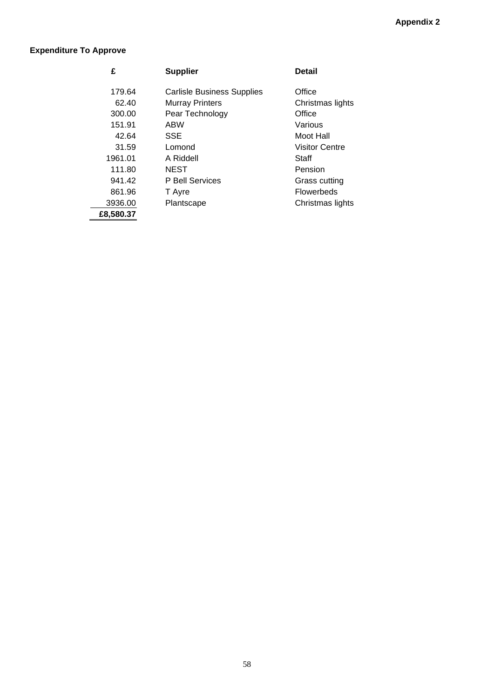## **Expenditure To Approve**

| £         | <b>Supplier</b>                   | <b>Detail</b>         |
|-----------|-----------------------------------|-----------------------|
| 179.64    | <b>Carlisle Business Supplies</b> | Office                |
| 62.40     | <b>Murray Printers</b>            | Christmas lights      |
| 300.00    | Pear Technology                   | Office                |
| 151.91    | ABW                               | Various               |
| 42.64     | <b>SSE</b>                        | Moot Hall             |
| 31.59     | Lomond                            | <b>Visitor Centre</b> |
| 1961.01   | A Riddell                         | Staff                 |
| 111.80    | <b>NEST</b>                       | Pension               |
| 941.42    | P Bell Services                   | Grass cutting         |
| 861.96    | T Ayre                            | <b>Flowerbeds</b>     |
| 3936.00   | Plantscape                        | Christmas lights      |
| £8,580.37 |                                   |                       |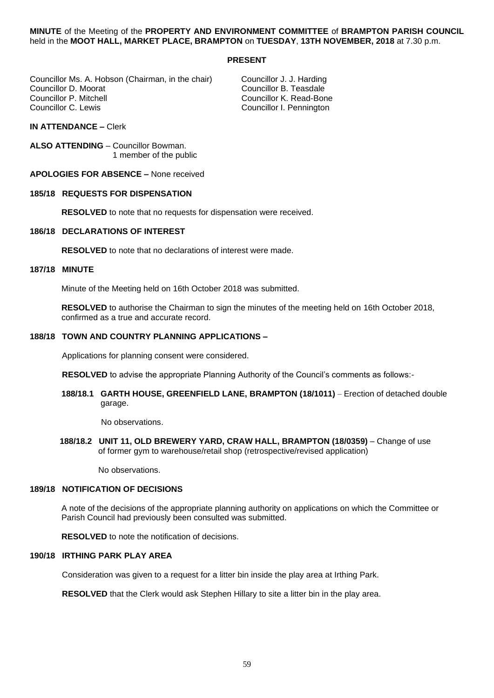**MINUTE** of the Meeting of the **PROPERTY AND ENVIRONMENT COMMITTEE** of **BRAMPTON PARISH COUNCIL** held in the **MOOT HALL, MARKET PLACE, BRAMPTON** on **TUESDAY**, **13TH NOVEMBER, 2018** at 7.30 p.m.

### **PRESENT**

Councillor Ms. A. Hobson (Chairman, in the chair) Councillor J. J. Harding<br>Councillor D. Moorat Councillor B. Teasdale Councillor D. Moorat Councillor B. Teasdale Councillor P. Mitchell Councillor K. Read-Bone

Councillor I. Pennington

**IN ATTENDANCE –** Clerk

**ALSO ATTENDING** – Councillor Bowman. 1 member of the public

**APOLOGIES FOR ABSENCE –** None received

### **185/18 REQUESTS FOR DISPENSATION**

**RESOLVED** to note that no requests for dispensation were received.

## **186/18 DECLARATIONS OF INTEREST**

**RESOLVED** to note that no declarations of interest were made.

#### **187/18 MINUTE**

Minute of the Meeting held on 16th October 2018 was submitted.

**RESOLVED** to authorise the Chairman to sign the minutes of the meeting held on 16th October 2018, confirmed as a true and accurate record.

## **188/18 TOWN AND COUNTRY PLANNING APPLICATIONS –**

Applications for planning consent were considered.

**RESOLVED** to advise the appropriate Planning Authority of the Council's comments as follows:-

**188/18.1 GARTH HOUSE, GREENFIELD LANE, BRAMPTON (18/1011)** – Erection of detached double garage.

No observations.

**188/18.2 UNIT 11, OLD BREWERY YARD, CRAW HALL, BRAMPTON (18/0359)** – Change of use of former gym to warehouse/retail shop (retrospective/revised application)

No observations.

#### **189/18 NOTIFICATION OF DECISIONS**

A note of the decisions of the appropriate planning authority on applications on which the Committee or Parish Council had previously been consulted was submitted.

**RESOLVED** to note the notification of decisions.

#### **190/18 IRTHING PARK PLAY AREA**

Consideration was given to a request for a litter bin inside the play area at Irthing Park.

**RESOLVED** that the Clerk would ask Stephen Hillary to site a litter bin in the play area.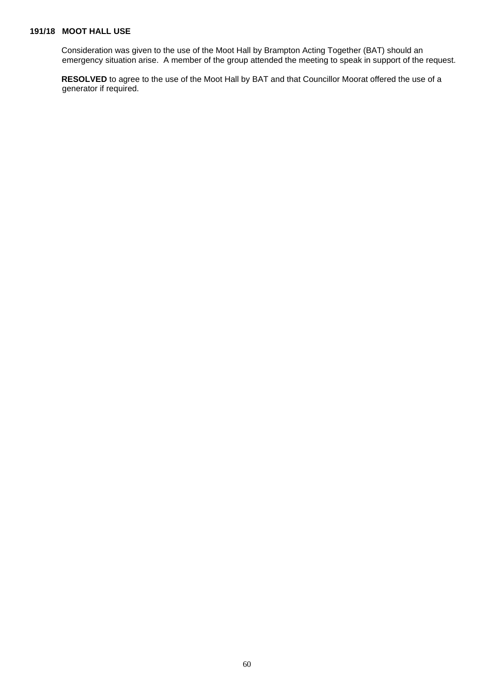## **191/18 MOOT HALL USE**

Consideration was given to the use of the Moot Hall by Brampton Acting Together (BAT) should an emergency situation arise. A member of the group attended the meeting to speak in support of the request.

**RESOLVED** to agree to the use of the Moot Hall by BAT and that Councillor Moorat offered the use of a generator if required.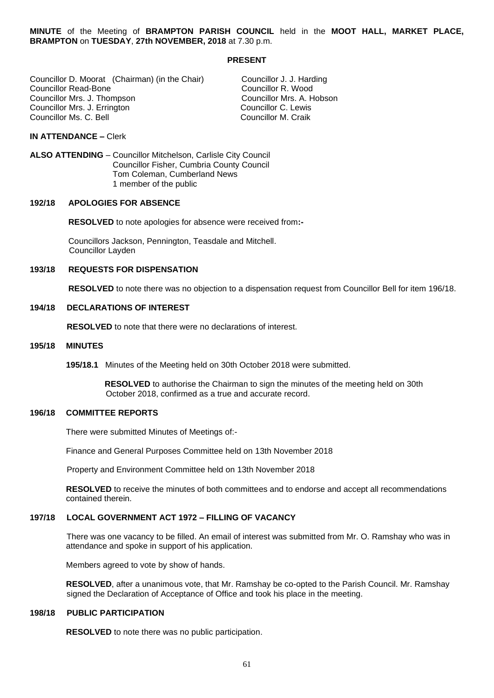**MINUTE** of the Meeting of **BRAMPTON PARISH COUNCIL** held in the **MOOT HALL, MARKET PLACE, BRAMPTON** on **TUESDAY**, **27th NOVEMBER, 2018** at 7.30 p.m.

#### **PRESENT**

Councillor D. Moorat (Chairman) (in the Chair) Councillor J. J. Harding Councillor Read-Bone Councillor R. Wood Councillor Mrs. J. Thompson and Councillor Mrs. A. Hobson Councillor Mrs. A. Hobson Councillor C. Lewis Councillor Mrs. J. Errington **Councillor C. Lewis**<br>Councillor Ms. C. Bell Councillor M. Craik Councillor Ms. C. Bell

#### **IN ATTENDANCE –** Clerk

**ALSO ATTENDING** – Councillor Mitchelson, Carlisle City Council Councillor Fisher, Cumbria County Council Tom Coleman, Cumberland News 1 member of the public

#### **192/18 APOLOGIES FOR ABSENCE**

 **RESOLVED** to note apologies for absence were received from**:-**

Councillors Jackson, Pennington, Teasdale and Mitchell. Councillor Layden

### **193/18 REQUESTS FOR DISPENSATION**

 **RESOLVED** to note there was no objection to a dispensation request from Councillor Bell for item 196/18.

#### **194/18 DECLARATIONS OF INTEREST**

 **RESOLVED** to note that there were no declarations of interest.

#### **195/18 MINUTES**

**195/18.1** Minutes of the Meeting held on 30th October 2018 were submitted.

 **RESOLVED** to authorise the Chairman to sign the minutes of the meeting held on 30th October 2018, confirmed as a true and accurate record.

### **196/18 COMMITTEE REPORTS**

There were submitted Minutes of Meetings of:-

Finance and General Purposes Committee held on 13th November 2018

Property and Environment Committee held on 13th November 2018

 **RESOLVED** to receive the minutes of both committees and to endorse and accept all recommendations contained therein.

## **197/18 LOCAL GOVERNMENT ACT 1972 – FILLING OF VACANCY**

There was one vacancy to be filled. An email of interest was submitted from Mr. O. Ramshay who was in attendance and spoke in support of his application.

Members agreed to vote by show of hands.

 **RESOLVED**, after a unanimous vote, that Mr. Ramshay be co-opted to the Parish Council. Mr. Ramshay signed the Declaration of Acceptance of Office and took his place in the meeting.

## **198/18 PUBLIC PARTICIPATION**

**RESOLVED** to note there was no public participation.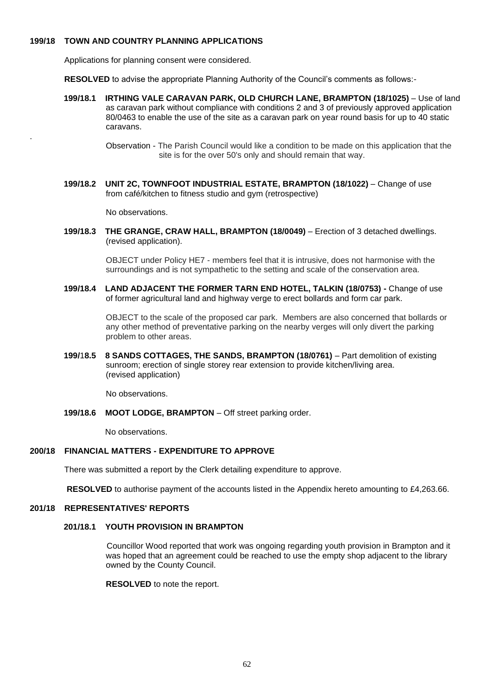## **199/18 TOWN AND COUNTRY PLANNING APPLICATIONS**

Applications for planning consent were considered.

**RESOLVED** to advise the appropriate Planning Authority of the Council's comments as follows:-

 **199/18.1 IRTHING VALE CARAVAN PARK, OLD CHURCH LANE, BRAMPTON (18/1025)** – Use of land as caravan park without compliance with conditions 2 and 3 of previously approved application 80/0463 to enable the use of the site as a caravan park on year round basis for up to 40 static caravans.

> Observation - The Parish Council would like a condition to be made on this application that the site is for the over 50's only and should remain that way.

 **199/18.2 UNIT 2C, TOWNFOOT INDUSTRIAL ESTATE, BRAMPTON (18/1022)** – Change of use from café/kitchen to fitness studio and gym (retrospective)

No observations.

.

 **199/18.3 THE GRANGE, CRAW HALL, BRAMPTON (18/0049)** – Erection of 3 detached dwellings. (revised application).

> OBJECT under Policy HE7 - members feel that it is intrusive, does not harmonise with the surroundings and is not sympathetic to the setting and scale of the conservation area.

 **199/18.4 LAND ADJACENT THE FORMER TARN END HOTEL, TALKIN (18/0753) -** Change of use of former agricultural land and highway verge to erect bollards and form car park.

> OBJECT to the scale of the proposed car park. Members are also concerned that bollards or any other method of preventative parking on the nearby verges will only divert the parking problem to other areas.

 **199/**1**8.5 8 SANDS COTTAGES, THE SANDS, BRAMPTON (18/0761)** – Part demolition of existing sunroom; erection of single storey rear extension to provide kitchen/living area. (revised application)

No observations.

**199/18.6 MOOT LODGE, BRAMPTON** – Off street parking order.

No observations.

## **200/18 FINANCIAL MATTERS - EXPENDITURE TO APPROVE**

There was submitted a report by the Clerk detailing expenditure to approve.

**RESOLVED** to authorise payment of the accounts listed in the Appendix hereto amounting to £4,263.66.

## **201/18 REPRESENTATIVES' REPORTS**

## **201/18.1 YOUTH PROVISION IN BRAMPTON**

 Councillor Wood reported that work was ongoing regarding youth provision in Brampton and it was hoped that an agreement could be reached to use the empty shop adjacent to the library owned by the County Council.

**RESOLVED** to note the report.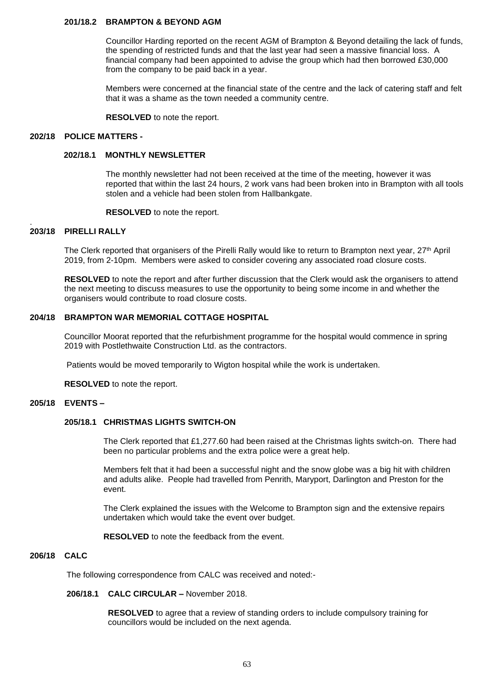#### **201/18.2 BRAMPTON & BEYOND AGM**

Councillor Harding reported on the recent AGM of Brampton & Beyond detailing the lack of funds, the spending of restricted funds and that the last year had seen a massive financial loss. A financial company had been appointed to advise the group which had then borrowed £30,000 from the company to be paid back in a year.

 Members were concerned at the financial state of the centre and the lack of catering staff and felt that it was a shame as the town needed a community centre.

**RESOLVED** to note the report.

## **202/18 POLICE MATTERS -**

### **202/18.1 MONTHLY NEWSLETTER**

The monthly newsletter had not been received at the time of the meeting, however it was reported that within the last 24 hours, 2 work vans had been broken into in Brampton with all tools stolen and a vehicle had been stolen from Hallbankgate.

**RESOLVED** to note the report.

#### . **203/18 PIRELLI RALLY**

The Clerk reported that organisers of the Pirelli Rally would like to return to Brampton next year, 27th April 2019, from 2-10pm. Members were asked to consider covering any associated road closure costs.

 **RESOLVED** to note the report and after further discussion that the Clerk would ask the organisers to attend the next meeting to discuss measures to use the opportunity to being some income in and whether the organisers would contribute to road closure costs.

## **204/18 BRAMPTON WAR MEMORIAL COTTAGE HOSPITAL**

Councillor Moorat reported that the refurbishment programme for the hospital would commence in spring 2019 with Postlethwaite Construction Ltd. as the contractors.

Patients would be moved temporarily to Wigton hospital while the work is undertaken.

**RESOLVED** to note the report.

#### **205/18 EVENTS –**

## **205/18.1 CHRISTMAS LIGHTS SWITCH-ON**

The Clerk reported that £1,277.60 had been raised at the Christmas lights switch-on. There had been no particular problems and the extra police were a great help.

 Members felt that it had been a successful night and the snow globe was a big hit with children and adults alike. People had travelled from Penrith, Maryport, Darlington and Preston for the event.

 The Clerk explained the issues with the Welcome to Brampton sign and the extensive repairs undertaken which would take the event over budget.

**RESOLVED** to note the feedback from the event.

### **206/18 CALC**

The following correspondence from CALC was received and noted:-

## **206/18.1 CALC CIRCULAR –** November 2018.

 **RESOLVED** to agree that a review of standing orders to include compulsory training for councillors would be included on the next agenda.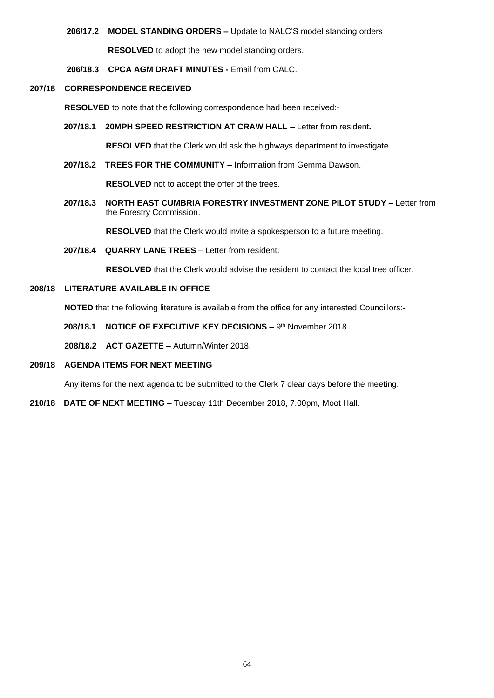## **206/17.2 MODEL STANDING ORDERS –** Update to NALC'S model standing orders

**RESOLVED** to adopt the new model standing orders.

**206/18.3 CPCA AGM DRAFT MINUTES -** Email from CALC.

## **207/18 CORRESPONDENCE RECEIVED**

 **RESOLVED** to note that the following correspondence had been received:-

**207/18.1 20MPH SPEED RESTRICTION AT CRAW HALL –** Letter from resident**.**

 **RESOLVED** that the Clerk would ask the highways department to investigate.

 **207/18.2 TREES FOR THE COMMUNITY –** Information from Gemma Dawson.

**RESOLVED** not to accept the offer of the trees.

 **207/18.3 NORTH EAST CUMBRIA FORESTRY INVESTMENT ZONE PILOT STUDY –** Letter from the Forestry Commission.

**RESOLVED** that the Clerk would invite a spokesperson to a future meeting.

**207/18.4 QUARRY LANE TREES** – Letter from resident.

**RESOLVED** that the Clerk would advise the resident to contact the local tree officer.

## **208/18 LITERATURE AVAILABLE IN OFFICE**

 **NOTED** that the following literature is available from the office for any interested Councillors:-

- **208/18.1 NOTICE OF EXECUTIVE KEY DECISIONS 9th November 2018.**
- **208/18.2 ACT GAZETTE** Autumn/Winter 2018.

## **209/18 AGENDA ITEMS FOR NEXT MEETING**

Any items for the next agenda to be submitted to the Clerk 7 clear days before the meeting.

**210/18 DATE OF NEXT MEETING** – Tuesday 11th December 2018, 7.00pm, Moot Hall.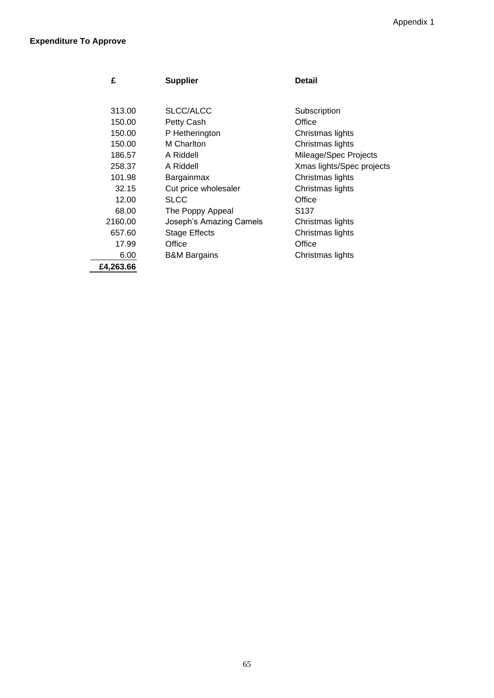| £         | <b>Supplier</b>         | Detail                    |
|-----------|-------------------------|---------------------------|
|           |                         |                           |
| 313.00    | SLCC/ALCC               | Subscription              |
| 150.00    | Petty Cash              | Office                    |
| 150.00    | P Hetherington          | Christmas lights          |
| 150.00    | M Charlton              | Christmas lights          |
| 186.57    | A Riddell               | Mileage/Spec Projects     |
| 258.37    | A Riddell               | Xmas lights/Spec projects |
| 101.98    | Bargainmax              | Christmas lights          |
| 32.15     | Cut price wholesaler    | Christmas lights          |
| 12.00     | <b>SLCC</b>             | Office                    |
| 68.00     | The Poppy Appeal        | S <sub>137</sub>          |
| 2160.00   | Joseph's Amazing Camels | Christmas lights          |
| 657.60    | Stage Effects           | Christmas lights          |
| 17.99     | Office                  | Office                    |
| 6.00      | <b>B&amp;M Bargains</b> | Christmas lights          |
| £4,263.66 |                         |                           |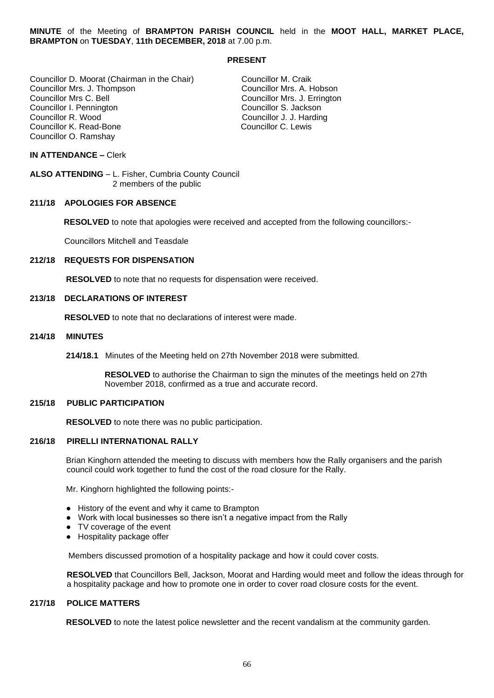**MINUTE** of the Meeting of **BRAMPTON PARISH COUNCIL** held in the **MOOT HALL, MARKET PLACE, BRAMPTON** on **TUESDAY**, **11th DECEMBER, 2018** at 7.00 p.m.

### **PRESENT**

Councillor D. Moorat (Chairman in the Chair) Councillor M. Craik<br>Councillor Mrs. J. Thompson Councillor Mrs. A. Hobson Councillor Mrs. J. Thompson<br>Councillor Mrs C. Bell Councillor Mrs C. Bell Councillor Mrs. J. Errington Councillor I. Pennington **Councillor I. Pennington** Councillor S. Jackson<br>
Councillor R. Wood Councillor S. J. Hardin Councillor K. Read-Bone Councillor O. Ramshay

Councillor J. J. Harding<br>Councillor C. Lewis

## **IN ATTENDANCE –** Clerk

**ALSO ATTENDING** – L. Fisher, Cumbria County Council 2 members of the public

## **211/18 APOLOGIES FOR ABSENCE**

 **RESOLVED** to note that apologies were received and accepted from the following councillors:-

Councillors Mitchell and Teasdale

## **212/18 REQUESTS FOR DISPENSATION**

 **RESOLVED** to note that no requests for dispensation were received.

## **213/18 DECLARATIONS OF INTEREST**

 **RESOLVED** to note that no declarations of interest were made.

### **214/18 MINUTES**

**214/18.1** Minutes of the Meeting held on 27th November 2018 were submitted.

 **RESOLVED** to authorise the Chairman to sign the minutes of the meetings held on 27th November 2018, confirmed as a true and accurate record.

### **215/18 PUBLIC PARTICIPATION**

**RESOLVED** to note there was no public participation.

#### **216/18 PIRELLI INTERNATIONAL RALLY**

Brian Kinghorn attended the meeting to discuss with members how the Rally organisers and the parish council could work together to fund the cost of the road closure for the Rally.

Mr. Kinghorn highlighted the following points:-

- History of the event and why it came to Brampton
- Work with local businesses so there isn't a negative impact from the Rally
- TV coverage of the event
- Hospitality package offer

Members discussed promotion of a hospitality package and how it could cover costs.

 **RESOLVED** that Councillors Bell, Jackson, Moorat and Harding would meet and follow the ideas through for a hospitality package and how to promote one in order to cover road closure costs for the event.

## **217/18 POLICE MATTERS**

 **RESOLVED** to note the latest police newsletter and the recent vandalism at the community garden.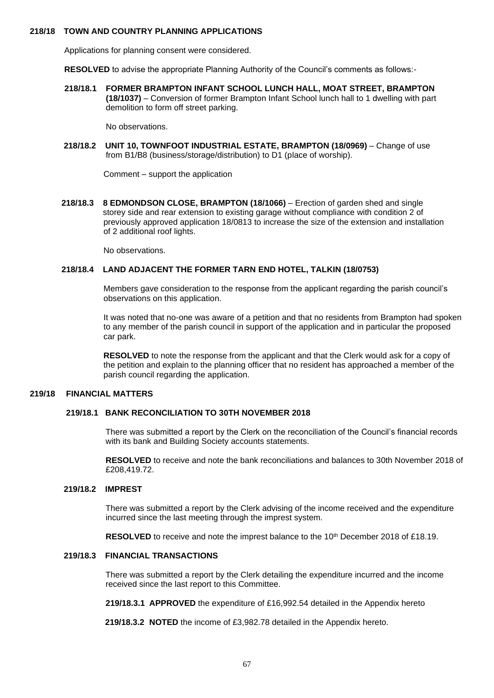## **218/18 TOWN AND COUNTRY PLANNING APPLICATIONS**

Applications for planning consent were considered.

**RESOLVED** to advise the appropriate Planning Authority of the Council's comments as follows:-

 **218/18.1 FORMER BRAMPTON INFANT SCHOOL LUNCH HALL, MOAT STREET, BRAMPTON (18/1037)** – Conversion of former Brampton Infant School lunch hall to 1 dwelling with part demolition to form off street parking.

No observations.

 **218/18.2 UNIT 10, TOWNFOOT INDUSTRIAL ESTATE, BRAMPTON (18/0969)** – Change of use from B1/B8 (business/storage/distribution) to D1 (place of worship).

Comment – support the application

**218/18.3 8 EDMONDSON CLOSE, BRAMPTON (18/1066)** – Erection of garden shed and single storey side and rear extension to existing garage without compliance with condition 2 of previously approved application 18/0813 to increase the size of the extension and installation of 2 additional roof lights.

No observations.

## **218/18.4 LAND ADJACENT THE FORMER TARN END HOTEL, TALKIN (18/0753)**

Members gave consideration to the response from the applicant regarding the parish council's observations on this application.

 It was noted that no-one was aware of a petition and that no residents from Brampton had spoken to any member of the parish council in support of the application and in particular the proposed car park.

 **RESOLVED** to note the response from the applicant and that the Clerk would ask for a copy of the petition and explain to the planning officer that no resident has approached a member of the parish council regarding the application.

#### **219/18 FINANCIAL MATTERS**

### **219/18.1 BANK RECONCILIATION TO 30TH NOVEMBER 2018**

 There was submitted a report by the Clerk on the reconciliation of the Council's financial records with its bank and Building Society accounts statements.

 **RESOLVED** to receive and note the bank reconciliations and balances to 30th November 2018 of £208,419.72.

#### **219/18.2 IMPREST**

 There was submitted a report by the Clerk advising of the income received and the expenditure incurred since the last meeting through the imprest system.

**RESOLVED** to receive and note the imprest balance to the 10<sup>th</sup> December 2018 of £18.19.

#### **219/18.3 FINANCIAL TRANSACTIONS**

 There was submitted a report by the Clerk detailing the expenditure incurred and the income received since the last report to this Committee.

 **219/18.3.1 APPROVED** the expenditure of £16,992.54 detailed in the Appendix hereto

 **219/18.3.2 NOTED** the income of £3,982.78 detailed in the Appendix hereto.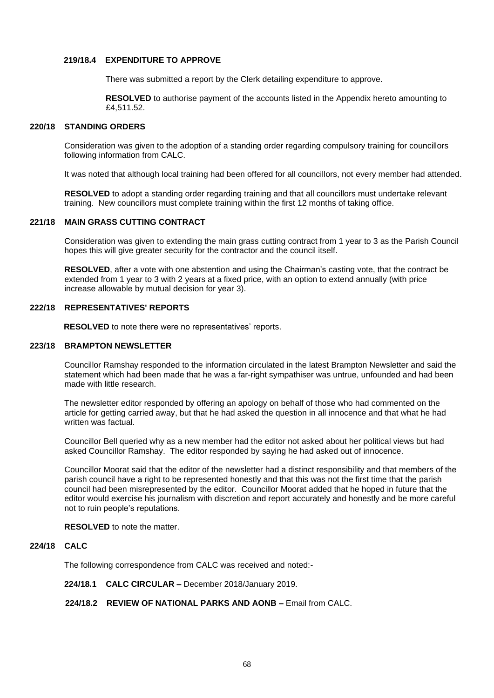## **219/18.4 EXPENDITURE TO APPROVE**

There was submitted a report by the Clerk detailing expenditure to approve.

 **RESOLVED** to authorise payment of the accounts listed in the Appendix hereto amounting to £4,511.52.

### **220/18 STANDING ORDERS**

Consideration was given to the adoption of a standing order regarding compulsory training for councillors following information from CALC.

It was noted that although local training had been offered for all councillors, not every member had attended.

 **RESOLVED** to adopt a standing order regarding training and that all councillors must undertake relevant training. New councillors must complete training within the first 12 months of taking office.

## **221/18 MAIN GRASS CUTTING CONTRACT**

Consideration was given to extending the main grass cutting contract from 1 year to 3 as the Parish Council hopes this will give greater security for the contractor and the council itself.

 **RESOLVED**, after a vote with one abstention and using the Chairman's casting vote, that the contract be extended from 1 year to 3 with 2 years at a fixed price, with an option to extend annually (with price increase allowable by mutual decision for year 3).

### **222/18 REPRESENTATIVES' REPORTS**

 **RESOLVED** to note there were no representatives' reports.

### **223/18 BRAMPTON NEWSLETTER**

Councillor Ramshay responded to the information circulated in the latest Brampton Newsletter and said the statement which had been made that he was a far-right sympathiser was untrue, unfounded and had been made with little research.

 The newsletter editor responded by offering an apology on behalf of those who had commented on the article for getting carried away, but that he had asked the question in all innocence and that what he had written was factual.

 Councillor Bell queried why as a new member had the editor not asked about her political views but had asked Councillor Ramshay. The editor responded by saying he had asked out of innocence.

 Councillor Moorat said that the editor of the newsletter had a distinct responsibility and that members of the parish council have a right to be represented honestly and that this was not the first time that the parish council had been misrepresented by the editor. Councillor Moorat added that he hoped in future that the editor would exercise his journalism with discretion and report accurately and honestly and be more careful not to ruin people's reputations.

### **RESOLVED** to note the matter.

## **224/18 CALC**

The following correspondence from CALC was received and noted:-

 **224/18.1 CALC CIRCULAR –** December 2018/January 2019.

## **224/18.2 REVIEW OF NATIONAL PARKS AND AONB –** Email from CALC.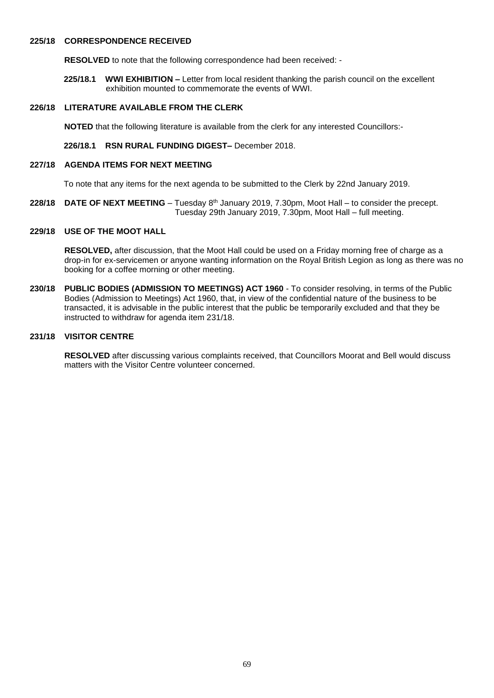## **225/18 CORRESPONDENCE RECEIVED**

 **RESOLVED** to note that the following correspondence had been received: -

 **225/18.1 WWI EXHIBITION –** Letter from local resident thanking the parish council on the excellent exhibition mounted to commemorate the events of WWI.

## **226/18 LITERATURE AVAILABLE FROM THE CLERK**

 **NOTED** that the following literature is available from the clerk for any interested Councillors:-

 **226/18.1 RSN RURAL FUNDING DIGEST–** December 2018.

#### **227/18 AGENDA ITEMS FOR NEXT MEETING**

To note that any items for the next agenda to be submitted to the Clerk by 22nd January 2019.

**228/18 DATE OF NEXT MEETING** – Tuesday 8<sup>th</sup> January 2019, 7.30pm, Moot Hall – to consider the precept. Tuesday 29th January 2019, 7.30pm, Moot Hall – full meeting.

## **229/18 USE OF THE MOOT HALL**

 **RESOLVED,** after discussion, that the Moot Hall could be used on a Friday morning free of charge as a drop-in for ex-servicemen or anyone wanting information on the Royal British Legion as long as there was no booking for a coffee morning or other meeting.

**230/18 PUBLIC BODIES (ADMISSION TO MEETINGS) ACT 1960** - To consider resolving, in terms of the Public Bodies (Admission to Meetings) Act 1960, that, in view of the confidential nature of the business to be transacted, it is advisable in the public interest that the public be temporarily excluded and that they be instructed to withdraw for agenda item 231/18.

## **231/18 VISITOR CENTRE**

 **RESOLVED** after discussing various complaints received, that Councillors Moorat and Bell would discuss matters with the Visitor Centre volunteer concerned.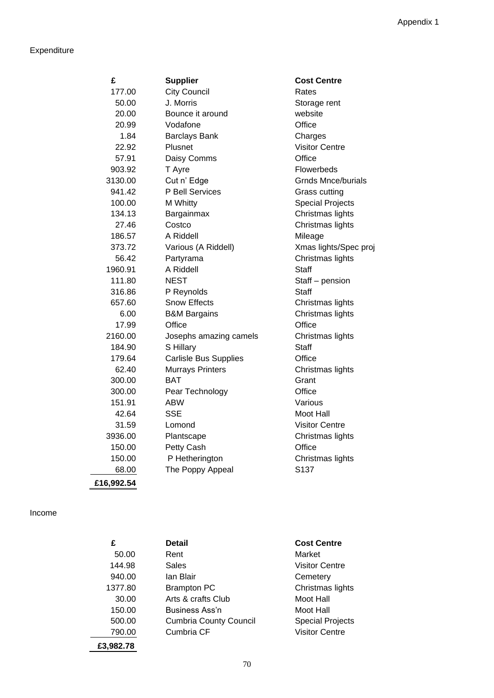# Expenditure

| £          | <b>Supplier</b>              | <b>Cost Centre</b>        |
|------------|------------------------------|---------------------------|
| 177.00     | <b>City Council</b>          | Rates                     |
| 50.00      | J. Morris                    | Storage rent              |
| 20.00      | Bounce it around             | website                   |
| 20.99      | Vodafone                     | Office                    |
| 1.84       | <b>Barclays Bank</b>         | Charges                   |
| 22.92      | Plusnet                      | <b>Visitor Centre</b>     |
| 57.91      | Daisy Comms                  | Office                    |
| 903.92     | T Ayre                       | Flowerbeds                |
| 3130.00    | Cut n' Edge                  | <b>Grnds Mnce/burials</b> |
| 941.42     | P Bell Services              | <b>Grass cutting</b>      |
| 100.00     | M Whitty                     | <b>Special Projects</b>   |
| 134.13     | Bargainmax                   | Christmas lights          |
| 27.46      | Costco                       | Christmas lights          |
| 186.57     | A Riddell                    | Mileage                   |
| 373.72     | Various (A Riddell)          | Xmas lights/Spec proj     |
| 56.42      | Partyrama                    | Christmas lights          |
| 1960.91    | A Riddell                    | <b>Staff</b>              |
| 111.80     | <b>NEST</b>                  | Staff - pension           |
| 316.86     | P Reynolds                   | <b>Staff</b>              |
| 657.60     | Snow Effects                 | Christmas lights          |
| 6.00       | <b>B&amp;M Bargains</b>      | Christmas lights          |
| 17.99      | Office                       | Office                    |
| 2160.00    | Josephs amazing camels       | Christmas lights          |
| 184.90     | S Hillary                    | <b>Staff</b>              |
| 179.64     | <b>Carlisle Bus Supplies</b> | Office                    |
| 62.40      | <b>Murrays Printers</b>      | Christmas lights          |
| 300.00     | <b>BAT</b>                   | Grant                     |
| 300.00     | Pear Technology              | Office                    |
| 151.91     | <b>ABW</b>                   | Various                   |
| 42.64      | <b>SSE</b>                   | Moot Hall                 |
| 31.59      | Lomond                       | <b>Visitor Centre</b>     |
| 3936.00    | Plantscape                   | Christmas lights          |
| 150.00     | Petty Cash                   | Office                    |
| 150.00     | P Hetherington               | Christmas lights          |
| 68.00      | The Poppy Appeal             | S137                      |
| £16,992.54 |                              |                           |
|            |                              |                           |

# Income

| £         | <b>Detail</b>                 | <b>Cost Centre</b>      |
|-----------|-------------------------------|-------------------------|
| 50.00     | Rent                          | Market                  |
| 144.98    | Sales                         | <b>Visitor Centre</b>   |
| 940.00    | lan Blair                     | Cemetery                |
| 1377.80   | <b>Brampton PC</b>            | Christmas lights        |
| 30.00     | Arts & crafts Club            | Moot Hall               |
| 150.00    | Business Ass'n                | Moot Hall               |
| 500.00    | <b>Cumbria County Council</b> | <b>Special Projects</b> |
| 790.00    | Cumbria CF                    | <b>Visitor Centre</b>   |
| £3.982.78 |                               |                         |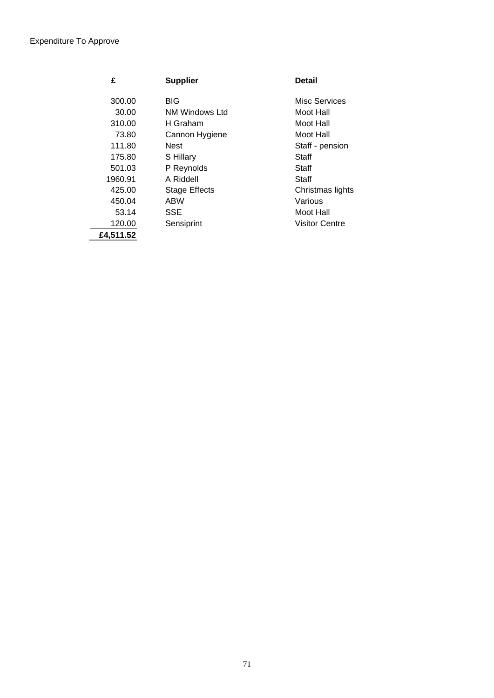| £         | <b>Supplier</b>      | <b>Detail</b>         |
|-----------|----------------------|-----------------------|
| 300.00    | <b>BIG</b>           | Misc Services         |
| 30.00     | NM Windows Ltd       | Moot Hall             |
| 310.00    | H Graham             | Moot Hall             |
| 73.80     | Cannon Hygiene       | Moot Hall             |
| 111.80    | Nest                 | Staff - pension       |
| 175.80    | S Hillary            | Staff                 |
| 501.03    | P Reynolds           | Staff                 |
| 1960.91   | A Riddell            | Staff                 |
| 425.00    | <b>Stage Effects</b> | Christmas lights      |
| 450.04    | ABW                  | Various               |
| 53.14     | <b>SSE</b>           | Moot Hall             |
| 120.00    | Sensiprint           | <b>Visitor Centre</b> |
| £4,511.52 |                      |                       |
|           |                      |                       |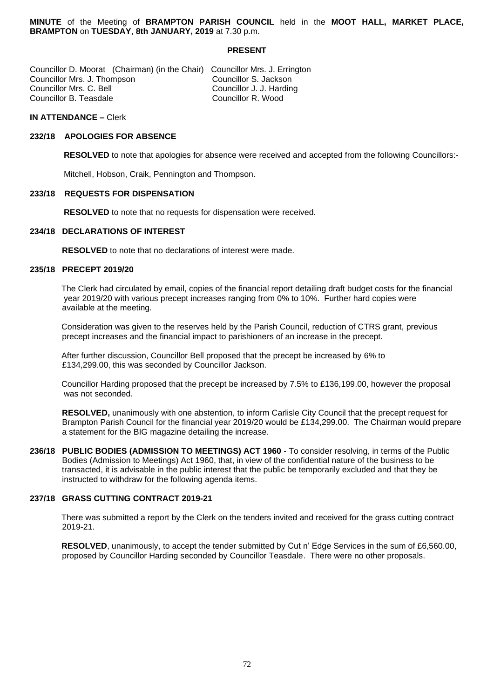**MINUTE** of the Meeting of **BRAMPTON PARISH COUNCIL** held in the **MOOT HALL, MARKET PLACE, BRAMPTON** on **TUESDAY**, **8th JANUARY, 2019** at 7.30 p.m.

## **PRESENT**

| Councillor D. Moorat (Chairman) (in the Chair) Councillor Mrs. J. Errington |                          |
|-----------------------------------------------------------------------------|--------------------------|
| Councillor Mrs. J. Thompson                                                 | Councillor S. Jackson    |
| Councillor Mrs. C. Bell                                                     | Councillor J. J. Harding |
| Councillor B. Teasdale                                                      | Councillor R. Wood       |

### **IN ATTENDANCE –** Clerk

## **232/18 APOLOGIES FOR ABSENCE**

 **RESOLVED** to note that apologies for absence were received and accepted from the following Councillors:-

Mitchell, Hobson, Craik, Pennington and Thompson.

#### **233/18 REQUESTS FOR DISPENSATION**

 **RESOLVED** to note that no requests for dispensation were received.

## **234/18 DECLARATIONS OF INTEREST**

 **RESOLVED** to note that no declarations of interest were made.

### **235/18 PRECEPT 2019/20**

The Clerk had circulated by email, copies of the financial report detailing draft budget costs for the financial year 2019/20 with various precept increases ranging from 0% to 10%. Further hard copies were available at the meeting.

Consideration was given to the reserves held by the Parish Council, reduction of CTRS grant, previous precept increases and the financial impact to parishioners of an increase in the precept.

After further discussion, Councillor Bell proposed that the precept be increased by 6% to £134,299.00, this was seconded by Councillor Jackson.

Councillor Harding proposed that the precept be increased by 7.5% to £136,199.00, however the proposal was not seconded.

 **RESOLVED,** unanimously with one abstention, to inform Carlisle City Council that the precept request for Brampton Parish Council for the financial year 2019/20 would be £134,299.00. The Chairman would prepare a statement for the BIG magazine detailing the increase.

**236/18 PUBLIC BODIES (ADMISSION TO MEETINGS) ACT 1960** - To consider resolving, in terms of the Public Bodies (Admission to Meetings) Act 1960, that, in view of the confidential nature of the business to be transacted, it is advisable in the public interest that the public be temporarily excluded and that they be instructed to withdraw for the following agenda items.

## **237/18 GRASS CUTTING CONTRACT 2019-21**

There was submitted a report by the Clerk on the tenders invited and received for the grass cutting contract 2019-21.

**RESOLVED**, unanimously, to accept the tender submitted by Cut n' Edge Services in the sum of £6,560.00, proposed by Councillor Harding seconded by Councillor Teasdale. There were no other proposals.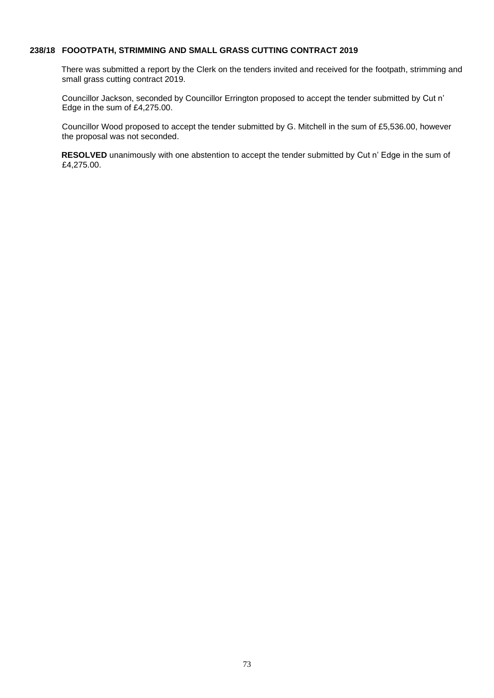# **238/18 FOOOTPATH, STRIMMING AND SMALL GRASS CUTTING CONTRACT 2019**

There was submitted a report by the Clerk on the tenders invited and received for the footpath, strimming and small grass cutting contract 2019.

 Councillor Jackson, seconded by Councillor Errington proposed to accept the tender submitted by Cut n' Edge in the sum of £4,275.00.

 Councillor Wood proposed to accept the tender submitted by G. Mitchell in the sum of £5,536.00, however the proposal was not seconded.

**RESOLVED** unanimously with one abstention to accept the tender submitted by Cut n' Edge in the sum of £4,275.00.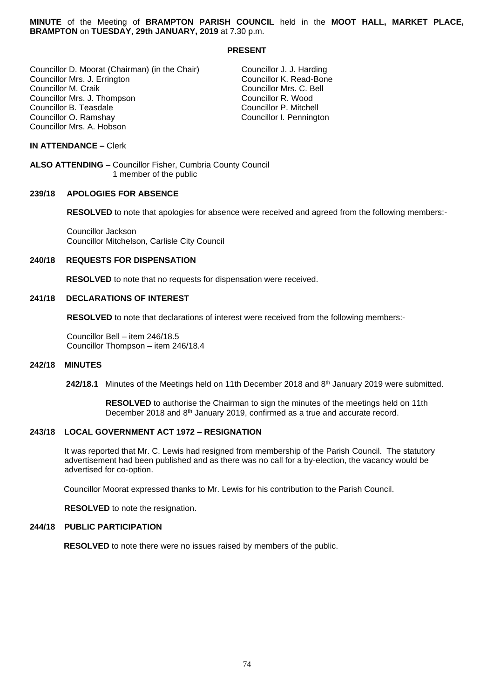**MINUTE** of the Meeting of **BRAMPTON PARISH COUNCIL** held in the **MOOT HALL, MARKET PLACE, BRAMPTON** on **TUESDAY**, **29th JANUARY, 2019** at 7.30 p.m.

## **PRESENT**

Councillor D. Moorat (Chairman) (in the Chair) Councillor J. J. Harding Councillor Mrs. J. Errington<br>Councillor M. Craik Councillor Mrs. J. Thompson Councillor R. Wood Councillor B. Teasdale<br>Councillor O. Ramshay Councillor Mrs. A. Hobson

Councillor Mrs. C. Bell<br>Councillor R. Wood Councillor I. Pennington

## **IN ATTENDANCE –** Clerk

**ALSO ATTENDING** – Councillor Fisher, Cumbria County Council 1 member of the public

#### **239/18 APOLOGIES FOR ABSENCE**

 **RESOLVED** to note that apologies for absence were received and agreed from the following members:-

 Councillor Jackson Councillor Mitchelson, Carlisle City Council

## **240/18 REQUESTS FOR DISPENSATION**

 **RESOLVED** to note that no requests for dispensation were received.

#### **241/18 DECLARATIONS OF INTEREST**

 **RESOLVED** to note that declarations of interest were received from the following members:-

 Councillor Bell – item 246/18.5 Councillor Thompson – item 246/18.4

#### **242/18 MINUTES**

**242/18.1** Minutes of the Meetings held on 11th December 2018 and 8<sup>th</sup> January 2019 were submitted.

 **RESOLVED** to authorise the Chairman to sign the minutes of the meetings held on 11th December 2018 and 8<sup>th</sup> January 2019, confirmed as a true and accurate record.

## **243/18 LOCAL GOVERNMENT ACT 1972 – RESIGNATION**

 It was reported that Mr. C. Lewis had resigned from membership of the Parish Council. The statutory advertisement had been published and as there was no call for a by-election, the vacancy would be advertised for co-option.

Councillor Moorat expressed thanks to Mr. Lewis for his contribution to the Parish Council.

**RESOLVED** to note the resignation.

#### **244/18 PUBLIC PARTICIPATION**

**RESOLVED** to note there were no issues raised by members of the public.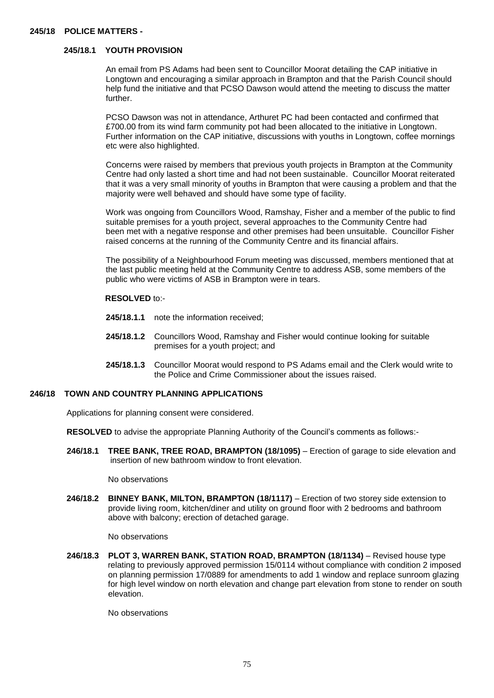## **245/18 POLICE MATTERS -**

## **245/18.1 YOUTH PROVISION**

An email from PS Adams had been sent to Councillor Moorat detailing the CAP initiative in Longtown and encouraging a similar approach in Brampton and that the Parish Council should help fund the initiative and that PCSO Dawson would attend the meeting to discuss the matter further.

 PCSO Dawson was not in attendance, Arthuret PC had been contacted and confirmed that £700.00 from its wind farm community pot had been allocated to the initiative in Longtown. Further information on the CAP initiative, discussions with youths in Longtown, coffee mornings etc were also highlighted.

 Concerns were raised by members that previous youth projects in Brampton at the Community Centre had only lasted a short time and had not been sustainable. Councillor Moorat reiterated that it was a very small minority of youths in Brampton that were causing a problem and that the majority were well behaved and should have some type of facility.

 Work was ongoing from Councillors Wood, Ramshay, Fisher and a member of the public to find suitable premises for a youth project, several approaches to the Community Centre had been met with a negative response and other premises had been unsuitable. Councillor Fisher raised concerns at the running of the Community Centre and its financial affairs.

 The possibility of a Neighbourhood Forum meeting was discussed, members mentioned that at the last public meeting held at the Community Centre to address ASB, some members of the public who were victims of ASB in Brampton were in tears.

#### **RESOLVED** to:-

- **245/18.1.1** note the information received;
- **245/18.1.2** Councillors Wood, Ramshay and Fisher would continue looking for suitable premises for a youth project; and
- **245/18.1.3** Councillor Moorat would respond to PS Adams email and the Clerk would write to the Police and Crime Commissioner about the issues raised.

#### **246/18 TOWN AND COUNTRY PLANNING APPLICATIONS**

Applications for planning consent were considered.

**RESOLVED** to advise the appropriate Planning Authority of the Council's comments as follows:-

 **246/18.1 TREE BANK, TREE ROAD, BRAMPTON (18/1095)** – Erection of garage to side elevation and insertion of new bathroom window to front elevation.

No observations

 **246/18.2 BINNEY BANK, MILTON, BRAMPTON (18/1117)** – Erection of two storey side extension to provide living room, kitchen/diner and utility on ground floor with 2 bedrooms and bathroom above with balcony; erection of detached garage.

No observations

 **246/18.3 PLOT 3, WARREN BANK, STATION ROAD, BRAMPTON (18/1134)** – Revised house type relating to previously approved permission 15/0114 without compliance with condition 2 imposed on planning permission 17/0889 for amendments to add 1 window and replace sunroom glazing for high level window on north elevation and change part elevation from stone to render on south elevation.

No observations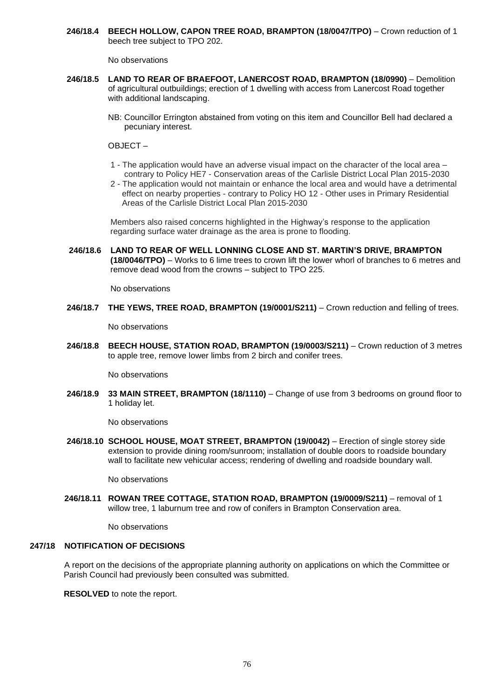**246/18.4 BEECH HOLLOW, CAPON TREE ROAD, BRAMPTON (18/0047/TPO)** – Crown reduction of 1 beech tree subject to TPO 202.

No observations

- **246/18.5 LAND TO REAR OF BRAEFOOT, LANERCOST ROAD, BRAMPTON (18/0990)** Demolition of agricultural outbuildings; erection of 1 dwelling with access from Lanercost Road together with additional landscaping.
	- NB: Councillor Errington abstained from voting on this item and Councillor Bell had declared a pecuniary interest.

OBJECT –

- 1 The application would have an adverse visual impact on the character of the local area contrary to Policy HE7 - Conservation areas of the Carlisle District Local Plan 2015-2030
- 2 The application would not maintain or enhance the local area and would have a detrimental effect on nearby properties - contrary to Policy HO 12 - Other uses in Primary Residential Areas of the Carlisle District Local Plan 2015-2030

 Members also raised concerns highlighted in the Highway's response to the application regarding surface water drainage as the area is prone to flooding.

 **246/18.6 LAND TO REAR OF WELL LONNING CLOSE AND ST. MARTIN'S DRIVE, BRAMPTON (18/0046/TPO)** – Works to 6 lime trees to crown lift the lower whorl of branches to 6 metres and remove dead wood from the crowns – subject to TPO 225.

No observations

**246/18.7 THE YEWS, TREE ROAD, BRAMPTON (19/0001/S211)** – Crown reduction and felling of trees.

No observations

 **246/18.8 BEECH HOUSE, STATION ROAD, BRAMPTON (19/0003/S211)** – Crown reduction of 3 metres to apple tree, remove lower limbs from 2 birch and conifer trees.

No observations

 **246/18.9 33 MAIN STREET, BRAMPTON (18/1110)** – Change of use from 3 bedrooms on ground floor to 1 holiday let.

No observations

 **246/18.10 SCHOOL HOUSE, MOAT STREET, BRAMPTON (19/0042)** – Erection of single storey side extension to provide dining room/sunroom; installation of double doors to roadside boundary wall to facilitate new vehicular access; rendering of dwelling and roadside boundary wall.

No observations

 **246/18.11 ROWAN TREE COTTAGE, STATION ROAD, BRAMPTON (19/0009/S211)** – removal of 1 willow tree, 1 laburnum tree and row of conifers in Brampton Conservation area.

No observations

### **247/18 NOTIFICATION OF DECISIONS**

A report on the decisions of the appropriate planning authority on applications on which the Committee or Parish Council had previously been consulted was submitted.

 **RESOLVED** to note the report.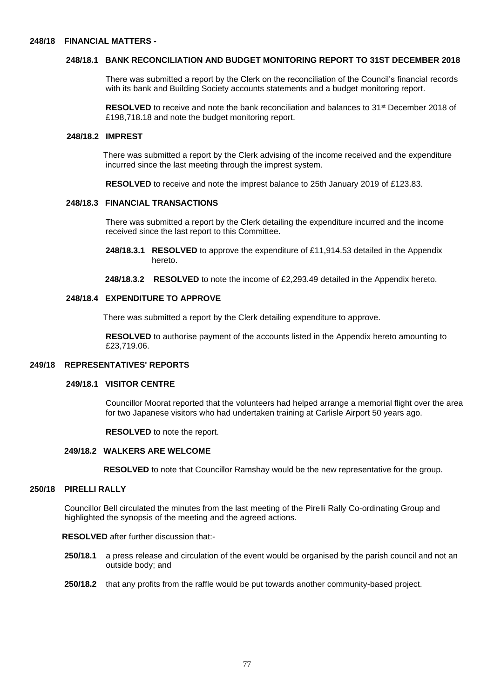## **248/18.1 BANK RECONCILIATION AND BUDGET MONITORING REPORT TO 31ST DECEMBER 2018**

 There was submitted a report by the Clerk on the reconciliation of the Council's financial records with its bank and Building Society accounts statements and a budget monitoring report.

**RESOLVED** to receive and note the bank reconciliation and balances to 31<sup>st</sup> December 2018 of £198,718.18 and note the budget monitoring report.

### **248/18.2 IMPREST**

 There was submitted a report by the Clerk advising of the income received and the expenditure incurred since the last meeting through the imprest system.

 **RESOLVED** to receive and note the imprest balance to 25th January 2019 of £123.83.

#### **248/18.3 FINANCIAL TRANSACTIONS**

 There was submitted a report by the Clerk detailing the expenditure incurred and the income received since the last report to this Committee.

 **248/18.3.1 RESOLVED** to approve the expenditure of £11,914.53 detailed in the Appendix hereto.

 **248/18.3.2 RESOLVED** to note the income of £2,293.49 detailed in the Appendix hereto.

## **248/18.4 EXPENDITURE TO APPROVE**

There was submitted a report by the Clerk detailing expenditure to approve.

 **RESOLVED** to authorise payment of the accounts listed in the Appendix hereto amounting to £23,719.06.

#### **249/18 REPRESENTATIVES' REPORTS**

#### **249/18.1 VISITOR CENTRE**

 Councillor Moorat reported that the volunteers had helped arrange a memorial flight over the area for two Japanese visitors who had undertaken training at Carlisle Airport 50 years ago.

 **RESOLVED** to note the report.

### **249/18.2 WALKERS ARE WELCOME**

 **RESOLVED** to note that Councillor Ramshay would be the new representative for the group.

## **250/18 PIRELLI RALLY**

Councillor Bell circulated the minutes from the last meeting of the Pirelli Rally Co-ordinating Group and highlighted the synopsis of the meeting and the agreed actions.

#### **RESOLVED** after further discussion that:-

- **250/18.1** a press release and circulation of the event would be organised by the parish council and not an outside body; and
- **250/18.2** that any profits from the raffle would be put towards another community-based project.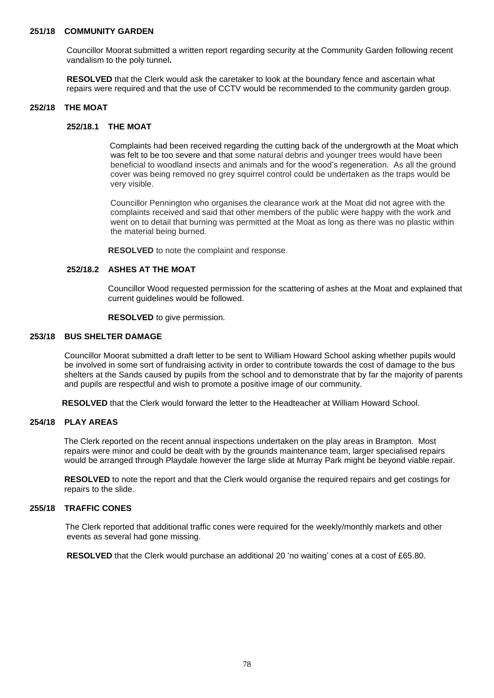## **251/18 COMMUNITY GARDEN**

Councillor Moorat submitted a written report regarding security at the Community Garden following recent vandalism to the poly tunnel**.**

 **RESOLVED** that the Clerk would ask the caretaker to look at the boundary fence and ascertain what repairs were required and that the use of CCTV would be recommended to the community garden group.

## **252/18 THE MOAT**

#### **252/18.1 THE MOAT**

Complaints had been received regarding the cutting back of the undergrowth at the Moat which was felt to be too severe and that some natural debris and younger trees would have been beneficial to woodland insects and animals and for the wood's regeneration. As all the ground cover was being removed no grey squirrel control could be undertaken as the traps would be very visible.

 Councillor Pennington who organises the clearance work at the Moat did not agree with the complaints received and said that other members of the public were happy with the work and went on to detail that burning was permitted at the Moat as long as there was no plastic within the material being burned.

**RESOLVED** to note the complaint and response.

## **252/18.2 ASHES AT THE MOAT**

Councillor Wood requested permission for the scattering of ashes at the Moat and explained that current guidelines would be followed.

 **RESOLVED** to give permission.

## **253/18 BUS SHELTER DAMAGE**

Councillor Moorat submitted a draft letter to be sent to William Howard School asking whether pupils would be involved in some sort of fundraising activity in order to contribute towards the cost of damage to the bus shelters at the Sands caused by pupils from the school and to demonstrate that by far the majority of parents and pupils are respectful and wish to promote a positive image of our community.

 **RESOLVED** that the Clerk would forward the letter to the Headteacher at William Howard School.

#### **254/18 PLAY AREAS**

The Clerk reported on the recent annual inspections undertaken on the play areas in Brampton. Most repairs were minor and could be dealt with by the grounds maintenance team, larger specialised repairs would be arranged through Playdale however the large slide at Murray Park might be beyond viable repair.

 **RESOLVED** to note the report and that the Clerk would organise the required repairs and get costings for repairs to the slide.

## **255/18 TRAFFIC CONES**

The Clerk reported that additional traffic cones were required for the weekly/monthly markets and other events as several had gone missing.

**RESOLVED** that the Clerk would purchase an additional 20 'no waiting' cones at a cost of £65.80.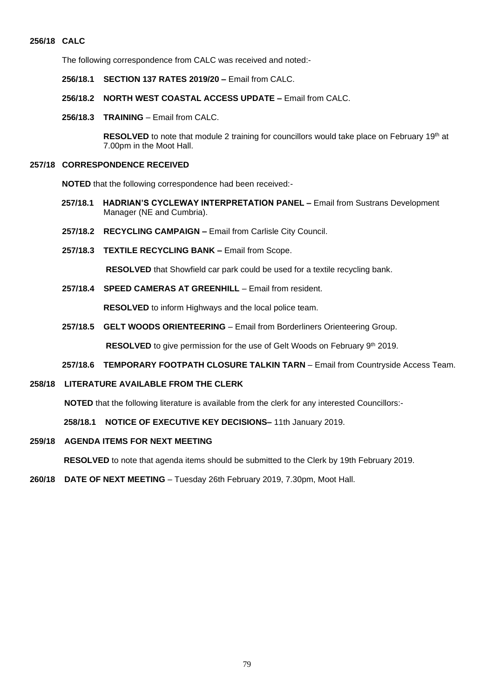# **256/18 CALC**

The following correspondence from CALC was received and noted:-

- **256/18.1 SECTION 137 RATES 2019/20 –** Email from CALC.
- **256/18.2 NORTH WEST COASTAL ACCESS UPDATE –** Email from CALC.
- **256/18.3 TRAINING** Email from CALC.

RESOLVED to note that module 2 training for councillors would take place on February 19<sup>th</sup> at 7.00pm in the Moot Hall.

## **257/18 CORRESPONDENCE RECEIVED**

**NOTED** that the following correspondence had been received:-

- **257/18.1 HADRIAN'S CYCLEWAY INTERPRETATION PANEL –** Email from Sustrans Development Manager (NE and Cumbria).
- **257/18.2 RECYCLING CAMPAIGN –** Email from Carlisle City Council.
- **257/18.3 TEXTILE RECYCLING BANK –** Email from Scope.

**RESOLVED** that Showfield car park could be used for a textile recycling bank.

 **257/18.4 SPEED CAMERAS AT GREENHILL** – Email from resident.

**RESOLVED** to inform Highways and the local police team.

 **257/18.5 GELT WOODS ORIENTEERING** – Email from Borderliners Orienteering Group.

**RESOLVED** to give permission for the use of Gelt Woods on February 9<sup>th</sup> 2019.

#### **257/18.6 TEMPORARY FOOTPATH CLOSURE TALKIN TARN** – Email from Countryside Access Team.

## **258/18 LITERATURE AVAILABLE FROM THE CLERK**

**NOTED** that the following literature is available from the clerk for any interested Councillors:-

**258/18.1 NOTICE OF EXECUTIVE KEY DECISIONS–** 11th January 2019.

## **259/18 AGENDA ITEMS FOR NEXT MEETING**

**RESOLVED** to note that agenda items should be submitted to the Clerk by 19th February 2019.

**260/18 DATE OF NEXT MEETING** – Tuesday 26th February 2019, 7.30pm, Moot Hall.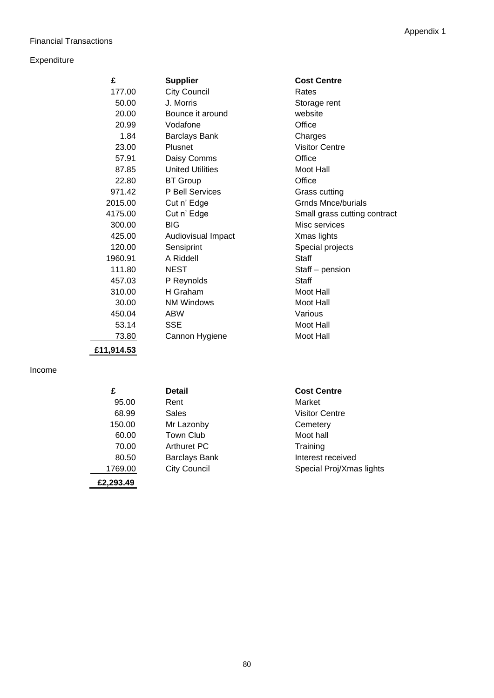# Financial Transactions

# Expenditure

| £       | <b>Supplier</b>         | <b>Cost Centre</b>           |
|---------|-------------------------|------------------------------|
| 177.00  | <b>City Council</b>     | Rates                        |
| 50.00   | J. Morris               | Storage rent                 |
| 20.00   | Bounce it around        | website                      |
| 20.99   | Vodafone                | Office                       |
| 1.84    | <b>Barclays Bank</b>    | Charges                      |
| 23.00   | Plusnet                 | <b>Visitor Centre</b>        |
| 57.91   | Daisy Comms             | Office                       |
| 87.85   | <b>United Utilities</b> | Moot Hall                    |
| 22.80   | <b>BT</b> Group         | Office                       |
| 971.42  | P Bell Services         | Grass cutting                |
| 2015.00 | Cut n' Edge             | Grnds Mnce/burials           |
| 4175.00 | Cut n' Edge             | Small grass cutting contract |
| 300.00  | <b>BIG</b>              | Misc services                |
| 425.00  | Audiovisual Impact      | Xmas lights                  |
| 120.00  | Sensiprint              | Special projects             |
| 1960.91 | A Riddell               | Staff                        |
| 111.80  | <b>NEST</b>             | Staff - pension              |
| 457.03  | P Reynolds              | Staff                        |
| 310.00  | H Graham                | Moot Hall                    |
| 30.00   | <b>NM Windows</b>       | Moot Hall                    |
| 450.04  | <b>ABW</b>              | Various                      |
| 53.14   | SSE                     | Moot Hall                    |
| 73.80   | Cannon Hygiene          | Moot Hall                    |
|         |                         |                              |

**£11,914.53**

Income

| £         | Detail               | <b>Cost Centre</b>       |
|-----------|----------------------|--------------------------|
| 95.00     | Rent                 | Market                   |
| 68.99     | Sales                | <b>Visitor Centre</b>    |
| 150.00    | Mr Lazonby           | Cemetery                 |
| 60.00     | <b>Town Club</b>     | Moot hall                |
| 70.00     | Arthuret PC          | Training                 |
| 80.50     | <b>Barclays Bank</b> | Interest received        |
| 1769.00   | <b>City Council</b>  | Special Proj/Xmas lights |
| £2,293.49 |                      |                          |